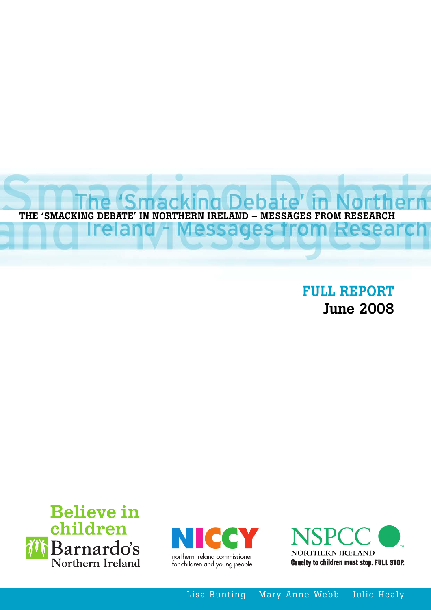

**FULL REPORT June 2008**







Lisa Bunting - Mary Anne Webb - Julie Healy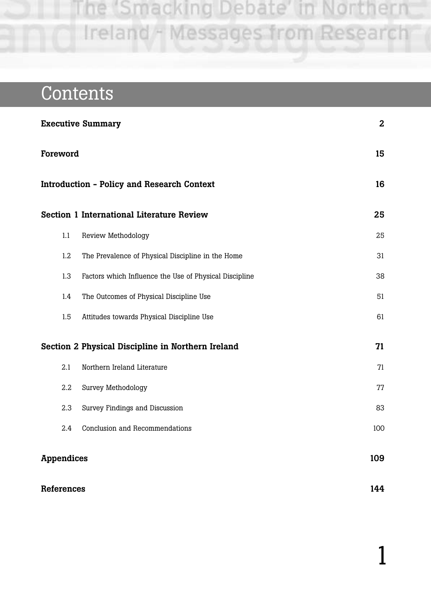# **Contents**

| <b>Executive Summary</b>                                |                                                        | $\mathbf{2}$ |  |
|---------------------------------------------------------|--------------------------------------------------------|--------------|--|
| Foreword                                                |                                                        | 15           |  |
|                                                         | <b>Introduction - Policy and Research Context</b>      | 16           |  |
|                                                         | <b>Section 1 International Literature Review</b>       | 25           |  |
| 1.1                                                     | Review Methodology                                     | 25           |  |
| 1.2                                                     | The Prevalence of Physical Discipline in the Home      | 31           |  |
| 1.3                                                     | Factors which Influence the Use of Physical Discipline | 38           |  |
| 1.4                                                     | The Outcomes of Physical Discipline Use                | 51           |  |
| 1.5                                                     | Attitudes towards Physical Discipline Use              | 61           |  |
| Section 2 Physical Discipline in Northern Ireland<br>71 |                                                        |              |  |
| 2.1                                                     | Northern Ireland Literature                            | 71           |  |
| 2.2                                                     | Survey Methodology                                     | 77           |  |
| 2.3                                                     | Survey Findings and Discussion                         | 83           |  |
| 2.4                                                     | Conclusion and Recommendations                         | 100          |  |
| <b>Appendices</b>                                       |                                                        | 109          |  |

**References 144**

1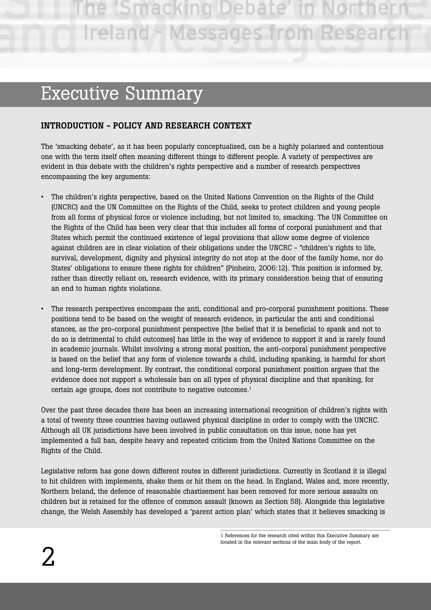e 'Smacking Debate Ireland - Messages from Resear

# Executive Summary

# **INTRODUCTION - POLICY AND RESEARCH CONTEXT**

The 'smacking debate', as it has been popularly conceptualised, can be a highly polarised and contentious one with the term itself often meaning different things to different people. A variety of perspectives are evident in this debate with the children's rights perspective and a number of research perspectives encompassing the key arguments:

- The children's rights perspective, based on the United Nations Convention on the Rights of the Child (UNCRC) and the UN Committee on the Rights of the Child, seeks to protect children and young people from all forms of physical force or violence including, but not limited to, smacking. The UN Committee on the Rights of the Child has been very clear that this includes all forms of corporal punishment and that States which permit the continued existence of legal provisions that allow some degree of violence against children are in clear violation of their obligations under the UNCRC - "children's rights to life, survival, development, dignity and physical integrity do not stop at the door of the family home, nor do States' obligations to ensure these rights for children" (Pinheiro, 2006:12). This position is informed by, rather than directly reliant on, research evidence, with its primary consideration being that of ensuring an end to human rights violations.
- The research perspectives encompass the anti, conditional and pro-corporal punishment positions. These positions tend to be based on the weight of research evidence, in particular the anti and conditional stances, as the pro-corporal punishment perspective [the belief that it is beneficial to spank and not to do so is detrimental to child outcomes] has little in the way of evidence to support it and is rarely found in academic journals. Whilst involving a strong moral position, the anti-corporal punishment perspective is based on the belief that any form of violence towards a child, including spanking, is harmful for short and long-term development. By contrast, the conditional corporal punishment position argues that the evidence does not support a wholesale ban on all types of physical discipline and that spanking, for certain age groups, does not contribute to negative outcomes.<sup>1</sup>

Over the past three decades there has been an increasing international recognition of children's rights with a total of twenty three countries having outlawed physical discipline in order to comply with the UNCRC. Although all UK jurisdictions have been involved in public consultation on this issue, none has yet implemented a full ban, despite heavy and repeated criticism from the United Nations Committee on the Rights of the Child.

Legislative reform has gone down different routes in different jurisdictions. Currently in Scotland it is illegal to hit children with implements, shake them or hit them on the head. In England, Wales and, more recently, Northern Ireland, the defence of reasonable chastisement has been removed for more serious assaults on children but is retained for the offence of common assault (known as Section 58). Alongside this legislative change, the Welsh Assembly has developed a 'parent action plan' which states that it believes smacking is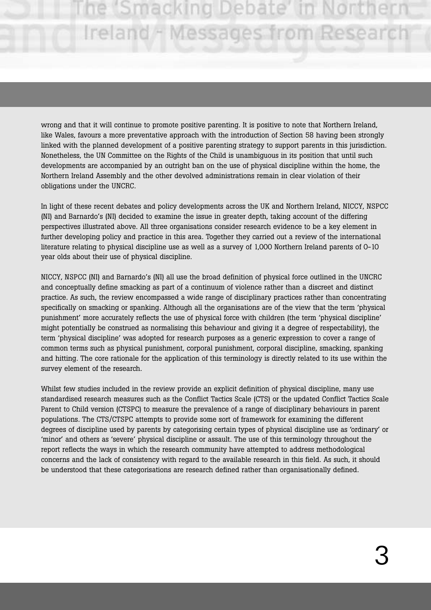# he 'Smacking Debate' Ireland - Messages from Researc

wrong and that it will continue to promote positive parenting. It is positive to note that Northern Ireland, like Wales, favours a more preventative approach with the introduction of Section 58 having been strongly linked with the planned development of a positive parenting strategy to support parents in this jurisdiction. Nonetheless, the UN Committee on the Rights of the Child is unambiguous in its position that until such developments are accompanied by an outright ban on the use of physical discipline within the home, the Northern Ireland Assembly and the other devolved administrations remain in clear violation of their obligations under the UNCRC.

In light of these recent debates and policy developments across the UK and Northern Ireland, NICCY, NSPCC (NI) and Barnardo's (NI) decided to examine the issue in greater depth, taking account of the differing perspectives illustrated above. All three organisations consider research evidence to be a key element in further developing policy and practice in this area. Together they carried out a review of the international literature relating to physical discipline use as well as a survey of 1,000 Northern Ireland parents of 0-10 year olds about their use of physical discipline.

NICCY, NSPCC (NI) and Barnardo's (NI) all use the broad definition of physical force outlined in the UNCRC and conceptually define smacking as part of a continuum of violence rather than a discreet and distinct practice. As such, the review encompassed a wide range of disciplinary practices rather than concentrating specifically on smacking or spanking. Although all the organisations are of the view that the term 'physical punishment' more accurately reflects the use of physical force with children (the term 'physical discipline' might potentially be construed as normalising this behaviour and giving it a degree of respectability), the term 'physical discipline' was adopted for research purposes as a generic expression to cover a range of common terms such as physical punishment, corporal punishment, corporal discipline, smacking, spanking and hitting. The core rationale for the application of this terminology is directly related to its use within the survey element of the research.

Whilst few studies included in the review provide an explicit definition of physical discipline, many use standardised research measures such as the Conflict Tactics Scale (CTS) or the updated Conflict Tactics Scale Parent to Child version (CTSPC) to measure the prevalence of a range of disciplinary behaviours in parent populations. The CTS/CTSPC attempts to provide some sort of framework for examining the different degrees of discipline used by parents by categorising certain types of physical discipline use as 'ordinary' or 'minor' and others as 'severe' physical discipline or assault. The use of this terminology throughout the report reflects the ways in which the research community have attempted to address methodological concerns and the lack of consistency with regard to the available research in this field. As such, it should be understood that these categorisations are research defined rather than organisationally defined.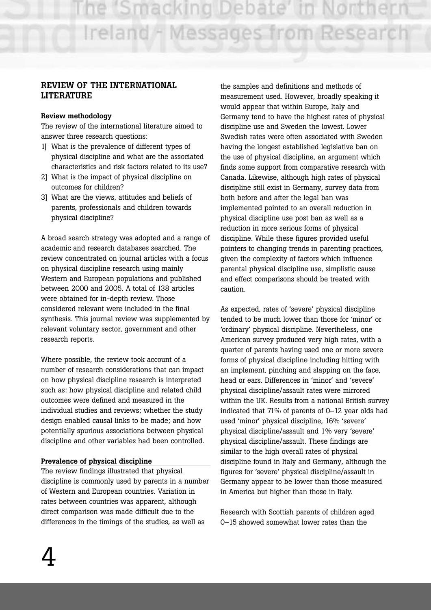# **REVIEW OF THE INTERNATIONAL LITERATURE**

#### **Review methodology**

The review of the international literature aimed to answer three research questions:

- 1] What is the prevalence of different types of physical discipline and what are the associated characteristics and risk factors related to its use?
- 2] What is the impact of physical discipline on outcomes for children?
- 3] What are the views, attitudes and beliefs of parents, professionals and children towards physical discipline?

A broad search strategy was adopted and a range of academic and research databases searched. The review concentrated on journal articles with a focus on physical discipline research using mainly Western and European populations and published between 2000 and 2005. A total of 138 articles were obtained for in-depth review. Those considered relevant were included in the final synthesis. This journal review was supplemented by relevant voluntary sector, government and other research reports.

Where possible, the review took account of a number of research considerations that can impact on how physical discipline research is interpreted such as: how physical discipline and related child outcomes were defined and measured in the individual studies and reviews; whether the study design enabled causal links to be made; and how potentially spurious associations between physical discipline and other variables had been controlled.

# **Prevalence of physical discipline**

The review findings illustrated that physical discipline is commonly used by parents in a number of Western and European countries. Variation in rates between countries was apparent, although direct comparison was made difficult due to the differences in the timings of the studies, as well as

the samples and definitions and methods of measurement used. However, broadly speaking it would appear that within Europe, Italy and Germany tend to have the highest rates of physical discipline use and Sweden the lowest. Lower Swedish rates were often associated with Sweden having the longest established legislative ban on the use of physical discipline, an argument which finds some support from comparative research with Canada. Likewise, although high rates of physical discipline still exist in Germany, survey data from both before and after the legal ban was implemented pointed to an overall reduction in physical discipline use post ban as well as a reduction in more serious forms of physical discipline. While these figures provided useful pointers to changing trends in parenting practices, given the complexity of factors which influence parental physical discipline use, simplistic cause and effect comparisons should be treated with caution.

As expected, rates of 'severe' physical discipline tended to be much lower than those for 'minor' or 'ordinary' physical discipline. Nevertheless, one American survey produced very high rates, with a quarter of parents having used one or more severe forms of physical discipline including hitting with an implement, pinching and slapping on the face, head or ears. Differences in 'minor' and 'severe' physical discipline/assault rates were mirrored within the UK. Results from a national British survey indicated that 71% of parents of 0–12 year olds had used 'minor' physical discipline, 16% 'severe' physical discipline/assault and 1% very 'severe' physical discipline/assault. These findings are similar to the high overall rates of physical discipline found in Italy and Germany, although the figures for 'severe' physical discipline/assault in Germany appear to be lower than those measured in America but higher than those in Italy.

Research with Scottish parents of children aged 0–15 showed somewhat lower rates than the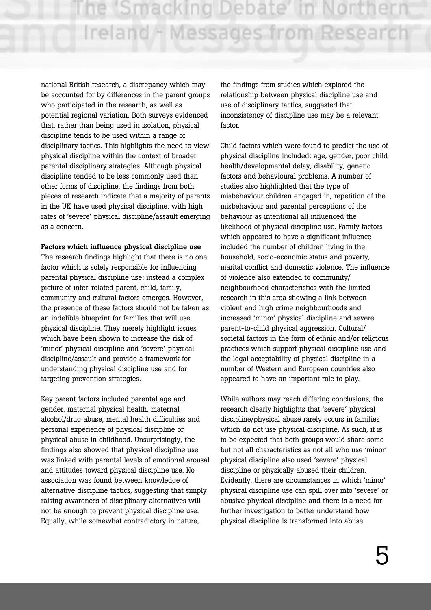national British research, a discrepancy which may be accounted for by differences in the parent groups who participated in the research, as well as potential regional variation. Both surveys evidenced that, rather than being used in isolation, physical discipline tends to be used within a range of disciplinary tactics. This highlights the need to view physical discipline within the context of broader parental disciplinary strategies. Although physical discipline tended to be less commonly used than other forms of discipline, the findings from both pieces of research indicate that a majority of parents in the UK have used physical discipline, with high rates of 'severe' physical discipline/assault emerging as a concern.

#### **Factors which influence physical discipline use**

The research findings highlight that there is no one factor which is solely responsible for influencing parental physical discipline use: instead a complex picture of inter-related parent, child, family, community and cultural factors emerges. However, the presence of these factors should not be taken as an indelible blueprint for families that will use physical discipline. They merely highlight issues which have been shown to increase the risk of 'minor' physical discipline and 'severe' physical discipline/assault and provide a framework for understanding physical discipline use and for targeting prevention strategies.

Key parent factors included parental age and gender, maternal physical health, maternal alcohol/drug abuse, mental health difficulties and personal experience of physical discipline or physical abuse in childhood. Unsurprisingly, the findings also showed that physical discipline use was linked with parental levels of emotional arousal and attitudes toward physical discipline use. No association was found between knowledge of alternative discipline tactics, suggesting that simply raising awareness of disciplinary alternatives will not be enough to prevent physical discipline use. Equally, while somewhat contradictory in nature,

the findings from studies which explored the relationship between physical discipline use and use of disciplinary tactics, suggested that inconsistency of discipline use may be a relevant factor

Child factors which were found to predict the use of physical discipline included: age, gender, poor child health/developmental delay, disability, genetic factors and behavioural problems. A number of studies also highlighted that the type of misbehaviour children engaged in, repetition of the misbehaviour and parental perceptions of the behaviour as intentional all influenced the likelihood of physical discipline use. Family factors which appeared to have a significant influence included the number of children living in the household, socio-economic status and poverty, marital conflict and domestic violence. The influence of violence also extended to community/ neighbourhood characteristics with the limited research in this area showing a link between violent and high crime neighbourhoods and increased 'minor' physical discipline and severe parent-to-child physical aggression. Cultural/ societal factors in the form of ethnic and/or religious practices which support physical discipline use and the legal acceptability of physical discipline in a number of Western and European countries also appeared to have an important role to play.

While authors may reach differing conclusions, the research clearly highlights that 'severe' physical discipline/physical abuse rarely occurs in families which do not use physical discipline. As such, it is to be expected that both groups would share some but not all characteristics as not all who use 'minor' physical discipline also used 'severe' physical discipline or physically abused their children. Evidently, there are circumstances in which 'minor' physical discipline use can spill over into 'severe' or abusive physical discipline and there is a need for further investigation to better understand how physical discipline is transformed into abuse.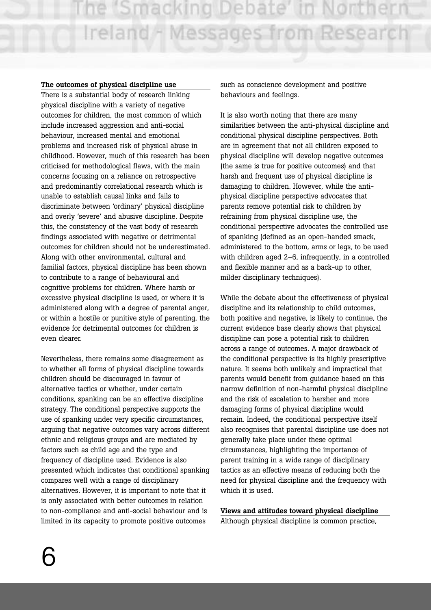#### **The outcomes of physical discipline use**

There is a substantial body of research linking physical discipline with a variety of negative outcomes for children, the most common of which include increased aggression and anti-social behaviour, increased mental and emotional problems and increased risk of physical abuse in childhood. However, much of this research has been criticised for methodological flaws, with the main concerns focusing on a reliance on retrospective and predominantly correlational research which is unable to establish causal links and fails to discriminate between 'ordinary' physical discipline and overly 'severe' and abusive discipline. Despite this, the consistency of the vast body of research findings associated with negative or detrimental outcomes for children should not be underestimated. Along with other environmental, cultural and familial factors, physical discipline has been shown to contribute to a range of behavioural and cognitive problems for children. Where harsh or excessive physical discipline is used, or where it is administered along with a degree of parental anger, or within a hostile or punitive style of parenting, the evidence for detrimental outcomes for children is even clearer.

Nevertheless, there remains some disagreement as to whether all forms of physical discipline towards children should be discouraged in favour of alternative tactics or whether, under certain conditions, spanking can be an effective discipline strategy. The conditional perspective supports the use of spanking under very specific circumstances, arguing that negative outcomes vary across different ethnic and religious groups and are mediated by factors such as child age and the type and frequency of discipline used. Evidence is also presented which indicates that conditional spanking compares well with a range of disciplinary alternatives. However, it is important to note that it is only associated with better outcomes in relation to non-compliance and anti-social behaviour and is limited in its capacity to promote positive outcomes

such as conscience development and positive behaviours and feelings.

It is also worth noting that there are many similarities between the anti-physical discipline and conditional physical discipline perspectives. Both are in agreement that not all children exposed to physical discipline will develop negative outcomes (the same is true for positive outcomes) and that harsh and frequent use of physical discipline is damaging to children. However, while the antiphysical discipline perspective advocates that parents remove potential risk to children by refraining from physical discipline use, the conditional perspective advocates the controlled use of spanking (defined as an open-handed smack, administered to the bottom, arms or legs, to be used with children aged 2–6, infrequently, in a controlled and flexible manner and as a back-up to other, milder disciplinary techniques).

While the debate about the effectiveness of physical discipline and its relationship to child outcomes, both positive and negative, is likely to continue, the current evidence base clearly shows that physical discipline can pose a potential risk to children across a range of outcomes. A major drawback of the conditional perspective is its highly prescriptive nature. It seems both unlikely and impractical that parents would benefit from guidance based on this narrow definition of non-harmful physical discipline and the risk of escalation to harsher and more damaging forms of physical discipline would remain. Indeed, the conditional perspective itself also recognises that parental discipline use does not generally take place under these optimal circumstances, highlighting the importance of parent training in a wide range of disciplinary tactics as an effective means of reducing both the need for physical discipline and the frequency with which it is used.

**Views and attitudes toward physical discipline** Although physical discipline is common practice,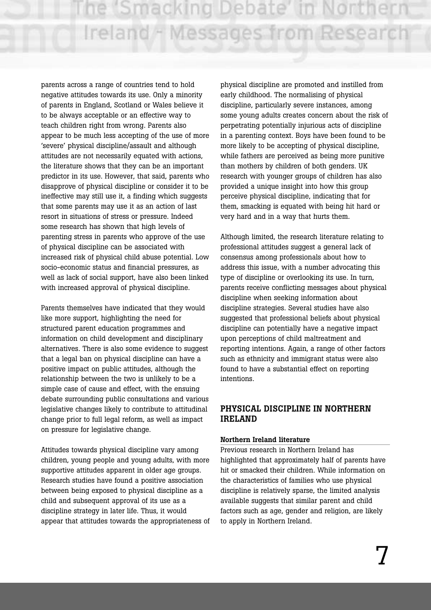parents across a range of countries tend to hold negative attitudes towards its use. Only a minority of parents in England, Scotland or Wales believe it to be always acceptable or an effective way to teach children right from wrong. Parents also appear to be much less accepting of the use of more 'severe' physical discipline/assault and although attitudes are not necessarily equated with actions, the literature shows that they can be an important predictor in its use. However, that said, parents who disapprove of physical discipline or consider it to be ineffective may still use it, a finding which suggests that some parents may use it as an action of last resort in situations of stress or pressure. Indeed some research has shown that high levels of parenting stress in parents who approve of the use of physical discipline can be associated with increased risk of physical child abuse potential. Low socio-economic status and financial pressures, as well as lack of social support, have also been linked with increased approval of physical discipline.

Parents themselves have indicated that they would like more support, highlighting the need for structured parent education programmes and information on child development and disciplinary alternatives. There is also some evidence to suggest that a legal ban on physical discipline can have a positive impact on public attitudes, although the relationship between the two is unlikely to be a simple case of cause and effect, with the ensuing debate surrounding public consultations and various legislative changes likely to contribute to attitudinal change prior to full legal reform, as well as impact on pressure for legislative change.

Attitudes towards physical discipline vary among children, young people and young adults, with more supportive attitudes apparent in older age groups. Research studies have found a positive association between being exposed to physical discipline as a child and subsequent approval of its use as a discipline strategy in later life. Thus, it would appear that attitudes towards the appropriateness of physical discipline are promoted and instilled from early childhood. The normalising of physical discipline, particularly severe instances, among some young adults creates concern about the risk of perpetrating potentially injurious acts of discipline in a parenting context. Boys have been found to be more likely to be accepting of physical discipline, while fathers are perceived as being more punitive than mothers by children of both genders. UK research with younger groups of children has also provided a unique insight into how this group perceive physical discipline, indicating that for them, smacking is equated with being hit hard or very hard and in a way that hurts them.

Although limited, the research literature relating to professional attitudes suggest a general lack of consensus among professionals about how to address this issue, with a number advocating this type of discipline or overlooking its use. In turn, parents receive conflicting messages about physical discipline when seeking information about discipline strategies. Several studies have also suggested that professional beliefs about physical discipline can potentially have a negative impact upon perceptions of child maltreatment and reporting intentions. Again, a range of other factors such as ethnicity and immigrant status were also found to have a substantial effect on reporting intentions.

# **PHYSICAL DISCIPLINE IN NORTHERN IRELAND**

#### **Northern Ireland literature**

Previous research in Northern Ireland has highlighted that approximately half of parents have hit or smacked their children. While information on the characteristics of families who use physical discipline is relatively sparse, the limited analysis available suggests that similar parent and child factors such as age, gender and religion, are likely to apply in Northern Ireland.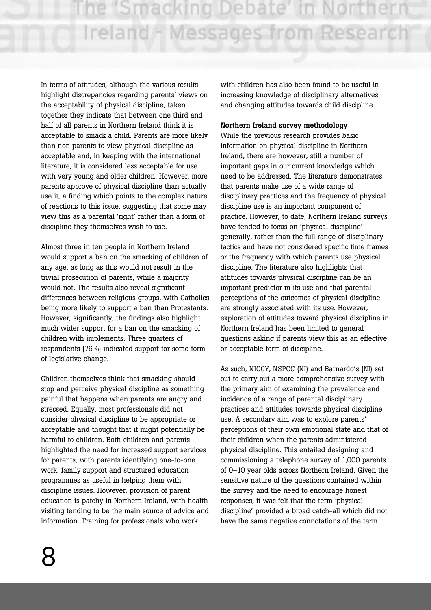In terms of attitudes, although the various results highlight discrepancies regarding parents' views on the acceptability of physical discipline, taken together they indicate that between one third and half of all parents in Northern Ireland think it is acceptable to smack a child. Parents are more likely than non parents to view physical discipline as acceptable and, in keeping with the international literature, it is considered less acceptable for use with very young and older children. However, more parents approve of physical discipline than actually use it, a finding which points to the complex nature of reactions to this issue, suggesting that some may view this as a parental 'right' rather than a form of discipline they themselves wish to use.

Almost three in ten people in Northern Ireland would support a ban on the smacking of children of any age, as long as this would not result in the trivial prosecution of parents, while a majority would not. The results also reveal significant differences between religious groups, with Catholics being more likely to support a ban than Protestants. However, significantly, the findings also highlight much wider support for a ban on the smacking of children with implements. Three quarters of respondents (76%) indicated support for some form of legislative change.

Children themselves think that smacking should stop and perceive physical discipline as something painful that happens when parents are angry and stressed. Equally, most professionals did not consider physical discipline to be appropriate or acceptable and thought that it might potentially be harmful to children. Both children and parents highlighted the need for increased support services for parents, with parents identifying one-to-one work, family support and structured education programmes as useful in helping them with discipline issues. However, provision of parent education is patchy in Northern Ireland, with health visiting tending to be the main source of advice and information. Training for professionals who work

with children has also been found to be useful in increasing knowledge of disciplinary alternatives and changing attitudes towards child discipline.

# **Northern Ireland survey methodology**

While the previous research provides basic information on physical discipline in Northern Ireland, there are however, still a number of important gaps in our current knowledge which need to be addressed. The literature demonstrates that parents make use of a wide range of disciplinary practices and the frequency of physical discipline use is an important component of practice. However, to date, Northern Ireland surveys have tended to focus on 'physical discipline' generally, rather than the full range of disciplinary tactics and have not considered specific time frames or the frequency with which parents use physical discipline. The literature also highlights that attitudes towards physical discipline can be an important predictor in its use and that parental perceptions of the outcomes of physical discipline are strongly associated with its use. However, exploration of attitudes toward physical discipline in Northern Ireland has been limited to general questions asking if parents view this as an effective or acceptable form of discipline.

As such, NICCY, NSPCC (NI) and Barnardo's (NI) set out to carry out a more comprehensive survey with the primary aim of examining the prevalence and incidence of a range of parental disciplinary practices and attitudes towards physical discipline use. A secondary aim was to explore parents' perceptions of their own emotional state and that of their children when the parents administered physical discipline. This entailed designing and commissioning a telephone survey of 1,000 parents of 0–10 year olds across Northern Ireland. Given the sensitive nature of the questions contained within the survey and the need to encourage honest responses, it was felt that the term 'physical discipline' provided a broad catch-all which did not have the same negative connotations of the term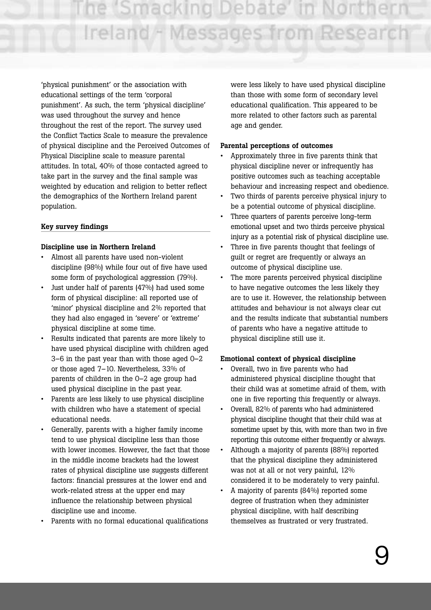e 'Smacking Debate' i Ireland - Messages from Researc

'physical punishment' or the association with educational settings of the term 'corporal punishment'. As such, the term 'physical discipline' was used throughout the survey and hence throughout the rest of the report. The survey used the Conflict Tactics Scale to measure the prevalence of physical discipline and the Perceived Outcomes of Physical Discipline scale to measure parental attitudes. In total, 40% of those contacted agreed to take part in the survey and the final sample was weighted by education and religion to better reflect the demographics of the Northern Ireland parent population.

#### **Key survey findings**

#### **Discipline use in Northern Ireland**

- Almost all parents have used non-violent discipline (98%) while four out of five have used some form of psychological aggression (79%).
- Just under half of parents (47%) had used some form of physical discipline: all reported use of 'minor' physical discipline and 2% reported that they had also engaged in 'severe' or 'extreme' physical discipline at some time.
- Results indicated that parents are more likely to have used physical discipline with children aged 3–6 in the past year than with those aged 0–2 or those aged 7–10. Nevertheless, 33% of parents of children in the 0–2 age group had used physical discipline in the past year.
- Parents are less likely to use physical discipline with children who have a statement of special educational needs.
- Generally, parents with a higher family income tend to use physical discipline less than those with lower incomes. However, the fact that those in the middle income brackets had the lowest rates of physical discipline use suggests different factors: financial pressures at the lower end and work-related stress at the upper end may influence the relationship between physical discipline use and income.
- Parents with no formal educational qualifications

were less likely to have used physical discipline than those with some form of secondary level educational qualification. This appeared to be more related to other factors such as parental age and gender.

#### **Parental perceptions of outcomes**

- Approximately three in five parents think that physical discipline never or infrequently has positive outcomes such as teaching acceptable behaviour and increasing respect and obedience.
- Two thirds of parents perceive physical injury to be a potential outcome of physical discipline.
- Three quarters of parents perceive long-term emotional upset and two thirds perceive physical injury as a potential risk of physical discipline use.
- Three in five parents thought that feelings of guilt or regret are frequently or always an outcome of physical discipline use.
- The more parents perceived physical discipline to have negative outcomes the less likely they are to use it. However, the relationship between attitudes and behaviour is not always clear cut and the results indicate that substantial numbers of parents who have a negative attitude to physical discipline still use it.

#### **Emotional context of physical discipline**

- Overall, two in five parents who had administered physical discipline thought that their child was at sometime afraid of them, with one in five reporting this frequently or always.
- Overall, 82% of parents who had administered physical discipline thought that their child was at sometime upset by this, with more than two in five reporting this outcome either frequently or always.
- Although a majority of parents (88%) reported that the physical discipline they administered was not at all or not very painful, 12% considered it to be moderately to very painful.
- A majority of parents (84%) reported some degree of frustration when they administer physical discipline, with half describing themselves as frustrated or very frustrated.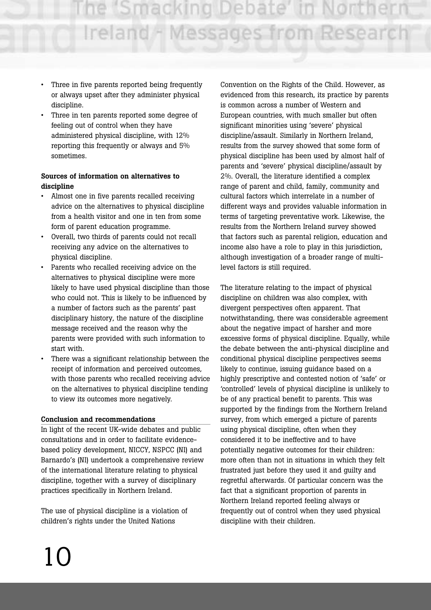- Three in five parents reported being frequently or always upset after they administer physical discipline.
- Three in ten parents reported some degree of feeling out of control when they have administered physical discipline, with 12% reporting this frequently or always and 5% sometimes.

# **Sources of information on alternatives to discipline**

- Almost one in five parents recalled receiving advice on the alternatives to physical discipline from a health visitor and one in ten from some form of parent education programme.
- Overall, two thirds of parents could not recall receiving any advice on the alternatives to physical discipline.
- Parents who recalled receiving advice on the alternatives to physical discipline were more likely to have used physical discipline than those who could not. This is likely to be influenced by a number of factors such as the parents' past disciplinary history, the nature of the discipline message received and the reason why the parents were provided with such information to start with.
- There was a significant relationship between the receipt of information and perceived outcomes, with those parents who recalled receiving advice on the alternatives to physical discipline tending to view its outcomes more negatively.

# **Conclusion and recommendations**

In light of the recent UK-wide debates and public consultations and in order to facilitate evidencebased policy development, NICCY, NSPCC (NI) and Barnardo's (NI) undertook a comprehensive review of the international literature relating to physical discipline, together with a survey of disciplinary practices specifically in Northern Ireland.

The use of physical discipline is a violation of children's rights under the United Nations

Convention on the Rights of the Child. However, as evidenced from this research, its practice by parents is common across a number of Western and European countries, with much smaller but often significant minorities using 'severe' physical discipline/assault. Similarly in Northern Ireland, results from the survey showed that some form of physical discipline has been used by almost half of parents and 'severe' physical discipline/assault by 2%. Overall, the literature identified a complex range of parent and child, family, community and cultural factors which interrelate in a number of different ways and provides valuable information in terms of targeting preventative work. Likewise, the results from the Northern Ireland survey showed that factors such as parental religion, education and income also have a role to play in this jurisdiction, although investigation of a broader range of multilevel factors is still required.

The literature relating to the impact of physical discipline on children was also complex, with divergent perspectives often apparent. That notwithstanding, there was considerable agreement about the negative impact of harsher and more excessive forms of physical discipline. Equally, while the debate between the anti-physical discipline and conditional physical discipline perspectives seems likely to continue, issuing guidance based on a highly prescriptive and contested notion of 'safe' or 'controlled' levels of physical discipline is unlikely to be of any practical benefit to parents. This was supported by the findings from the Northern Ireland survey, from which emerged a picture of parents using physical discipline, often when they considered it to be ineffective and to have potentially negative outcomes for their children: more often than not in situations in which they felt frustrated just before they used it and guilty and regretful afterwards. Of particular concern was the fact that a significant proportion of parents in Northern Ireland reported feeling always or frequently out of control when they used physical discipline with their children.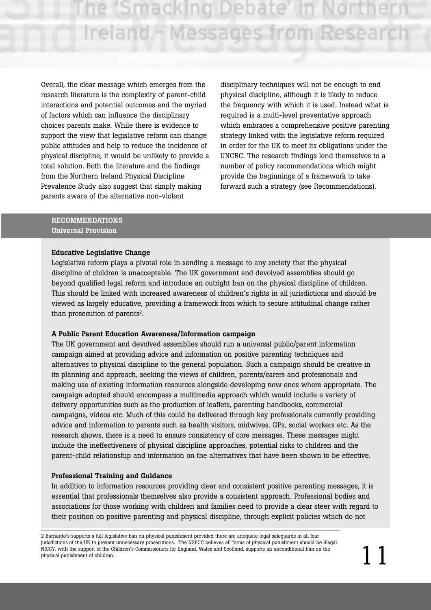ie 'Smacking Debate' i Ireland - Messages from Research

Overall, the clear message which emerges from the research literature is the complexity of parent-child interactions and potential outcomes and the myriad of factors which can influence the disciplinary choices parents make. While there is evidence to support the view that legislative reform can change public attitudes and help to reduce the incidence of physical discipline, it would be unlikely to provide a total solution. Both the literature and the findings from the Northern Ireland Physical Discipline Prevalence Study also suggest that simply making parents aware of the alternative non-violent

disciplinary techniques will not be enough to end physical discipline, although it is likely to reduce the frequency with which it is used. Instead what is required is a multi-level preventative approach which embraces a comprehensive positive parenting strategy linked with the legislative reform required in order for the UK to meet its obligations under the UNCRC. The research findings lend themselves to a number of policy recommendations which might provide the beginnings of a framework to take forward such a strategy (see Recommendations).

#### **RECOMMENDATIONS Universal Provision**

#### **Educative Legislative Change**

Legislative reform plays a pivotal role in sending a message to any society that the physical discipline of children is unacceptable. The UK government and devolved assemblies should go beyond qualified legal reform and introduce an outright ban on the physical discipline of children. This should be linked with increased awareness of children's rights in all jurisdictions and should be viewed as largely educative, providing a framework from which to secure attitudinal change rather than prosecution of parents<sup>2</sup>.

#### **A Public Parent Education Awareness/Information campaign**

The UK government and devolved assemblies should run a universal public/parent information campaign aimed at providing advice and information on positive parenting techniques and alternatives to physical discipline to the general population. Such a campaign should be creative in its planning and approach, seeking the views of children, parents/carers and professionals and making use of existing information resources alongside developing new ones where appropriate. The campaign adopted should encompass a multimedia approach which would include a variety of delivery opportunities such as the production of leaflets, parenting handbooks, commercial campaigns, videos etc. Much of this could be delivered through key professionals currently providing advice and information to parents such as health visitors, midwives, GPs, social workers etc. As the research shows, there is a need to ensure consistency of core messages. These messages might include the ineffectiveness of physical discipline approaches, potential risks to children and the parent-child relationship and information on the alternatives that have been shown to be effective.

#### **Professional Training and Guidance**

In addition to information resources providing clear and consistent positive parenting messages, it is essential that professionals themselves also provide a consistent approach. Professional bodies and associations for those working with children and families need to provide a clear steer with regard to their position on positive parenting and physical discipline, through explicit policies which do not

<sup>2</sup> Barnardo's supports a full legislative ban on physical punishment provided there are adequate legal safeguards in all four jurisdictions of the UK to prevent unnecessary prosecutions. The NSPCC believes all forms of physical punishment should be illegal. NICCY, with the support of the Children's Commissioners for England, Wales and Scotland, supports an unconditional ban on the physical punishment of children.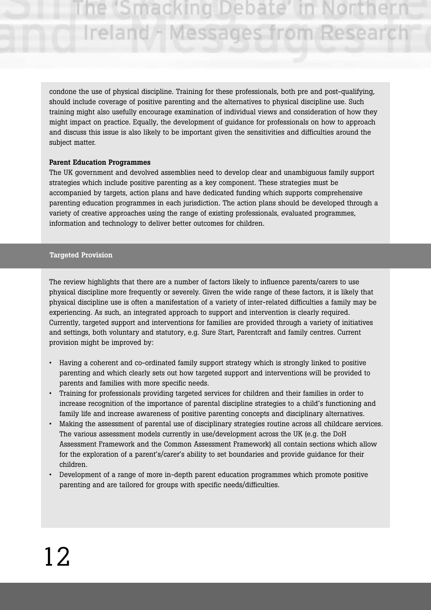ie (Smacking Debate Ireland - Messages from Researc

condone the use of physical discipline. Training for these professionals, both pre and post-qualifying, should include coverage of positive parenting and the alternatives to physical discipline use. Such training might also usefully encourage examination of individual views and consideration of how they might impact on practice. Equally, the development of guidance for professionals on how to approach and discuss this issue is also likely to be important given the sensitivities and difficulties around the subject matter.

#### **Parent Education Programmes**

The UK government and devolved assemblies need to develop clear and unambiguous family support strategies which include positive parenting as a key component. These strategies must be accompanied by targets, action plans and have dedicated funding which supports comprehensive parenting education programmes in each jurisdiction. The action plans should be developed through a variety of creative approaches using the range of existing professionals, evaluated programmes, information and technology to deliver better outcomes for children.

#### **Targeted Provision**

The review highlights that there are a number of factors likely to influence parents/carers to use physical discipline more frequently or severely. Given the wide range of these factors, it is likely that physical discipline use is often a manifestation of a variety of inter-related difficulties a family may be experiencing. As such, an integrated approach to support and intervention is clearly required. Currently, targeted support and interventions for families are provided through a variety of initiatives and settings, both voluntary and statutory, e.g. Sure Start, Parentcraft and family centres. Current provision might be improved by:

- Having a coherent and co-ordinated family support strategy which is strongly linked to positive parenting and which clearly sets out how targeted support and interventions will be provided to parents and families with more specific needs.
- Training for professionals providing targeted services for children and their families in order to increase recognition of the importance of parental discipline strategies to a child's functioning and family life and increase awareness of positive parenting concepts and disciplinary alternatives.
- Making the assessment of parental use of disciplinary strategies routine across all childcare services. The various assessment models currently in use/development across the UK (e.g. the DoH Assessment Framework and the Common Assessment Framework) all contain sections which allow for the exploration of a parent's/carer's ability to set boundaries and provide guidance for their children.
- Development of a range of more in-depth parent education programmes which promote positive parenting and are tailored for groups with specific needs/difficulties.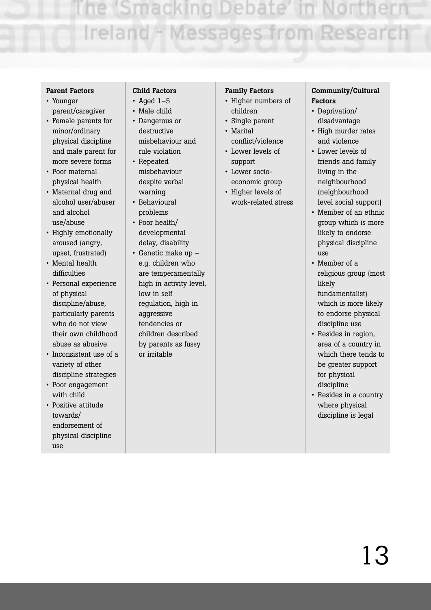#### **Parent Factors**

- Younger parent/caregiver
- Female parents for minor/ordinary physical discipline and male parent for more severe forms
- Poor maternal physical health
- Maternal drug and alcohol user/abuser and alcohol use/abuse
- Highly emotionally aroused (angry, upset, frustrated)
- Mental health difficulties
- Personal experience of physical discipline/abuse, particularly parents who do not view their own childhood abuse as abusive
- Inconsistent use of a variety of other discipline strategies
- Poor engagement with child
- Positive attitude towards/ endorsement of physical discipline use

# **Child Factors**

- $\cdot$  Aged 1-5
- Male child • Dangerous or destructive misbehaviour and
- rule violation • Repeated misbehaviour despite verbal warning
- Behavioural problems
- Poor health/ developmental delay, disability
- Genetic make up e.g. children who are temperamentally high in activity level, low in self regulation, high in aggressive tendencies or children described by parents as fussy or irritable

#### **Family Factors**

- Higher numbers of children
- Single parent • Marital
- conflict/violence
- Lower levels of support • Lower socio-
- economic group
- Higher levels of work-related stress

#### **Community/Cultural Factors**

- Deprivation/ disadvantage
- High murder rates and violence
- Lower levels of friends and family living in the neighbourhood (neighbourhood level social support)
- Member of an ethnic group which is more likely to endorse physical discipline use
- Member of a religious group (most likely fundamentalist) which is more likely to endorse physical discipline use
- Resides in region, area of a country in which there tends to be greater support for physical discipline
- Resides in a country where physical discipline is legal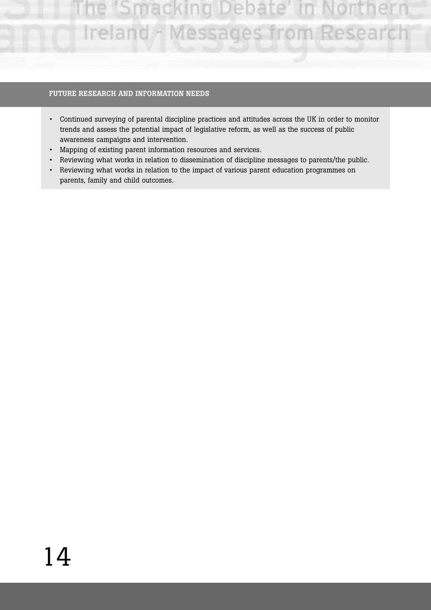#### **FUTURE RESEARCH AND INFORMATION NEEDS**

- Continued surveying of parental discipline practices and attitudes across the UK in order to monitor trends and assess the potential impact of legislative reform, as well as the success of public awareness campaigns and intervention.
- Mapping of existing parent information resources and services.
- Reviewing what works in relation to dissemination of discipline messages to parents/the public.
- Reviewing what works in relation to the impact of various parent education programmes on parents, family and child outcomes.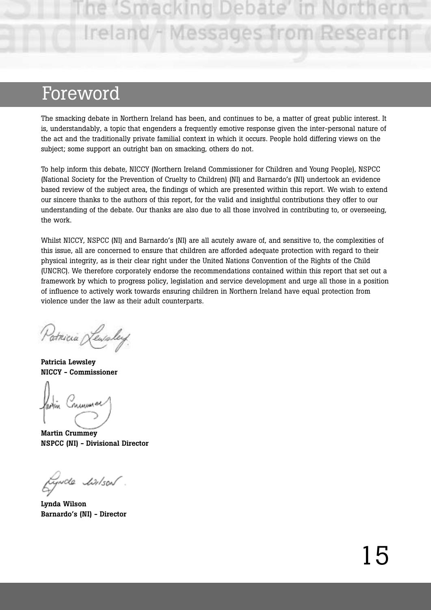Ireland - Messages from

# Foreword

The smacking debate in Northern Ireland has been, and continues to be, a matter of great public interest. It is, understandably, a topic that engenders a frequently emotive response given the inter-personal nature of the act and the traditionally private familial context in which it occurs. People hold differing views on the subject; some support an outright ban on smacking, others do not.

To help inform this debate, NICCY (Northern Ireland Commissioner for Children and Young People), NSPCC (National Society for the Prevention of Cruelty to Children) (NI) and Barnardo's (NI) undertook an evidence based review of the subject area, the findings of which are presented within this report. We wish to extend our sincere thanks to the authors of this report, for the valid and insightful contributions they offer to our understanding of the debate. Our thanks are also due to all those involved in contributing to, or overseeing, the work.

Whilst NICCY, NSPCC (NI) and Barnardo's (NI) are all acutely aware of, and sensitive to, the complexities of this issue, all are concerned to ensure that children are afforded adequate protection with regard to their physical integrity, as is their clear right under the United Nations Convention of the Rights of the Child (UNCRC). We therefore corporately endorse the recommendations contained within this report that set out a framework by which to progress policy, legislation and service development and urge all those in a position of influence to actively work towards ensuring children in Northern Ireland have equal protection from violence under the law as their adult counterparts.

Patricia Lewsley

**Patricia Lewsley NICCY - Commissioner**

nuum

**Martin Crummey NSPCC (NI) - Divisional Director** 

fynde linson .

**Lynda Wilson Barnardo's (NI) - Director**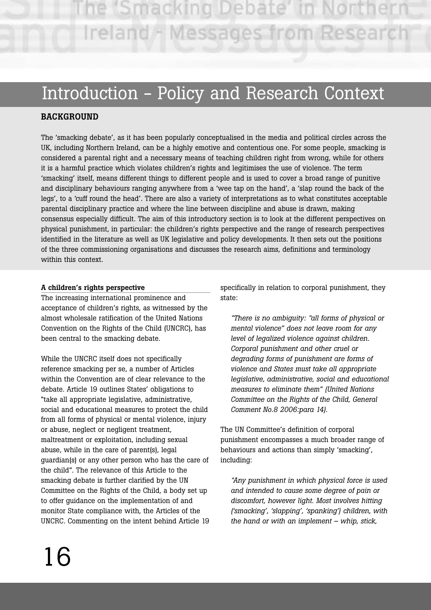ne 'Smacking Debate' i Ireland - Messages from Researd

# Introduction - Policy and Research Context

# **BACKGROUND**

The 'smacking debate', as it has been popularly conceptualised in the media and political circles across the UK, including Northern Ireland, can be a highly emotive and contentious one. For some people, smacking is considered a parental right and a necessary means of teaching children right from wrong, while for others it is a harmful practice which violates children's rights and legitimises the use of violence. The term 'smacking' itself, means different things to different people and is used to cover a broad range of punitive and disciplinary behaviours ranging anywhere from a 'wee tap on the hand', a 'slap round the back of the legs', to a 'cuff round the head'. There are also a variety of interpretations as to what constitutes acceptable parental disciplinary practice and where the line between discipline and abuse is drawn, making consensus especially difficult. The aim of this introductory section is to look at the different perspectives on physical punishment, in particular: the children's rights perspective and the range of research perspectives identified in the literature as well as UK legislative and policy developments. It then sets out the positions of the three commissioning organisations and discusses the research aims, definitions and terminology within this context.

# **A children's rights perspective**

The increasing international prominence and acceptance of children's rights, as witnessed by the almost wholesale ratification of the United Nations Convention on the Rights of the Child (UNCRC), has been central to the smacking debate.

While the UNCRC itself does not specifically reference smacking per se, a number of Articles within the Convention are of clear relevance to the debate. Article 19 outlines States' obligations to "take all appropriate legislative, administrative, social and educational measures to protect the child from all forms of physical or mental violence, injury or abuse, neglect or negligent treatment, maltreatment or exploitation, including sexual abuse, while in the care of parent(s), legal guardian(s) or any other person who has the care of the child". The relevance of this Article to the smacking debate is further clarified by the UN Committee on the Rights of the Child, a body set up to offer guidance on the implementation of and monitor State compliance with, the Articles of the UNCRC. Commenting on the intent behind Article 19 specifically in relation to corporal punishment, they state:

*"There is no ambiguity: "all forms of physical or mental violence" does not leave room for any level of legalized violence against children. Corporal punishment and other cruel or degrading forms of punishment are forms of violence and States must take all appropriate legislative, administrative, social and educational measures to eliminate them" (United Nations Committee on the Rights of the Child, General Comment No.8 2006:para 14).* 

The UN Committee's definition of corporal punishment encompasses a much broader range of behaviours and actions than simply 'smacking', including:

*"Any punishment in which physical force is used and intended to cause some degree of pain or discomfort, however light. Most involves hitting ('smacking', 'slapping', 'spanking') children, with the hand or with an implement – whip, stick,*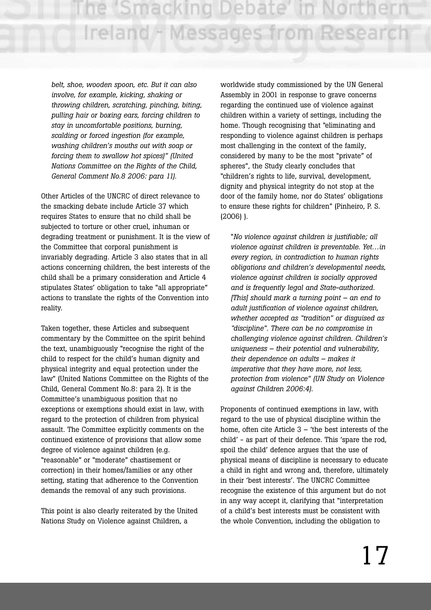*belt, shoe, wooden spoon, etc. But it can also involve, for example, kicking, shaking or throwing children, scratching, pinching, biting, pulling hair or boxing ears, forcing children to stay in uncomfortable positions, burning, scalding or forced ingestion (for example, washing children's mouths out with soap or forcing them to swallow hot spices)" (United Nations Committee on the Rights of the Child, General Comment No.8 2006: para 11).*

Other Articles of the UNCRC of direct relevance to the smacking debate include Article 37 which requires States to ensure that no child shall be subjected to torture or other cruel, inhuman or degrading treatment or punishment. It is the view of the Committee that corporal punishment is invariably degrading. Article 3 also states that in all actions concerning children, the best interests of the child shall be a primary consideration and Article 4 stipulates States' obligation to take "all appropriate" actions to translate the rights of the Convention into reality.

Taken together, these Articles and subsequent commentary by the Committee on the spirit behind the text, unambiguously "recognise the right of the child to respect for the child's human dignity and physical integrity and equal protection under the law" (United Nations Committee on the Rights of the Child, General Comment No.8: para 2). It is the Committee's unambiguous position that no exceptions or exemptions should exist in law, with regard to the protection of children from physical assault. The Committee explicitly comments on the continued existence of provisions that allow some degree of violence against children (e.g. "reasonable" or "moderate" chastisement or correction) in their homes/families or any other setting, stating that adherence to the Convention demands the removal of any such provisions.

This point is also clearly reiterated by the United Nations Study on Violence against Children, a

worldwide study commissioned by the UN General Assembly in 2001 in response to grave concerns regarding the continued use of violence against children within a variety of settings, including the home. Though recognising that "eliminating and responding to violence against children is perhaps most challenging in the context of the family, considered by many to be the most "private" of spheres", the Study clearly concludes that "children's rights to life, survival, development, dignity and physical integrity do not stop at the door of the family home, nor do States' obligations to ensure these rights for children" (Pinheiro, P. S. (2006) ).

"*No violence against children is justifiable; all violence against children is preventable. Yet…in every region, in contradiction to human rights obligations and children's developmental needs, violence against children is socially approved and is frequently legal and State-authorized. [This] should mark a turning point – an end to adult justification of violence against children, whether accepted as "tradition" or disguised as "discipline". There can be no compromise in challenging violence against children. Children's uniqueness – their potential and vulnerability, their dependence on adults – makes it imperative that they have more, not less, protection from violence" (UN Study on Violence against Children 2006:4).*

Proponents of continued exemptions in law, with regard to the use of physical discipline within the home, often cite Article 3 – 'the best interests of the child' - as part of their defence. This 'spare the rod, spoil the child' defence argues that the use of physical means of discipline is necessary to educate a child in right and wrong and, therefore, ultimately in their 'best interests'. The UNCRC Committee recognise the existence of this argument but do not in any way accept it, clarifying that "interpretation of a child's best interests must be consistent with the whole Convention, including the obligation to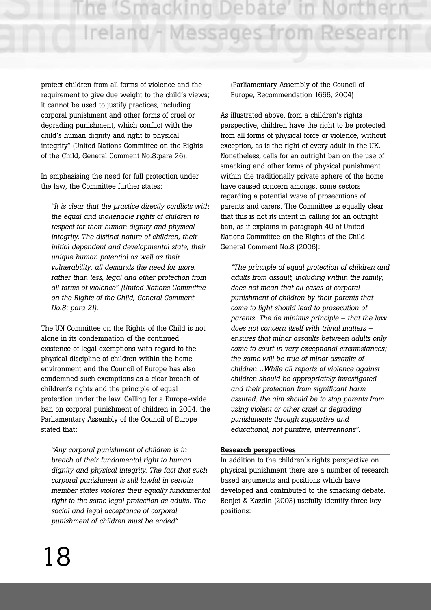ie 'Smacking Debate' i Ireland - Messages from Researc

protect children from all forms of violence and the requirement to give due weight to the child's views; it cannot be used to justify practices, including corporal punishment and other forms of cruel or degrading punishment, which conflict with the child's human dignity and right to physical integrity" (United Nations Committee on the Rights of the Child, General Comment No.8:para 26).

In emphasising the need for full protection under the law, the Committee further states:

*"It is clear that the practice directly conflicts with the equal and inalienable rights of children to respect for their human dignity and physical integrity. The distinct nature of children, their initial dependent and developmental state, their unique human potential as well as their vulnerability, all demands the need for more, rather than less, legal and other protection from all forms of violence" (United Nations Committee on the Rights of the Child, General Comment No.8: para 21).*

The UN Committee on the Rights of the Child is not alone in its condemnation of the continued existence of legal exemptions with regard to the physical discipline of children within the home environment and the Council of Europe has also condemned such exemptions as a clear breach of children's rights and the principle of equal protection under the law. Calling for a Europe-wide ban on corporal punishment of children in 2004, the Parliamentary Assembly of the Council of Europe stated that:

*"Any corporal punishment of children is in breach of their fundamental right to human dignity and physical integrity. The fact that such corporal punishment is still lawful in certain member states violates their equally fundamental right to the same legal protection as adults. The social and legal acceptance of corporal punishment of children must be ended"*

(Parliamentary Assembly of the Council of Europe, Recommendation 1666, 2004)

As illustrated above, from a children's rights perspective, children have the right to be protected from all forms of physical force or violence, without exception, as is the right of every adult in the UK. Nonetheless, calls for an outright ban on the use of smacking and other forms of physical punishment within the traditionally private sphere of the home have caused concern amongst some sectors regarding a potential wave of prosecutions of parents and carers. The Committee is equally clear that this is not its intent in calling for an outright ban, as it explains in paragraph 40 of United Nations Committee on the Rights of the Child General Comment No.8 (2006):

*"The principle of equal protection of children and adults from assault, including within the family, does not mean that all cases of corporal punishment of children by their parents that come to light should lead to prosecution of parents. The de minimis principle – that the law does not concern itself with trivial matters – ensures that minor assaults between adults only come to court in very exceptional circumstances; the same will be true of minor assaults of children…While all reports of violence against children should be appropriately investigated and their protection from significant harm assured, the aim should be to stop parents from using violent or other cruel or degrading punishments through supportive and educational, not punitive, interventions".* 

#### **Research perspectives**

In addition to the children's rights perspective on physical punishment there are a number of research based arguments and positions which have developed and contributed to the smacking debate. Benjet & Kazdin (2003) usefully identify three key positions: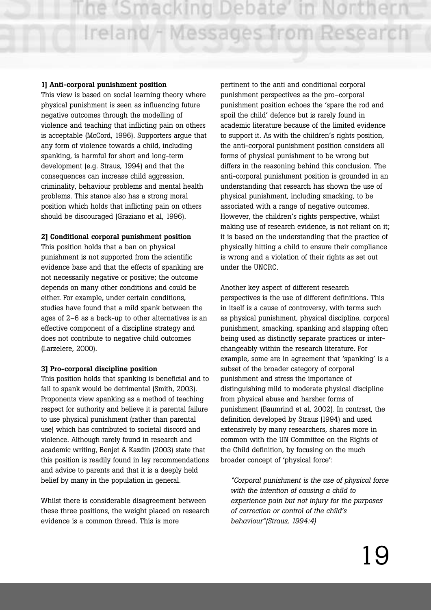#### **1] Anti-corporal punishment position**

This view is based on social learning theory where physical punishment is seen as influencing future negative outcomes through the modelling of violence and teaching that inflicting pain on others is acceptable (McCord, 1996). Supporters argue that any form of violence towards a child, including spanking, is harmful for short and long-term development (e.g. Straus, 1994) and that the consequences can increase child aggression, criminality, behaviour problems and mental health problems. This stance also has a strong moral position which holds that inflicting pain on others should be discouraged (Graziano et al, 1996).

#### **2] Conditional corporal punishment position**

This position holds that a ban on physical punishment is not supported from the scientific evidence base and that the effects of spanking are not necessarily negative or positive; the outcome depends on many other conditions and could be either. For example, under certain conditions, studies have found that a mild spank between the ages of 2–6 as a back-up to other alternatives is an effective component of a discipline strategy and does not contribute to negative child outcomes (Larzelere, 2000).

#### **3] Pro-corporal discipline position**

This position holds that spanking is beneficial and to fail to spank would be detrimental (Smith, 2003). Proponents view spanking as a method of teaching respect for authority and believe it is parental failure to use physical punishment (rather than parental use) which has contributed to societal discord and violence. Although rarely found in research and academic writing, Benjet & Kazdin (2003) state that this position is readily found in lay recommendations and advice to parents and that it is a deeply held belief by many in the population in general.

Whilst there is considerable disagreement between these three positions, the weight placed on research evidence is a common thread. This is more

pertinent to the anti and conditional corporal punishment perspectives as the pro–corporal punishment position echoes the 'spare the rod and spoil the child' defence but is rarely found in academic literature because of the limited evidence to support it. As with the children's rights position, the anti-corporal punishment position considers all forms of physical punishment to be wrong but differs in the reasoning behind this conclusion. The anti-corporal punishment position is grounded in an understanding that research has shown the use of physical punishment, including smacking, to be associated with a range of negative outcomes. However, the children's rights perspective, whilst making use of research evidence, is not reliant on it; it is based on the understanding that the practice of physically hitting a child to ensure their compliance is wrong and a violation of their rights as set out under the UNCRC.

Another key aspect of different research perspectives is the use of different definitions. This in itself is a cause of controversy, with terms such as physical punishment, physical discipline, corporal punishment, smacking, spanking and slapping often being used as distinctly separate practices or interchangeably within the research literature. For example, some are in agreement that 'spanking' is a subset of the broader category of corporal punishment and stress the importance of distinguishing mild to moderate physical discipline from physical abuse and harsher forms of punishment (Baumrind et al, 2002). In contrast, the definition developed by Straus (1994) and used extensively by many researchers, shares more in common with the UN Committee on the Rights of the Child definition, by focusing on the much broader concept of 'physical force':

*"Corporal punishment is the use of physical force with the intention of causing a child to experience pain but not injury for the purposes of correction or control of the child's behaviour"(Straus, 1994:4)*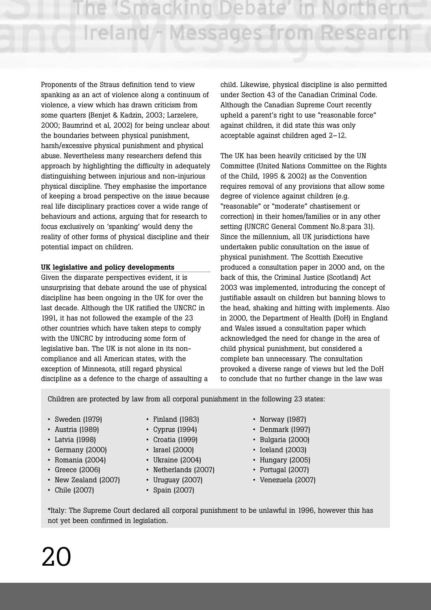Proponents of the Straus definition tend to view spanking as an act of violence along a continuum of violence, a view which has drawn criticism from some quarters (Benjet & Kadzin, 2003; Larzelere, 2000; Baumrind et al, 2002) for being unclear about the boundaries between physical punishment, harsh/excessive physical punishment and physical abuse. Nevertheless many researchers defend this approach by highlighting the difficulty in adequately distinguishing between injurious and non-injurious physical discipline. They emphasise the importance of keeping a broad perspective on the issue because real life disciplinary practices cover a wide range of behaviours and actions, arguing that for research to focus exclusively on 'spanking' would deny the reality of other forms of physical discipline and their potential impact on children.

# **UK legislative and policy developments**

Given the disparate perspectives evident, it is unsurprising that debate around the use of physical discipline has been ongoing in the UK for over the last decade. Although the UK ratified the UNCRC in 1991, it has not followed the example of the 23 other countries which have taken steps to comply with the UNCRC by introducing some form of legislative ban. The UK is not alone in its noncompliance and all American states, with the exception of Minnesota, still regard physical discipline as a defence to the charge of assaulting a

child. Likewise, physical discipline is also permitted under Section 43 of the Canadian Criminal Code. Although the Canadian Supreme Court recently upheld a parent's right to use "reasonable force" against children, it did state this was only acceptable against children aged 2–12.

The UK has been heavily criticised by the UN Committee (United Nations Committee on the Rights of the Child, 1995 & 2002) as the Convention requires removal of any provisions that allow some degree of violence against children (e.g. "reasonable" or "moderate" chastisement or correction) in their homes/families or in any other setting (UNCRC General Comment No.8:para 31). Since the millennium, all UK jurisdictions have undertaken public consultation on the issue of physical punishment. The Scottish Executive produced a consultation paper in 2000 and, on the back of this, the Criminal Justice (Scotland) Act 2003 was implemented, introducing the concept of justifiable assault on children but banning blows to the head, shaking and hitting with implements. Also in 2000, the Department of Health (DoH) in England and Wales issued a consultation paper which acknowledged the need for change in the area of child physical punishment, but considered a complete ban unnecessary. The consultation provoked a diverse range of views but led the DoH to conclude that no further change in the law was

Children are protected by law from all corporal punishment in the following 23 states:

- 
- 
- 
- Germany (2000) Israel (2000) Iceland (2003)
- Romania (2004) Ukraine (2004) Hungary (2005)
- 
- New Zealand (2007) Uruguay (2007) Venezuela (2007)
- 
- 
- 
- 
- 
- 
- Greece (2006) Netherlands (2007) Portugal (2007)
	-
- Chile (2007) Spain (2007)
- Sweden (1979) Finland (1983) Norway (1987)
- Austria (1989) Cyprus (1994) Denmark (1997)
- Latvia (1998) Croatia (1999) Bulgaria (2000)
	-
	-
	-
	-

\*Italy: The Supreme Court declared all corporal punishment to be unlawful in 1996, however this has not yet been confirmed in legislation.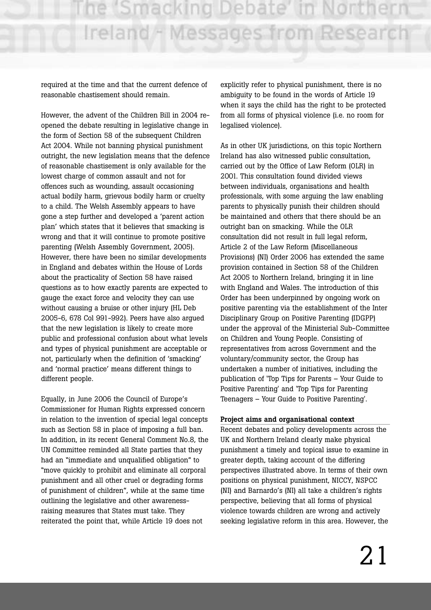required at the time and that the current defence of reasonable chastisement should remain.

However, the advent of the Children Bill in 2004 reopened the debate resulting in legislative change in the form of Section 58 of the subsequent Children Act 2004. While not banning physical punishment outright, the new legislation means that the defence of reasonable chastisement is only available for the lowest charge of common assault and not for offences such as wounding, assault occasioning actual bodily harm, grievous bodily harm or cruelty to a child. The Welsh Assembly appears to have gone a step further and developed a 'parent action plan' which states that it believes that smacking is wrong and that it will continue to promote positive parenting (Welsh Assembly Government, 2005). However, there have been no similar developments in England and debates within the House of Lords about the practicality of Section 58 have raised questions as to how exactly parents are expected to gauge the exact force and velocity they can use without causing a bruise or other injury (HL Deb 2005-6, 678 Col 991-992). Peers have also argued that the new legislation is likely to create more public and professional confusion about what levels and types of physical punishment are acceptable or not, particularly when the definition of 'smacking' and 'normal practice' means different things to different people.

Equally, in June 2006 the Council of Europe's Commissioner for Human Rights expressed concern in relation to the invention of special legal concepts such as Section 58 in place of imposing a full ban. In addition, in its recent General Comment No.8, the UN Committee reminded all State parties that they had an "immediate and unqualified obligation" to "move quickly to prohibit and eliminate all corporal punishment and all other cruel or degrading forms of punishment of children", while at the same time outlining the legislative and other awarenessraising measures that States must take. They reiterated the point that, while Article 19 does not

explicitly refer to physical punishment, there is no ambiguity to be found in the words of Article 19 when it says the child has the right to be protected from all forms of physical violence (i.e. no room for legalised violence).

As in other UK jurisdictions, on this topic Northern Ireland has also witnessed public consultation, carried out by the Office of Law Reform (OLR) in 2001. This consultation found divided views between individuals, organisations and health professionals, with some arguing the law enabling parents to physically punish their children should be maintained and others that there should be an outright ban on smacking. While the OLR consultation did not result in full legal reform, Article 2 of the Law Reform (Miscellaneous Provisions) (NI) Order 2006 has extended the same provision contained in Section 58 of the Children Act 2005 to Northern Ireland, bringing it in line with England and Wales. The introduction of this Order has been underpinned by ongoing work on positive parenting via the establishment of the Inter Disciplinary Group on Positive Parenting (IDGPP) under the approval of the Ministerial Sub-Committee on Children and Young People. Consisting of representatives from across Government and the voluntary/community sector, the Group has undertaken a number of initiatives, including the publication of 'Top Tips for Parents – Your Guide to Positive Parenting' and 'Top Tips for Parenting Teenagers – Your Guide to Positive Parenting'.

#### **Project aims and organisational context**

Recent debates and policy developments across the UK and Northern Ireland clearly make physical punishment a timely and topical issue to examine in greater depth, taking account of the differing perspectives illustrated above. In terms of their own positions on physical punishment, NICCY, NSPCC (NI) and Barnardo's (NI) all take a children's rights perspective, believing that all forms of physical violence towards children are wrong and actively seeking legislative reform in this area. However, the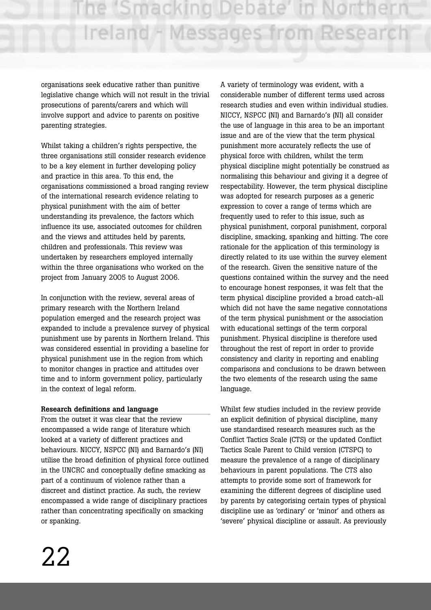organisations seek educative rather than punitive legislative change which will not result in the trivial prosecutions of parents/carers and which will involve support and advice to parents on positive parenting strategies.

Whilst taking a children's rights perspective, the three organisations still consider research evidence to be a key element in further developing policy and practice in this area. To this end, the organisations commissioned a broad ranging review of the international research evidence relating to physical punishment with the aim of better understanding its prevalence, the factors which influence its use, associated outcomes for children and the views and attitudes held by parents, children and professionals. This review was undertaken by researchers employed internally within the three organisations who worked on the project from January 2005 to August 2006.

In conjunction with the review, several areas of primary research with the Northern Ireland population emerged and the research project was expanded to include a prevalence survey of physical punishment use by parents in Northern Ireland. This was considered essential in providing a baseline for physical punishment use in the region from which to monitor changes in practice and attitudes over time and to inform government policy, particularly in the context of legal reform.

# **Research definitions and language**

From the outset it was clear that the review encompassed a wide range of literature which looked at a variety of different practices and behaviours. NICCY, NSPCC (NI) and Barnardo's (NI) utilise the broad definition of physical force outlined in the UNCRC and conceptually define smacking as part of a continuum of violence rather than a discreet and distinct practice. As such, the review encompassed a wide range of disciplinary practices rather than concentrating specifically on smacking or spanking.

A variety of terminology was evident, with a considerable number of different terms used across research studies and even within individual studies. NICCY, NSPCC (NI) and Barnardo's (NI) all consider the use of language in this area to be an important issue and are of the view that the term physical punishment more accurately reflects the use of physical force with children, whilst the term physical discipline might potentially be construed as normalising this behaviour and giving it a degree of respectability. However, the term physical discipline was adopted for research purposes as a generic expression to cover a range of terms which are frequently used to refer to this issue, such as physical punishment, corporal punishment, corporal discipline, smacking, spanking and hitting. The core rationale for the application of this terminology is directly related to its use within the survey element of the research. Given the sensitive nature of the questions contained within the survey and the need to encourage honest responses, it was felt that the term physical discipline provided a broad catch-all which did not have the same negative connotations of the term physical punishment or the association with educational settings of the term corporal punishment. Physical discipline is therefore used throughout the rest of report in order to provide consistency and clarity in reporting and enabling comparisons and conclusions to be drawn between the two elements of the research using the same language.

Whilst few studies included in the review provide an explicit definition of physical discipline, many use standardised research measures such as the Conflict Tactics Scale (CTS) or the updated Conflict Tactics Scale Parent to Child version (CTSPC) to measure the prevalence of a range of disciplinary behaviours in parent populations. The CTS also attempts to provide some sort of framework for examining the different degrees of discipline used by parents by categorising certain types of physical discipline use as 'ordinary' or 'minor' and others as 'severe' physical discipline or assault. As previously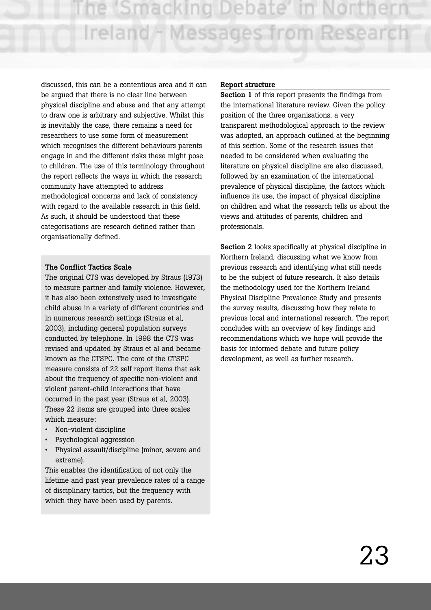discussed, this can be a contentious area and it can be argued that there is no clear line between physical discipline and abuse and that any attempt to draw one is arbitrary and subjective. Whilst this is inevitably the case, there remains a need for researchers to use some form of measurement which recognises the different behaviours parents engage in and the different risks these might pose to children. The use of this terminology throughout the report reflects the ways in which the research community have attempted to address methodological concerns and lack of consistency with regard to the available research in this field. As such, it should be understood that these categorisations are research defined rather than organisationally defined.

#### **The Conflict Tactics Scale**

The original CTS was developed by Straus (1973) to measure partner and family violence. However, it has also been extensively used to investigate child abuse in a variety of different countries and in numerous research settings (Straus et al, 2003), including general population surveys conducted by telephone. In 1998 the CTS was revised and updated by Straus et al and became known as the CTSPC. The core of the CTSPC measure consists of 22 self report items that ask about the frequency of specific non-violent and violent parent-child interactions that have occurred in the past year (Straus et al, 2003). These 22 items are grouped into three scales which measure:

- Non-violent discipline
- Psychological aggression
- Physical assault/discipline (minor, severe and extreme).

This enables the identification of not only the lifetime and past year prevalence rates of a range of disciplinary tactics, but the frequency with which they have been used by parents.

#### **Report structure**

**Section 1** of this report presents the findings from the international literature review. Given the policy position of the three organisations, a very transparent methodological approach to the review was adopted, an approach outlined at the beginning of this section. Some of the research issues that needed to be considered when evaluating the literature on physical discipline are also discussed, followed by an examination of the international prevalence of physical discipline, the factors which influence its use, the impact of physical discipline on children and what the research tells us about the views and attitudes of parents, children and professionals.

**Section 2** looks specifically at physical discipline in Northern Ireland, discussing what we know from previous research and identifying what still needs to be the subject of future research. It also details the methodology used for the Northern Ireland Physical Discipline Prevalence Study and presents the survey results, discussing how they relate to previous local and international research. The report concludes with an overview of key findings and recommendations which we hope will provide the basis for informed debate and future policy development, as well as further research.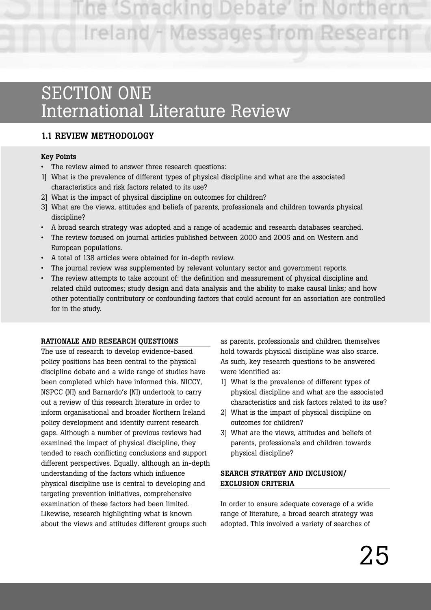# SECTION ONE International Literature Review

# **1.1 REVIEW METHODOLOGY**

# **Key Points**

- The review aimed to answer three research questions:
- 1] What is the prevalence of different types of physical discipline and what are the associated characteristics and risk factors related to its use?
- 2] What is the impact of physical discipline on outcomes for children?
- 3] What are the views, attitudes and beliefs of parents, professionals and children towards physical discipline?
- A broad search strategy was adopted and a range of academic and research databases searched.
- The review focused on journal articles published between 2000 and 2005 and on Western and European populations.
- A total of 138 articles were obtained for in-depth review.
- The journal review was supplemented by relevant voluntary sector and government reports.
- The review attempts to take account of: the definition and measurement of physical discipline and related child outcomes; study design and data analysis and the ability to make causal links; and how other potentially contributory or confounding factors that could account for an association are controlled for in the study.

# **RATIONALE AND RESEARCH QUESTIONS**

The use of research to develop evidence-based policy positions has been central to the physical discipline debate and a wide range of studies have been completed which have informed this. NICCY, NSPCC (NI) and Barnardo's (NI) undertook to carry out a review of this research literature in order to inform organisational and broader Northern Ireland policy development and identify current research gaps. Although a number of previous reviews had examined the impact of physical discipline, they tended to reach conflicting conclusions and support different perspectives. Equally, although an in-depth understanding of the factors which influence physical discipline use is central to developing and targeting prevention initiatives, comprehensive examination of these factors had been limited. Likewise, research highlighting what is known about the views and attitudes different groups such

as parents, professionals and children themselves hold towards physical discipline was also scarce. As such, key research questions to be answered were identified as:

- 1] What is the prevalence of different types of physical discipline and what are the associated characteristics and risk factors related to its use?
- 2] What is the impact of physical discipline on outcomes for children?
- 3] What are the views, attitudes and beliefs of parents, professionals and children towards physical discipline?

# **SEARCH STRATEGY AND INCLUSION/ EXCLUSION CRITERIA**

In order to ensure adequate coverage of a wide range of literature, a broad search strategy was adopted. This involved a variety of searches of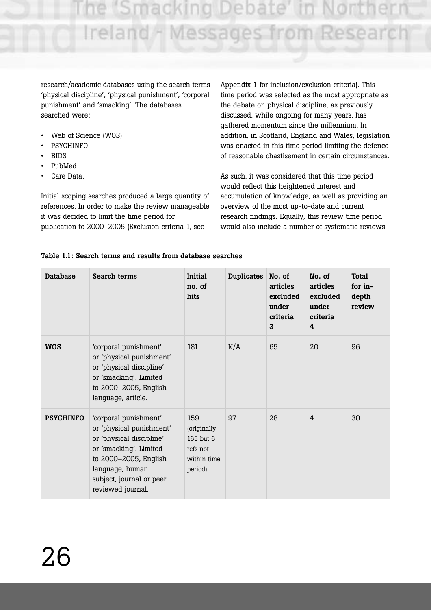e 'Smacking Debate Ireland - Messages from Research

research/academic databases using the search terms 'physical discipline', 'physical punishment', 'corporal punishment' and 'smacking'. The databases searched were:

- Web of Science (WOS)
- PSYCHINFO
- BIDS
- PubMed
- Care Data.

Initial scoping searches produced a large quantity of references. In order to make the review manageable it was decided to limit the time period for publication to 2000–2005 (Exclusion criteria 1, see

Appendix 1 for inclusion/exclusion criteria). This time period was selected as the most appropriate as the debate on physical discipline, as previously discussed, while ongoing for many years, has gathered momentum since the millennium. In addition, in Scotland, England and Wales, legislation was enacted in this time period limiting the defence of reasonable chastisement in certain circumstances.

As such, it was considered that this time period would reflect this heightened interest and accumulation of knowledge, as well as providing an overview of the most up-to-date and current research findings. Equally, this review time period would also include a number of systematic reviews

| <b>Database</b>  | <b>Search terms</b>                                                                                                                                                                                  | <b>Initial</b><br>no. of<br>hits                                      | <b>Duplicates</b> | No. of<br>articles<br>excluded<br>under<br>criteria<br>3 | No. of<br>articles<br>excluded<br>under<br>criteria<br>4 | <b>Total</b><br>for in-<br>depth<br>review |
|------------------|------------------------------------------------------------------------------------------------------------------------------------------------------------------------------------------------------|-----------------------------------------------------------------------|-------------------|----------------------------------------------------------|----------------------------------------------------------|--------------------------------------------|
| <b>WOS</b>       | 'corporal punishment'<br>or 'physical punishment'<br>or 'physical discipline'<br>or 'smacking'. Limited<br>to 2000-2005, English<br>language, article.                                               | 181                                                                   | N/A               | 65                                                       | 20                                                       | 96                                         |
| <b>PSYCHINFO</b> | 'corporal punishment'<br>or 'physical punishment'<br>or 'physical discipline'<br>or 'smacking'. Limited<br>to 2000-2005, English<br>language, human<br>subject, journal or peer<br>reviewed journal. | 159<br>(originally<br>165 but 6<br>refs not<br>within time<br>period) | 97                | 28                                                       | 4                                                        | 30                                         |

# **Table 1.1: Search terms and results from database searches**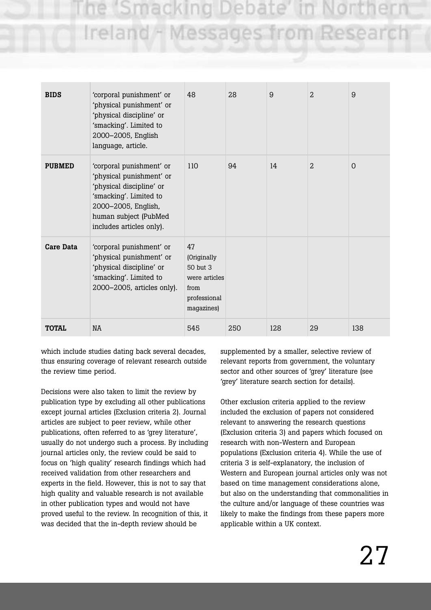ie 'Smacking Debate' i Ireland - Messages from Research

| <b>BIDS</b>   | 'corporal punishment' or<br>'physical punishment' or<br>'physical discipline' or<br>'smacking'. Limited to<br>2000-2005, English<br>language, article.                                 | 48                                                                                   | 28  | 9   | $\overline{2}$ | 9        |
|---------------|----------------------------------------------------------------------------------------------------------------------------------------------------------------------------------------|--------------------------------------------------------------------------------------|-----|-----|----------------|----------|
| <b>PUBMED</b> | 'corporal punishment' or<br>'physical punishment' or<br>'physical discipline' or<br>'smacking'. Limited to<br>2000-2005, English,<br>human subject (PubMed<br>includes articles only). | 110                                                                                  | 94  | 14  | $\overline{2}$ | $\Omega$ |
| Care Data     | 'corporal punishment' or<br>'physical punishment' or<br>'physical discipline' or<br>'smacking'. Limited to<br>2000-2005, articles only).                                               | 47<br>(Originally<br>50 but 3<br>were articles<br>from<br>professional<br>magazines) |     |     |                |          |
| <b>TOTAL</b>  | <b>NA</b>                                                                                                                                                                              | 545                                                                                  | 250 | 128 | 29             | 138      |

which include studies dating back several decades, thus ensuring coverage of relevant research outside the review time period.

Decisions were also taken to limit the review by publication type by excluding all other publications except journal articles (Exclusion criteria 2). Journal articles are subject to peer review, while other publications, often referred to as 'grey literature', usually do not undergo such a process. By including journal articles only, the review could be said to focus on 'high quality' research findings which had received validation from other researchers and experts in the field. However, this is not to say that high quality and valuable research is not available in other publication types and would not have proved useful to the review. In recognition of this, it was decided that the in-depth review should be

supplemented by a smaller, selective review of relevant reports from government, the voluntary sector and other sources of 'grey' literature (see 'grey' literature search section for details).

Other exclusion criteria applied to the review included the exclusion of papers not considered relevant to answering the research questions (Exclusion criteria 3) and papers which focused on research with non-Western and European populations (Exclusion criteria 4). While the use of criteria 3 is self-explanatory, the inclusion of Western and European journal articles only was not based on time management considerations alone, but also on the understanding that commonalities in the culture and/or language of these countries was likely to make the findings from these papers more applicable within a UK context.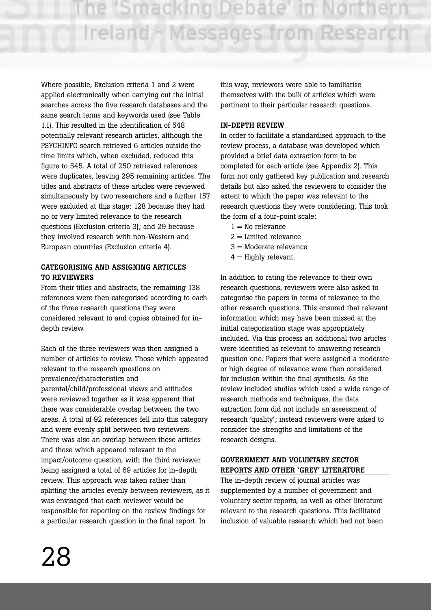Where possible, Exclusion criteria 1 and 2 were applied electronically when carrying out the initial searches across the five research databases and the same search terms and keywords used (see Table 1.1). This resulted in the identification of 548 potentially relevant research articles, although the PSYCHINFO search retrieved 6 articles outside the time limits which, when excluded, reduced this figure to 545. A total of 250 retrieved references were duplicates, leaving 295 remaining articles. The titles and abstracts of these articles were reviewed simultaneously by two researchers and a further 157 were excluded at this stage: 128 because they had no or very limited relevance to the research questions (Exclusion criteria 3); and 29 because they involved research with non-Western and European countries (Exclusion criteria 4).

### **CATEGORISING AND ASSIGNING ARTICLES TO REVIEWERS**

From their titles and abstracts, the remaining 138 references were then categorised according to each of the three research questions they were considered relevant to and copies obtained for indepth review.

Each of the three reviewers was then assigned a number of articles to review. Those which appeared relevant to the research questions on prevalence/characteristics and parental/child/professional views and attitudes were reviewed together as it was apparent that there was considerable overlap between the two areas. A total of 92 references fell into this category and were evenly split between two reviewers. There was also an overlap between these articles and those which appeared relevant to the impact/outcome question, with the third reviewer being assigned a total of 69 articles for in-depth review. This approach was taken rather than splitting the articles evenly between reviewers, as it was envisaged that each reviewer would be responsible for reporting on the review findings for a particular research question in the final report. In

this way, reviewers were able to familiarise themselves with the bulk of articles which were pertinent to their particular research questions.

# **IN-DEPTH REVIEW**

In order to facilitate a standardised approach to the review process, a database was developed which provided a brief data extraction form to be completed for each article (see Appendix 2). This form not only gathered key publication and research details but also asked the reviewers to consider the extent to which the paper was relevant to the research questions they were considering. This took the form of a four-point scale:

- $1 =$ No relevance
- $2 =$ Limited relevance
- $3 =$ Moderate relevance
- $4 =$  Highly relevant.

In addition to rating the relevance to their own research questions, reviewers were also asked to categorise the papers in terms of relevance to the other research questions. This ensured that relevant information which may have been missed at the initial categorisation stage was appropriately included. Via this process an additional two articles were identified as relevant to answering research question one. Papers that were assigned a moderate or high degree of relevance were then considered for inclusion within the final synthesis. As the review included studies which used a wide range of research methods and techniques, the data extraction form did not include an assessment of research 'quality'; instead reviewers were asked to consider the strengths and limitations of the research designs.

#### **GOVERNMENT AND VOLUNTARY SECTOR REPORTS AND OTHER 'GREY' LITERATURE**

The in-depth review of journal articles was supplemented by a number of government and voluntary sector reports, as well as other literature relevant to the research questions. This facilitated inclusion of valuable research which had not been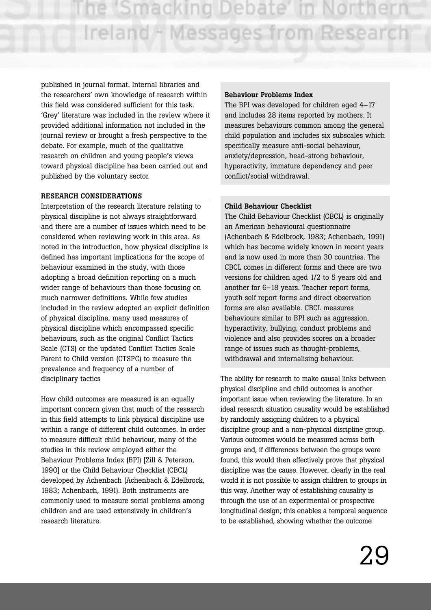published in journal format. Internal libraries and the researchers' own knowledge of research within this field was considered sufficient for this task. 'Grey' literature was included in the review where it provided additional information not included in the journal review or brought a fresh perspective to the debate. For example, much of the qualitative research on children and young people's views toward physical discipline has been carried out and published by the voluntary sector.

#### **RESEARCH CONSIDERATIONS**

Interpretation of the research literature relating to physical discipline is not always straightforward and there are a number of issues which need to be considered when reviewing work in this area. As noted in the introduction, how physical discipline is defined has important implications for the scope of behaviour examined in the study, with those adopting a broad definition reporting on a much wider range of behaviours than those focusing on much narrower definitions. While few studies included in the review adopted an explicit definition of physical discipline, many used measures of physical discipline which encompassed specific behaviours, such as the original Conflict Tactics Scale (CTS) or the updated Conflict Tactics Scale Parent to Child version (CTSPC) to measure the prevalence and frequency of a number of disciplinary tactics

How child outcomes are measured is an equally important concern given that much of the research in this field attempts to link physical discipline use within a range of different child outcomes. In order to measure difficult child behaviour, many of the studies in this review employed either the Behaviour Problems Index (BPI) [Zill & Peterson, 1990] or the Child Behaviour Checklist (CBCL) developed by Achenbach (Achenbach & Edelbrock, 1983; Achenbach, 1991). Both instruments are commonly used to measure social problems among children and are used extensively in children's research literature.

#### **Behaviour Problems Index**

The BPI was developed for children aged 4–17 and includes 28 items reported by mothers. It measures behaviours common among the general child population and includes six subscales which specifically measure anti-social behaviour, anxiety/depression, head-strong behaviour, hyperactivity, immature dependency and peer conflict/social withdrawal.

#### **Child Behaviour Checklist**

The Child Behaviour Checklist (CBCL) is originally an American behavioural questionnaire (Achenbach & Edelbrock, 1983; Achenbach, 1991) which has become widely known in recent years and is now used in more than 30 countries. The CBCL comes in different forms and there are two versions for children aged 1/2 to 5 years old and another for 6–18 years. Teacher report forms, youth self report forms and direct observation forms are also available. CBCL measures behaviours similar to BPI such as aggression, hyperactivity, bullying, conduct problems and violence and also provides scores on a broader range of issues such as thought-problems, withdrawal and internalising behaviour.

The ability for research to make causal links between physical discipline and child outcomes is another important issue when reviewing the literature. In an ideal research situation causality would be established by randomly assigning children to a physical discipline group and a non-physical discipline group. Various outcomes would be measured across both groups and, if differences between the groups were found, this would then effectively prove that physical discipline was the cause. However, clearly in the real world it is not possible to assign children to groups in this way. Another way of establishing causality is through the use of an experimental or prospective longitudinal design; this enables a temporal sequence to be established, showing whether the outcome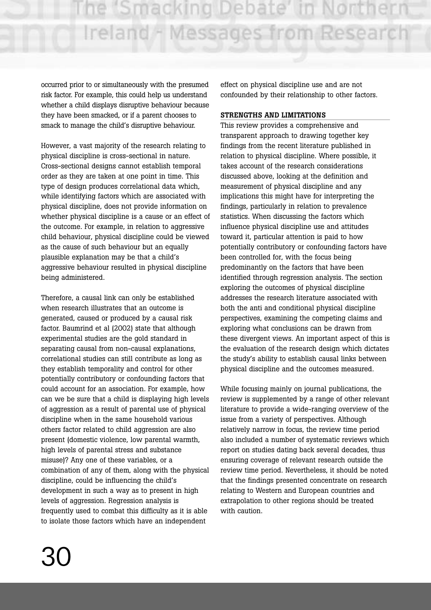occurred prior to or simultaneously with the presumed risk factor. For example, this could help us understand whether a child displays disruptive behaviour because they have been smacked, or if a parent chooses to smack to manage the child's disruptive behaviour.

However, a vast majority of the research relating to physical discipline is cross-sectional in nature. Cross-sectional designs cannot establish temporal order as they are taken at one point in time. This type of design produces correlational data which, while identifying factors which are associated with physical discipline, does not provide information on whether physical discipline is a cause or an effect of the outcome. For example, in relation to aggressive child behaviour, physical discipline could be viewed as the cause of such behaviour but an equally plausible explanation may be that a child's aggressive behaviour resulted in physical discipline being administered.

Therefore, a causal link can only be established when research illustrates that an outcome is generated, caused or produced by a causal risk factor. Baumrind et al (2002) state that although experimental studies are the gold standard in separating causal from non-causal explanations, correlational studies can still contribute as long as they establish temporality and control for other potentially contributory or confounding factors that could account for an association. For example, how can we be sure that a child is displaying high levels of aggression as a result of parental use of physical discipline when in the same household various others factor related to child aggression are also present (domestic violence, low parental warmth, high levels of parental stress and substance misuse)? Any one of these variables, or a combination of any of them, along with the physical discipline, could be influencing the child's development in such a way as to present in high levels of aggression. Regression analysis is frequently used to combat this difficulty as it is able to isolate those factors which have an independent

effect on physical discipline use and are not confounded by their relationship to other factors.

# **STRENGTHS AND LIMITATIONS**

This review provides a comprehensive and transparent approach to drawing together key findings from the recent literature published in relation to physical discipline. Where possible, it takes account of the research considerations discussed above, looking at the definition and measurement of physical discipline and any implications this might have for interpreting the findings, particularly in relation to prevalence statistics. When discussing the factors which influence physical discipline use and attitudes toward it, particular attention is paid to how potentially contributory or confounding factors have been controlled for, with the focus being predominantly on the factors that have been identified through regression analysis. The section exploring the outcomes of physical discipline addresses the research literature associated with both the anti and conditional physical discipline perspectives, examining the competing claims and exploring what conclusions can be drawn from these divergent views. An important aspect of this is the evaluation of the research design which dictates the study's ability to establish causal links between physical discipline and the outcomes measured.

While focusing mainly on journal publications, the review is supplemented by a range of other relevant literature to provide a wide-ranging overview of the issue from a variety of perspectives. Although relatively narrow in focus, the review time period also included a number of systematic reviews which report on studies dating back several decades, thus ensuring coverage of relevant research outside the review time period. Nevertheless, it should be noted that the findings presented concentrate on research relating to Western and European countries and extrapolation to other regions should be treated with caution.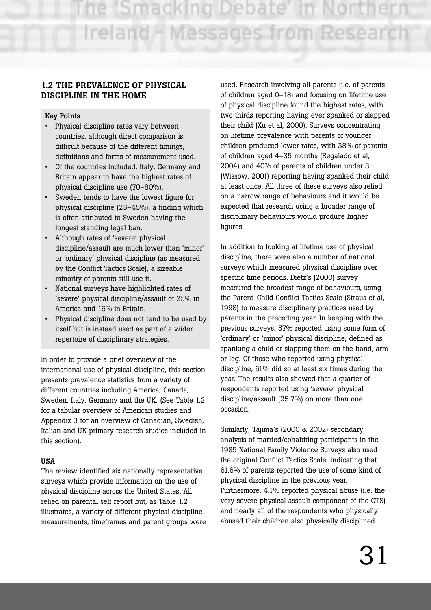# **1.2 THE PREVALENCE OF PHYSICAL DISCIPLINE IN THE HOME**

#### **Key Points**

- Physical discipline rates vary between countries, although direct comparison is difficult because of the different timings, definitions and forms of measurement used.
- Of the countries included, Italy, Germany and Britain appear to have the highest rates of physical discipline use (70–80%).
- Sweden tends to have the lowest figure for physical discipline (25–45%), a finding which is often attributed to Sweden having the longest standing legal ban.
- Although rates of 'severe' physical discipline/assault are much lower than 'minor' or 'ordinary' physical discipline (as measured by the Conflict Tactics Scale), a sizeable minority of parents still use it.
- National surveys have highlighted rates of 'severe' physical discipline/assault of 25% in America and 16% in Britain.
- Physical discipline does not tend to be used by itself but is instead used as part of a wider repertoire of disciplinary strategies.

In order to provide a brief overview of the international use of physical discipline, this section presents prevalence statistics from a variety of different countries including America, Canada, Sweden, Italy, Germany and the UK. (See Table 1.2 for a tabular overview of American studies and Appendix 3 for an overview of Canadian, Swedish, Italian and UK primary research studies included in this section).

#### **USA**

The review identified six nationally representative surveys which provide information on the use of physical discipline across the United States. All relied on parental self report but, as Table 1.2 illustrates, a variety of different physical discipline measurements, timeframes and parent groups were used. Research involving all parents (i.e. of parents of children aged 0–18) and focusing on lifetime use of physical discipline found the highest rates, with two thirds reporting having ever spanked or slapped their child (Xu et al, 2000). Surveys concentrating on lifetime prevalence with parents of younger children produced lower rates, with 38% of parents of children aged 4–35 months (Regalado et al, 2004) and 40% of parents of children under 3 (Wissow, 2001) reporting having spanked their child at least once. All three of these surveys also relied on a narrow range of behaviours and it would be expected that research using a broader range of disciplinary behaviours would produce higher figures.

In addition to looking at lifetime use of physical discipline, there were also a number of national surveys which measured physical discipline over specific time periods. Dietz's (2000) survey measured the broadest range of behaviours, using the Parent-Child Conflict Tactics Scale (Straus et al, 1998) to measure disciplinary practices used by parents in the preceding year. In keeping with the previous surveys, 57% reported using some form of 'ordinary' or 'minor' physical discipline, defined as spanking a child or slapping them on the hand, arm or leg. Of those who reported using physical discipline, 61% did so at least six times during the year. The results also showed that a quarter of respondents reported using 'severe' physical discipline/assault (25.7%) on more than one occasion.

Similarly, Tajima's (2000 & 2002) secondary analysis of married/cohabiting participants in the 1985 National Family Violence Surveys also used the original Conflict Tactics Scale, indicating that 61.6% of parents reported the use of some kind of physical discipline in the previous year. Furthermore, 4.1% reported physical abuse (i.e. the very severe physical assault component of the CTS) and nearly all of the respondents who physically abused their children also physically disciplined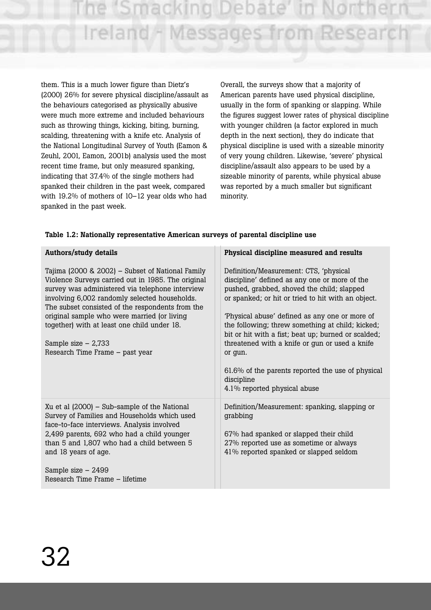"Smacking Deba Ireland - Messages from Research

them. This is a much lower figure than Dietz's (2000) 26% for severe physical discipline/assault as the behaviours categorised as physically abusive were much more extreme and included behaviours such as throwing things, kicking, biting, burning, scalding, threatening with a knife etc. Analysis of the National Longitudinal Survey of Youth (Eamon & Zeuhl, 2001, Eamon, 2001b) analysis used the most recent time frame, but only measured spanking, indicating that 37.4% of the single mothers had spanked their children in the past week, compared with 19.2% of mothers of 10–12 year olds who had spanked in the past week.

Overall, the surveys show that a majority of American parents have used physical discipline, usually in the form of spanking or slapping. While the figures suggest lower rates of physical discipline with younger children (a factor explored in much depth in the next section), they do indicate that physical discipline is used with a sizeable minority of very young children. Likewise, 'severe' physical discipline/assault also appears to be used by a sizeable minority of parents, while physical abuse was reported by a much smaller but significant minority.

| Authors/study details                                                                                                                                                                                                                                                                                                                                                                                                   | Physical discipline measured and results                                                                                                                                                                                                                                                                                                                                                                                                                                                                                 |
|-------------------------------------------------------------------------------------------------------------------------------------------------------------------------------------------------------------------------------------------------------------------------------------------------------------------------------------------------------------------------------------------------------------------------|--------------------------------------------------------------------------------------------------------------------------------------------------------------------------------------------------------------------------------------------------------------------------------------------------------------------------------------------------------------------------------------------------------------------------------------------------------------------------------------------------------------------------|
| Tajima (2000 & 2002) – Subset of National Family<br>Violence Surveys carried out in 1985. The original<br>survey was administered via telephone interview<br>involving 6,002 randomly selected households.<br>The subset consisted of the respondents from the<br>original sample who were married (or living<br>together) with at least one child under 18.<br>Sample size $-2,733$<br>Research Time Frame - past year | Definition/Measurement: CTS, 'physical<br>discipline' defined as any one or more of the<br>pushed, grabbed, shoved the child; slapped<br>or spanked; or hit or tried to hit with an object.<br>'Physical abuse' defined as any one or more of<br>the following; threw something at child; kicked;<br>bit or hit with a fist; beat up; burned or scalded;<br>threatened with a knife or gun or used a knife<br>or gun.<br>61.6% of the parents reported the use of physical<br>discipline<br>4.1% reported physical abuse |
| Xu et al $(2000)$ – Sub-sample of the National<br>Survey of Families and Households which used<br>face-to-face interviews. Analysis involved<br>2,499 parents, 692 who had a child younger<br>than 5 and 1,807 who had a child between 5<br>and 18 years of age.<br>Sample size - 2499<br>Research Time Frame – lifetime                                                                                                | Definition/Measurement: spanking, slapping or<br>grabbing<br>67% had spanked or slapped their child<br>27% reported use as sometime or always<br>41% reported spanked or slapped seldom                                                                                                                                                                                                                                                                                                                                  |

#### **Table 1.2: Nationally representative American surveys of parental discipline use**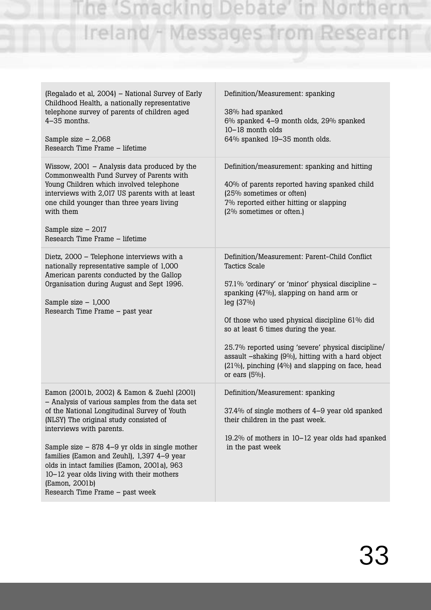| (Regalado et al, 2004) - National Survey of Early<br>Childhood Health, a nationally representative<br>telephone survey of parents of children aged<br>4-35 months.<br>Sample size $-2,068$<br>Research Time Frame - lifetime                                                                                                                                                                                                                                           | Definition/Measurement: spanking<br>38% had spanked<br>6% spanked 4-9 month olds, 29% spanked<br>10-18 month olds<br>64% spanked 19-35 month olds.                                                                                                                                                                                                                                                                                                             |
|------------------------------------------------------------------------------------------------------------------------------------------------------------------------------------------------------------------------------------------------------------------------------------------------------------------------------------------------------------------------------------------------------------------------------------------------------------------------|----------------------------------------------------------------------------------------------------------------------------------------------------------------------------------------------------------------------------------------------------------------------------------------------------------------------------------------------------------------------------------------------------------------------------------------------------------------|
| Wissow, $2001$ – Analysis data produced by the<br>Commonwealth Fund Survey of Parents with<br>Young Children which involved telephone<br>interviews with 2,017 US parents with at least<br>one child younger than three years living<br>with them<br>Sample size $-2017$<br>Research Time Frame - lifetime                                                                                                                                                             | Definition/measurement: spanking and hitting<br>40% of parents reported having spanked child<br>(25% sometimes or often)<br>7% reported either hitting or slapping<br>(2% sometimes or often.)                                                                                                                                                                                                                                                                 |
| Dietz, 2000 - Telephone interviews with a<br>nationally representative sample of 1,000<br>American parents conducted by the Gallop<br>Organisation during August and Sept 1996.<br>Sample size $-1,000$<br>Research Time Frame - past year                                                                                                                                                                                                                             | Definition/Measurement: Parent-Child Conflict<br><b>Tactics Scale</b><br>57.1% 'ordinary' or 'minor' physical discipline -<br>spanking (47%), slapping on hand arm or<br>leg (37%)<br>Of those who used physical discipline 61% did<br>so at least 6 times during the year.<br>25.7% reported using 'severe' physical discipline/<br>assault -shaking (9%), hitting with a hard object<br>(21%), pinching (4%) and slapping on face, head<br>or ears $(5\%)$ . |
| Eamon (2001b, 2002) & Eamon & Zuehl (2001)<br>- Analysis of various samples from the data set<br>of the National Longitudinal Survey of Youth<br>(NLSY) The original study consisted of<br>interviews with parents.<br>Sample size $-$ 878 4–9 yr olds in single mother<br>families (Eamon and Zeuhl), 1,397 4-9 year<br>olds in intact families (Eamon, 2001a), 963<br>10-12 year olds living with their mothers<br>(Eamon, 2001b)<br>Research Time Frame - past week | Definition/Measurement: spanking<br>37.4% of single mothers of 4-9 year old spanked<br>their children in the past week.<br>19.2% of mothers in 10–12 year olds had spanked<br>in the past week                                                                                                                                                                                                                                                                 |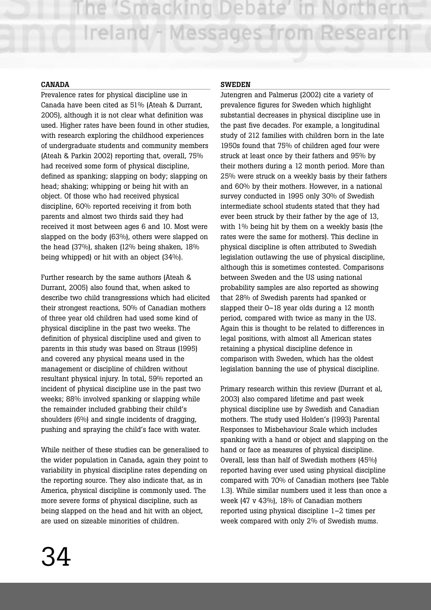#### **CANADA**

Prevalence rates for physical discipline use in Canada have been cited as 51% (Ateah & Durrant, 2005), although it is not clear what definition was used. Higher rates have been found in other studies, with research exploring the childhood experiences of undergraduate students and community members (Ateah & Parkin 2002) reporting that, overall, 75% had received some form of physical discipline, defined as spanking; slapping on body; slapping on head; shaking; whipping or being hit with an object. Of those who had received physical discipline, 60% reported receiving it from both parents and almost two thirds said they had received it most between ages 6 and 10. Most were slapped on the body (63%), others were slapped on the head (37%), shaken (12% being shaken, 18% being whipped) or hit with an object (34%).

Further research by the same authors (Ateah & Durrant, 2005) also found that, when asked to describe two child transgressions which had elicited their strongest reactions, 50% of Canadian mothers of three year old children had used some kind of physical discipline in the past two weeks. The definition of physical discipline used and given to parents in this study was based on Straus (1995) and covered any physical means used in the management or discipline of children without resultant physical injury. In total, 59% reported an incident of physical discipline use in the past two weeks; 88% involved spanking or slapping while the remainder included grabbing their child's shoulders (6%) and single incidents of dragging, pushing and spraying the child's face with water.

While neither of these studies can be generalised to the wider population in Canada, again they point to variability in physical discipline rates depending on the reporting source. They also indicate that, as in America, physical discipline is commonly used. The more severe forms of physical discipline, such as being slapped on the head and hit with an object, are used on sizeable minorities of children.

#### **SWEDEN**

Jutengren and Palmerus (2002) cite a variety of prevalence figures for Sweden which highlight substantial decreases in physical discipline use in the past five decades. For example, a longitudinal study of 212 families with children born in the late 1950s found that 75% of children aged four were struck at least once by their fathers and 95% by their mothers during a 12 month period. More than 25% were struck on a weekly basis by their fathers and 60% by their mothers. However, in a national survey conducted in 1995 only 30% of Swedish intermediate school students stated that they had ever been struck by their father by the age of 13, with 1% being hit by them on a weekly basis (the rates were the same for mothers). This decline in physical discipline is often attributed to Swedish legislation outlawing the use of physical discipline, although this is sometimes contested. Comparisons between Sweden and the US using national probability samples are also reported as showing that 28% of Swedish parents had spanked or slapped their 0–18 year olds during a 12 month period, compared with twice as many in the US. Again this is thought to be related to differences in legal positions, with almost all American states retaining a physical discipline defence in comparison with Sweden, which has the oldest legislation banning the use of physical discipline.

Primary research within this review (Durrant et al, 2003) also compared lifetime and past week physical discipline use by Swedish and Canadian mothers. The study used Holden's (1993) Parental Responses to Misbehaviour Scale which includes spanking with a hand or object and slapping on the hand or face as measures of physical discipline. Overall, less than half of Swedish mothers (45%) reported having ever used using physical discipline compared with 70% of Canadian mothers (see Table 1.3). While similar numbers used it less than once a week (47 v 43%), 18% of Canadian mothers reported using physical discipline 1–2 times per week compared with only 2% of Swedish mums.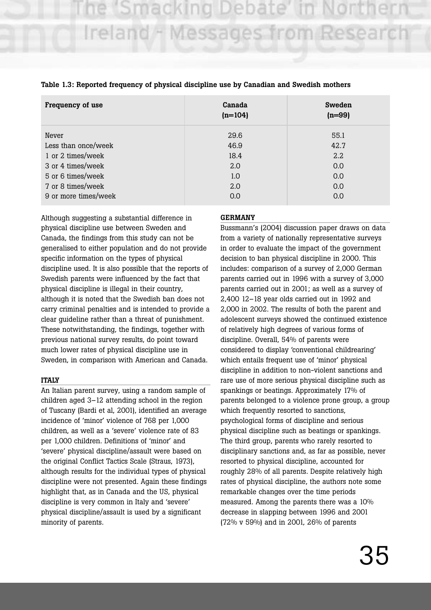| Frequency of use     | Canada<br>$(n=104)$ | <b>Sweden</b><br>$(n=99)$ |
|----------------------|---------------------|---------------------------|
| Never                | 29.6                | 55.1                      |
| Less than once/week  | 46.9                | 42.7                      |
| 1 or 2 times/week    | 18.4                | 2.2                       |
| 3 or 4 times/week    | 2.0                 | 0.0                       |
| 5 or 6 times/week    | 1.0                 | 0.0                       |
| 7 or 8 times/week    | 2.0                 | 0.0                       |
| 9 or more times/week | 0.0                 | 0.0                       |

#### **Table 1.3: Reported frequency of physical discipline use by Canadian and Swedish mothers**

Although suggesting a substantial difference in physical discipline use between Sweden and Canada, the findings from this study can not be generalised to either population and do not provide specific information on the types of physical discipline used. It is also possible that the reports of Swedish parents were influenced by the fact that physical discipline is illegal in their country, although it is noted that the Swedish ban does not carry criminal penalties and is intended to provide a clear guideline rather than a threat of punishment. These notwithstanding, the findings, together with previous national survey results, do point toward much lower rates of physical discipline use in Sweden, in comparison with American and Canada.

#### **ITALY**

An Italian parent survey, using a random sample of children aged 3–12 attending school in the region of Tuscany (Bardi et al, 2001), identified an average incidence of 'minor' violence of 768 per 1,000 children, as well as a 'severe' violence rate of 83 per 1,000 children. Definitions of 'minor' and 'severe' physical discipline/assault were based on the original Conflict Tactics Scale (Straus, 1973), although results for the individual types of physical discipline were not presented. Again these findings highlight that, as in Canada and the US, physical discipline is very common in Italy and 'severe' physical discipline/assault is used by a significant minority of parents.

#### **GERMANY**

Bussmann's (2004) discussion paper draws on data from a variety of nationally representative surveys in order to evaluate the impact of the government decision to ban physical discipline in 2000. This includes: comparison of a survey of 2,000 German parents carried out in 1996 with a survey of 3,000 parents carried out in 2001; as well as a survey of 2,400 12–18 year olds carried out in 1992 and 2,000 in 2002. The results of both the parent and adolescent surveys showed the continued existence of relatively high degrees of various forms of discipline. Overall, 54% of parents were considered to display 'conventional childrearing' which entails frequent use of 'minor' physical discipline in addition to non-violent sanctions and rare use of more serious physical discipline such as spankings or beatings. Approximately 17% of parents belonged to a violence prone group, a group which frequently resorted to sanctions, psychological forms of discipline and serious physical discipline such as beatings or spankings. The third group, parents who rarely resorted to disciplinary sanctions and, as far as possible, never resorted to physical discipline, accounted for roughly 28% of all parents. Despite relatively high rates of physical discipline, the authors note some remarkable changes over the time periods measured. Among the parents there was a 10% decrease in slapping between 1996 and 2001 (72% v 59%) and in 2001, 26% of parents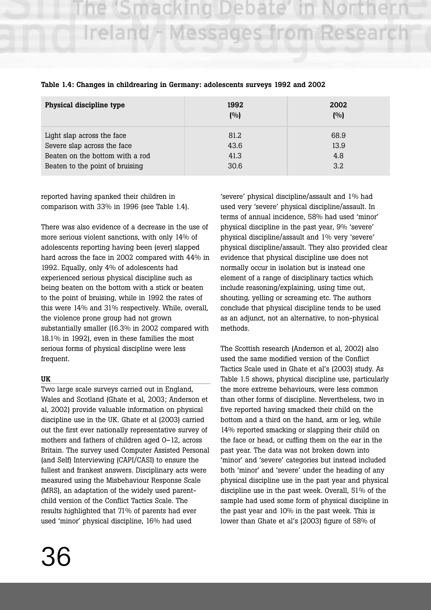# e 'Smacking Debate Ireland - Messages from Research

| Physical discipline type        | 1992<br>(%) | 2002<br>(9) |
|---------------------------------|-------------|-------------|
| Light slap across the face      | 81.2        | 68.9        |
| Severe slap across the face     | 43.6        | 13.9        |
| Beaten on the bottom with a rod | 41.3        | 4.8         |
| Beaten to the point of bruising | 30.6        | 3.2         |

**Table 1.4: Changes in childrearing in Germany: adolescents surveys 1992 and 2002**

reported having spanked their children in comparison with 33% in 1996 (see Table 1.4).

There was also evidence of a decrease in the use of more serious violent sanctions, with only 14% of adolescents reporting having been (ever) slapped hard across the face in 2002 compared with 44% in 1992. Equally, only 4% of adolescents had experienced serious physical discipline such as being beaten on the bottom with a stick or beaten to the point of bruising, while in 1992 the rates of this were 14% and 31% respectively. While, overall, the violence prone group had not grown substantially smaller (16.3% in 2002 compared with 18.1% in 1992), even in these families the most serious forms of physical discipline were less frequent.

## **UK**

Two large scale surveys carried out in England, Wales and Scotland (Ghate et al, 2003; Anderson et al, 2002) provide valuable information on physical discipline use in the UK. Ghate et al (2003) carried out the first ever nationally representative survey of mothers and fathers of children aged 0–12, across Britain. The survey used Computer Assisted Personal (and Self) Interviewing (CAPI/CASI) to ensure the fullest and frankest answers. Disciplinary acts were measured using the Misbehaviour Response Scale (MRS), an adaptation of the widely used parentchild version of the Conflict Tactics Scale. The results highlighted that 71% of parents had ever used 'minor' physical discipline, 16% had used

'severe' physical discipline/assault and 1% had used very 'severe' physical discipline/assault. In terms of annual incidence, 58% had used 'minor' physical discipline in the past year, 9% 'severe' physical discipline/assault and 1% very 'severe' physical discipline/assault. They also provided clear evidence that physical discipline use does not normally occur in isolation but is instead one element of a range of disciplinary tactics which include reasoning/explaining, using time out, shouting, yelling or screaming etc. The authors conclude that physical discipline tends to be used as an adjunct, not an alternative, to non-physical methods.

The Scottish research (Anderson et al, 2002) also used the same modified version of the Conflict Tactics Scale used in Ghate et al's (2003) study. As Table 1.5 shows, physical discipline use, particularly the more extreme behaviours, were less common than other forms of discipline. Nevertheless, two in five reported having smacked their child on the bottom and a third on the hand, arm or leg, while 14% reported smacking or slapping their child on the face or head, or cuffing them on the ear in the past year. The data was not broken down into 'minor' and 'severe' categories but instead included both 'minor' and 'severe' under the heading of any physical discipline use in the past year and physical discipline use in the past week. Overall, 51% of the sample had used some form of physical discipline in the past year and 10% in the past week. This is lower than Ghate et al's (2003) figure of 58% of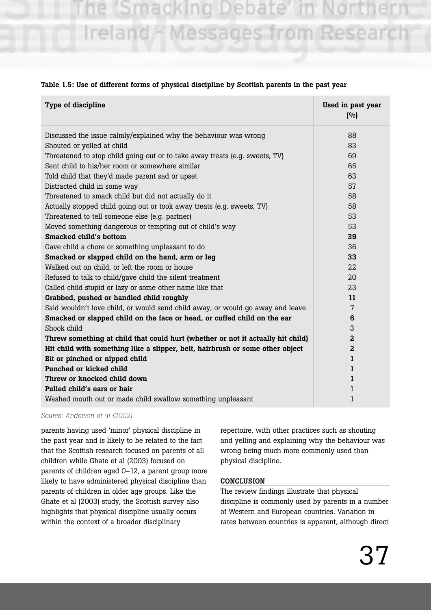macking Ireland - Messages from Research

#### **Table 1.5: Use of different forms of physical discipline by Scottish parents in the past year**

| Type of discipline                                                              | Used in past year<br>(9/0) |
|---------------------------------------------------------------------------------|----------------------------|
| Discussed the issue calmly/explained why the behaviour was wrong                | 88                         |
| Shouted or yelled at child                                                      | 83                         |
| Threatened to stop child going out or to take away treats (e.g. sweets, TV)     | 69                         |
| Sent child to his/her room or somewhere similar                                 | 65<br>63                   |
| Told child that they'd made parent sad or upset                                 |                            |
| Distracted child in some way                                                    | 57                         |
| Threatened to smack child but did not actually do it                            | 58                         |
| Actually stopped child going out or took away treats (e.g. sweets, TV)          | 58                         |
| Threatened to tell someone else (e.g. partner)                                  | 53                         |
| Moved something dangerous or tempting out of child's way                        | 53                         |
| <b>Smacked child's bottom</b>                                                   | 39                         |
| Gave child a chore or something unpleasant to do                                | 36                         |
| Smacked or slapped child on the hand, arm or leg                                | 33                         |
| Walked out on child, or left the room or house                                  | 22                         |
| Refused to talk to child/gave child the silent treatment                        | 20                         |
| Called child stupid or lazy or some other name like that                        | 23                         |
| Grabbed, pushed or handled child roughly                                        | 11                         |
| Said wouldn't love child, or would send child away, or would go away and leave  | 7                          |
| Smacked or slapped child on the face or head, or cuffed child on the ear        | 6                          |
| Shook child                                                                     | 3                          |
| Threw something at child that could hurt (whether or not it actually hit child) | $\overline{a}$             |
| Hit child with something like a slipper, belt, hairbrush or some other object   | $\overline{2}$             |
| Bit or pinched or nipped child                                                  | 1                          |
| Punched or kicked child                                                         | 1                          |
| Threw or knocked child down                                                     | 1                          |
| Pulled child's ears or hair                                                     | 1                          |
| Washed mouth out or made child swallow something unpleasant                     | 1                          |

*Source: Anderson et al (2002)*

parents having used 'minor' physical discipline in the past year and is likely to be related to the fact that the Scottish research focused on parents of all children while Ghate et al (2003) focused on parents of children aged 0–12, a parent group more likely to have administered physical discipline than parents of children in older age groups. Like the Ghate et al (2003) study, the Scottish survey also highlights that physical discipline usually occurs within the context of a broader disciplinary

repertoire, with other practices such as shouting and yelling and explaining why the behaviour was wrong being much more commonly used than physical discipline.

#### **CONCLUSION**

The review findings illustrate that physical discipline is commonly used by parents in a number of Western and European countries. Variation in rates between countries is apparent, although direct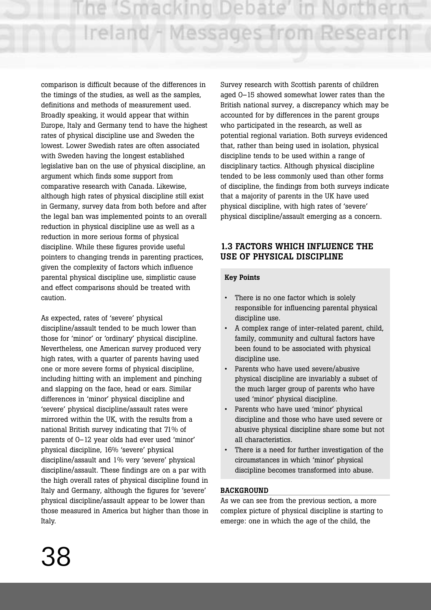comparison is difficult because of the differences in the timings of the studies, as well as the samples, definitions and methods of measurement used. Broadly speaking, it would appear that within Europe, Italy and Germany tend to have the highest rates of physical discipline use and Sweden the lowest. Lower Swedish rates are often associated with Sweden having the longest established legislative ban on the use of physical discipline, an argument which finds some support from comparative research with Canada. Likewise, although high rates of physical discipline still exist in Germany, survey data from both before and after the legal ban was implemented points to an overall reduction in physical discipline use as well as a reduction in more serious forms of physical discipline. While these figures provide useful pointers to changing trends in parenting practices, given the complexity of factors which influence parental physical discipline use, simplistic cause and effect comparisons should be treated with caution.

As expected, rates of 'severe' physical discipline/assault tended to be much lower than those for 'minor' or 'ordinary' physical discipline. Nevertheless, one American survey produced very high rates, with a quarter of parents having used one or more severe forms of physical discipline, including hitting with an implement and pinching and slapping on the face, head or ears. Similar differences in 'minor' physical discipline and 'severe' physical discipline/assault rates were mirrored within the UK, with the results from a national British survey indicating that 71% of parents of 0–12 year olds had ever used 'minor' physical discipline, 16% 'severe' physical discipline/assault and 1% very 'severe' physical discipline/assault. These findings are on a par with the high overall rates of physical discipline found in Italy and Germany, although the figures for 'severe' physical discipline/assault appear to be lower than those measured in America but higher than those in Italy.

Survey research with Scottish parents of children aged 0–15 showed somewhat lower rates than the British national survey, a discrepancy which may be accounted for by differences in the parent groups who participated in the research, as well as potential regional variation. Both surveys evidenced that, rather than being used in isolation, physical discipline tends to be used within a range of disciplinary tactics. Although physical discipline tended to be less commonly used than other forms of discipline, the findings from both surveys indicate that a majority of parents in the UK have used physical discipline, with high rates of 'severe' physical discipline/assault emerging as a concern.

## **1.3 FACTORS WHICH INFLUENCE THE USE OF PHYSICAL DISCIPLINE**

## **Key Points**

- There is no one factor which is solely responsible for influencing parental physical discipline use.
- A complex range of inter-related parent, child, family, community and cultural factors have been found to be associated with physical discipline use.
- Parents who have used severe/abusive physical discipline are invariably a subset of the much larger group of parents who have used 'minor' physical discipline.
- Parents who have used 'minor' physical discipline and those who have used severe or abusive physical discipline share some but not all characteristics.
- There is a need for further investigation of the circumstances in which 'minor' physical discipline becomes transformed into abuse.

#### **BACKGROUND**

As we can see from the previous section, a more complex picture of physical discipline is starting to emerge: one in which the age of the child, the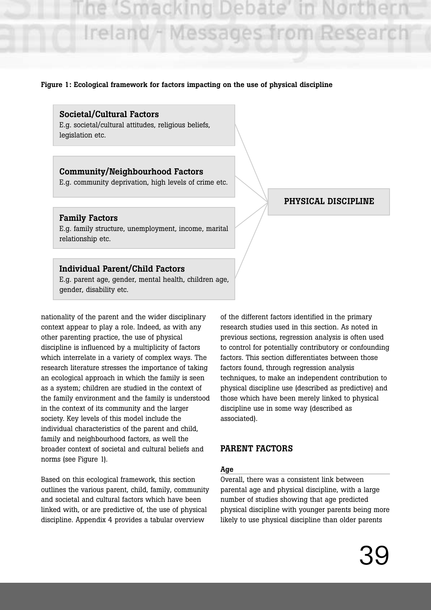#### **Figure 1: Ecological framework for factors impacting on the use of physical discipline**

#### **Societal/Cultural Factors**

E.g. societal/cultural attitudes, religious beliefs, legislation etc.

## **Community/Neighbourhood Factors**

E.g. community deprivation, high levels of crime etc.

#### **Family Factors**

E.g. family structure, unemployment, income, marital relationship etc.

#### **Individual Parent/Child Factors**

E.g. parent age, gender, mental health, children age, gender, disability etc.

nationality of the parent and the wider disciplinary context appear to play a role. Indeed, as with any other parenting practice, the use of physical discipline is influenced by a multiplicity of factors which interrelate in a variety of complex ways. The research literature stresses the importance of taking an ecological approach in which the family is seen as a system; children are studied in the context of the family environment and the family is understood in the context of its community and the larger society. Key levels of this model include the individual characteristics of the parent and child, family and neighbourhood factors, as well the broader context of societal and cultural beliefs and norms (see Figure 1).

Based on this ecological framework, this section outlines the various parent, child, family, community and societal and cultural factors which have been linked with, or are predictive of, the use of physical discipline. Appendix 4 provides a tabular overview

of the different factors identified in the primary research studies used in this section. As noted in previous sections, regression analysis is often used to control for potentially contributory or confounding factors. This section differentiates between those factors found, through regression analysis techniques, to make an independent contribution to physical discipline use (described as predictive) and those which have been merely linked to physical discipline use in some way (described as associated).

#### **PARENT FACTORS**

#### **Age**

Overall, there was a consistent link between parental age and physical discipline, with a large number of studies showing that age predicted physical discipline with younger parents being more likely to use physical discipline than older parents

## **PHYSICAL DISCIPLINE**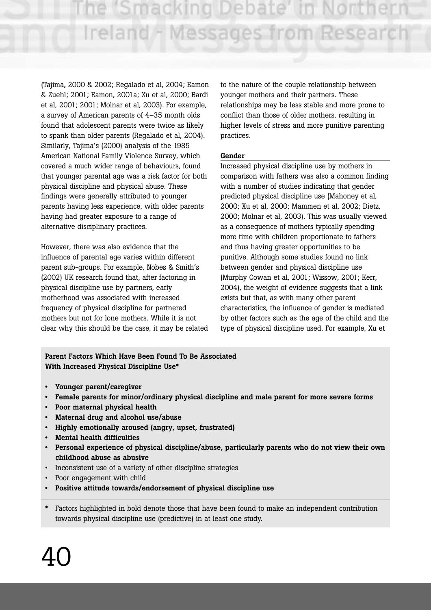e 'Smacking Debate Ireland - Messages from Researc

(Tajima, 2000 & 2002; Regalado et al, 2004; Eamon & Zuehl; 2001; Eamon, 2001a; Xu et al, 2000; Bardi et al, 2001; 2001; Molnar et al, 2003). For example, a survey of American parents of 4–35 month olds found that adolescent parents were twice as likely to spank than older parents (Regalado et al, 2004). Similarly, Tajima's (2000) analysis of the 1985 American National Family Violence Survey, which covered a much wider range of behaviours, found that younger parental age was a risk factor for both physical discipline and physical abuse. These findings were generally attributed to younger parents having less experience, with older parents having had greater exposure to a range of alternative disciplinary practices.

However, there was also evidence that the influence of parental age varies within different parent sub-groups. For example, Nobes & Smith's (2002) UK research found that, after factoring in physical discipline use by partners, early motherhood was associated with increased frequency of physical discipline for partnered mothers but not for lone mothers. While it is not clear why this should be the case, it may be related to the nature of the couple relationship between younger mothers and their partners. These relationships may be less stable and more prone to conflict than those of older mothers, resulting in higher levels of stress and more punitive parenting practices.

#### **Gender**

Increased physical discipline use by mothers in comparison with fathers was also a common finding with a number of studies indicating that gender predicted physical discipline use (Mahoney et al, 2000; Xu et al, 2000; Mammen et al, 2002; Dietz, 2000; Molnar et al, 2003). This was usually viewed as a consequence of mothers typically spending more time with children proportionate to fathers and thus having greater opportunities to be punitive. Although some studies found no link between gender and physical discipline use (Murphy Cowan et al, 2001; Wissow, 2001; Kerr, 2004), the weight of evidence suggests that a link exists but that, as with many other parent characteristics, the influence of gender is mediated by other factors such as the age of the child and the type of physical discipline used. For example, Xu et

**Parent Factors Which Have Been Found To Be Associated With Increased Physical Discipline Use\***

- **Younger parent/caregiver**
- **Female parents for minor/ordinary physical discipline and male parent for more severe forms**
- **Poor maternal physical health**
- **Maternal drug and alcohol use/abuse**
- **Highly emotionally aroused (angry, upset, frustrated)**
- **Mental health difficulties**
- **Personal experience of physical discipline/abuse, particularly parents who do not view their own childhood abuse as abusive**
- Inconsistent use of a variety of other discipline strategies
- Poor engagement with child
- **Positive attitude towards/endorsement of physical discipline use**
- Factors highlighted in bold denote those that have been found to make an independent contribution towards physical discipline use (predictive) in at least one study.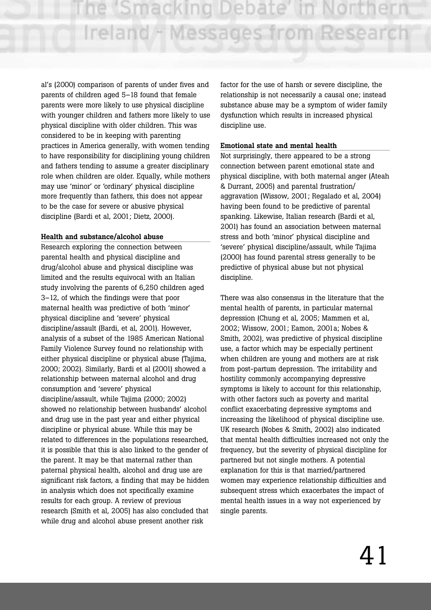al's (2000) comparison of parents of under fives and parents of children aged 5–18 found that female parents were more likely to use physical discipline with younger children and fathers more likely to use physical discipline with older children. This was considered to be in keeping with parenting practices in America generally, with women tending to have responsibility for disciplining young children and fathers tending to assume a greater disciplinary role when children are older. Equally, while mothers may use 'minor' or 'ordinary' physical discipline more frequently than fathers, this does not appear to be the case for severe or abusive physical discipline (Bardi et al, 2001; Dietz, 2000).

#### **Health and substance/alcohol abuse**

Research exploring the connection between parental health and physical discipline and drug/alcohol abuse and physical discipline was limited and the results equivocal with an Italian study involving the parents of 6,250 children aged 3–12, of which the findings were that poor maternal health was predictive of both 'minor' physical discipline and 'severe' physical discipline/assault (Bardi, et al, 2001). However, analysis of a subset of the 1985 American National Family Violence Survey found no relationship with either physical discipline or physical abuse (Tajima, 2000; 2002). Similarly, Bardi et al (2001) showed a relationship between maternal alcohol and drug consumption and 'severe' physical discipline/assault, while Tajima (2000; 2002) showed no relationship between husbands' alcohol and drug use in the past year and either physical discipline or physical abuse. While this may be related to differences in the populations researched, it is possible that this is also linked to the gender of the parent. It may be that maternal rather than paternal physical health, alcohol and drug use are significant risk factors, a finding that may be hidden in analysis which does not specifically examine results for each group. A review of previous research (Smith et al, 2005) has also concluded that while drug and alcohol abuse present another risk

factor for the use of harsh or severe discipline, the relationship is not necessarily a causal one; instead substance abuse may be a symptom of wider family dysfunction which results in increased physical discipline use.

#### **Emotional state and mental health**

Not surprisingly, there appeared to be a strong connection between parent emotional state and physical discipline, with both maternal anger (Ateah & Durrant, 2005) and parental frustration/ aggravation (Wissow, 2001; Regalado et al, 2004) having been found to be predictive of parental spanking. Likewise, Italian research (Bardi et al, 2001) has found an association between maternal stress and both 'minor' physical discipline and 'severe' physical discipline/assault, while Tajima (2000) has found parental stress generally to be predictive of physical abuse but not physical discipline.

There was also consensus in the literature that the mental health of parents, in particular maternal depression (Chung et al, 2005; Mammen et al, 2002; Wissow, 2001; Eamon, 2001a; Nobes & Smith, 2002), was predictive of physical discipline use, a factor which may be especially pertinent when children are young and mothers are at risk from post-partum depression. The irritability and hostility commonly accompanying depressive symptoms is likely to account for this relationship, with other factors such as poverty and marital conflict exacerbating depressive symptoms and increasing the likelihood of physical discipline use. UK research (Nobes & Smith, 2002) also indicated that mental health difficulties increased not only the frequency, but the severity of physical discipline for partnered but not single mothers. A potential explanation for this is that married/partnered women may experience relationship difficulties and subsequent stress which exacerbates the impact of mental health issues in a way not experienced by single parents.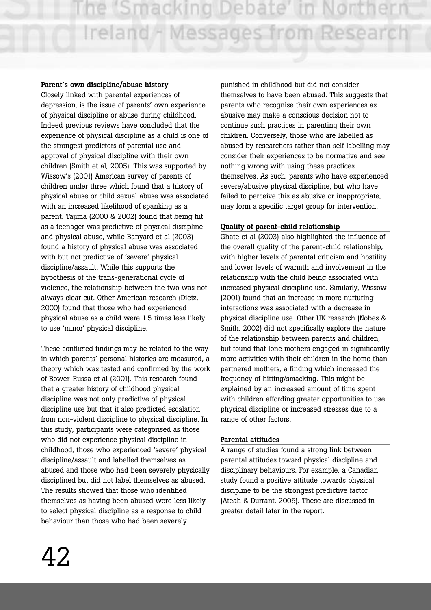#### **Parent's own discipline/abuse history**

Closely linked with parental experiences of depression, is the issue of parents' own experience of physical discipline or abuse during childhood. Indeed previous reviews have concluded that the experience of physical discipline as a child is one of the strongest predictors of parental use and approval of physical discipline with their own children (Smith et al, 2005). This was supported by Wissow's (2001) American survey of parents of children under three which found that a history of physical abuse or child sexual abuse was associated with an increased likelihood of spanking as a parent. Tajima (2000 & 2002) found that being hit as a teenager was predictive of physical discipline and physical abuse, while Banyard et al (2003) found a history of physical abuse was associated with but not predictive of 'severe' physical discipline/assault. While this supports the hypothesis of the trans-generational cycle of violence, the relationship between the two was not always clear cut. Other American research (Dietz, 2000) found that those who had experienced physical abuse as a child were 1.5 times less likely to use 'minor' physical discipline.

These conflicted findings may be related to the way in which parents' personal histories are measured, a theory which was tested and confirmed by the work of Bower-Russa et al (2001). This research found that a greater history of childhood physical discipline was not only predictive of physical discipline use but that it also predicted escalation from non-violent discipline to physical discipline. In this study, participants were categorised as those who did not experience physical discipline in childhood, those who experienced 'severe' physical discipline/assault and labelled themselves as abused and those who had been severely physically disciplined but did not label themselves as abused. The results showed that those who identified themselves as having been abused were less likely to select physical discipline as a response to child behaviour than those who had been severely

punished in childhood but did not consider themselves to have been abused. This suggests that parents who recognise their own experiences as abusive may make a conscious decision not to continue such practices in parenting their own children. Conversely, those who are labelled as abused by researchers rather than self labelling may consider their experiences to be normative and see nothing wrong with using these practices themselves. As such, parents who have experienced severe/abusive physical discipline, but who have failed to perceive this as abusive or inappropriate, may form a specific target group for intervention.

#### **Quality of parent-child relationship**

Ghate et al (2003) also highlighted the influence of the overall quality of the parent-child relationship, with higher levels of parental criticism and hostility and lower levels of warmth and involvement in the relationship with the child being associated with increased physical discipline use. Similarly, Wissow (2001) found that an increase in more nurturing interactions was associated with a decrease in physical discipline use. Other UK research (Nobes & Smith, 2002) did not specifically explore the nature of the relationship between parents and children, but found that lone mothers engaged in significantly more activities with their children in the home than partnered mothers, a finding which increased the frequency of hitting/smacking. This might be explained by an increased amount of time spent with children affording greater opportunities to use physical discipline or increased stresses due to a range of other factors.

#### **Parental attitudes**

A range of studies found a strong link between parental attitudes toward physical discipline and disciplinary behaviours. For example, a Canadian study found a positive attitude towards physical discipline to be the strongest predictive factor (Ateah & Durrant, 2005). These are discussed in greater detail later in the report.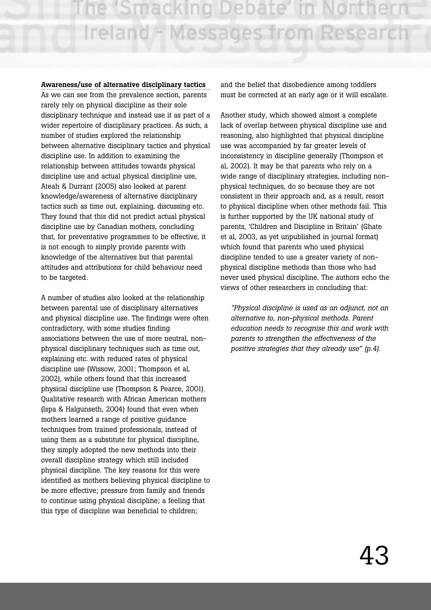#### **Awareness/use of alternative disciplinary tactics**

As we can see from the prevalence section, parents rarely rely on physical discipline as their sole disciplinary technique and instead use it as part of a wider repertoire of disciplinary practices. As such, a number of studies explored the relationship between alternative disciplinary tactics and physical discipline use. In addition to examining the relationship between attitudes towards physical discipline use and actual physical discipline use, Ateah & Durrant (2005) also looked at parent knowledge/awareness of alternative disciplinary tactics such as time out, explaining, discussing etc. They found that this did not predict actual physical discipline use by Canadian mothers, concluding that, for preventative programmes to be effective, it is not enough to simply provide parents with knowledge of the alternatives but that parental attitudes and attributions for child behaviour need to be targeted.

A number of studies also looked at the relationship between parental use of disciplinary alternatives and physical discipline use. The findings were often contradictory, with some studies finding associations between the use of more neutral, nonphysical disciplinary techniques such as time out, explaining etc. with reduced rates of physical discipline use (Wissow, 2001; Thompson et al, 2002), while others found that this increased physical discipline use (Thompson & Pearce, 2001). Qualitative research with African American mothers (Ispa & Halgunseth, 2004) found that even when mothers learned a range of positive guidance techniques from trained professionals, instead of using them as a substitute for physical discipline, they simply adopted the new methods into their overall discipline strategy which still included physical discipline. The key reasons for this were identified as mothers believing physical discipline to be more effective; pressure from family and friends to continue using physical discipline; a feeling that this type of discipline was beneficial to children;

and the belief that disobedience among toddlers must be corrected at an early age or it will escalate.

Another study, which showed almost a complete lack of overlap between physical discipline use and reasoning, also highlighted that physical discipline use was accompanied by far greater levels of inconsistency in discipline generally (Thompson et al, 2002). It may be that parents who rely on a wide range of disciplinary strategies, including nonphysical techniques, do so because they are not consistent in their approach and, as a result, resort to physical discipline when other methods fail. This is further supported by the UK national study of parents, 'Children and Discipline in Britain' (Ghate et al, 2003, as yet unpublished in journal format) which found that parents who used physical discipline tended to use a greater variety of nonphysical discipline methods than those who had never used physical discipline. The authors echo the views of other researchers in concluding that:

*"Physical discipline is used as an adjunct, not an alternative to, non-physical methods. Parent education needs to recognise this and work with parents to strengthen the effectiveness of the positive strategies that they already use" (p.4).*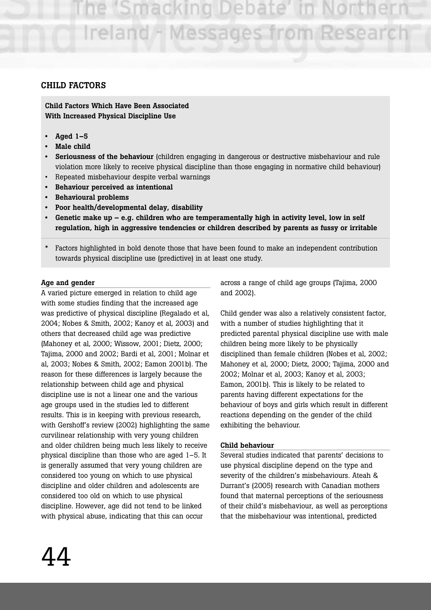ie (Smacking Debate Ireland - Messages from Research

#### **CHILD FACTORS**

**Child Factors Which Have Been Associated With Increased Physical Discipline Use** 

- **Aged 1–5**
- **Male child**
- **Seriousness of the behaviour** (children engaging in dangerous or destructive misbehaviour and rule violation more likely to receive physical discipline than those engaging in normative child behaviour)
- Repeated misbehaviour despite verbal warnings
- **Behaviour perceived as intentional**
- **• Behavioural problems**
- **Poor health/developmental delay, disability**
- **Genetic make up e.g. children who are temperamentally high in activity level, low in self regulation, high in aggressive tendencies or children described by parents as fussy or irritable**
- Factors highlighted in bold denote those that have been found to make an independent contribution towards physical discipline use (predictive) in at least one study.

#### **Age and gender**

A varied picture emerged in relation to child age with some studies finding that the increased age was predictive of physical discipline (Regalado et al, 2004; Nobes & Smith, 2002; Kanoy et al, 2003) and others that decreased child age was predictive (Mahoney et al, 2000; Wissow, 2001; Dietz, 2000; Tajima, 2000 and 2002; Bardi et al, 2001; Molnar et al, 2003; Nobes & Smith, 2002; Eamon 2001b). The reason for these differences is largely because the relationship between child age and physical discipline use is not a linear one and the various age groups used in the studies led to different results. This is in keeping with previous research, with Gershoff's review (2002) highlighting the same curvilinear relationship with very young children and older children being much less likely to receive physical discipline than those who are aged 1–5. It is generally assumed that very young children are considered too young on which to use physical discipline and older children and adolescents are considered too old on which to use physical discipline. However, age did not tend to be linked with physical abuse, indicating that this can occur

across a range of child age groups (Tajima, 2000 and 2002).

Child gender was also a relatively consistent factor, with a number of studies highlighting that it predicted parental physical discipline use with male children being more likely to be physically disciplined than female children (Nobes et al, 2002; Mahoney et al, 2000; Dietz, 2000; Tajima, 2000 and 2002; Molnar et al, 2003; Kanoy et al, 2003; Eamon, 2001b). This is likely to be related to parents having different expectations for the behaviour of boys and girls which result in different reactions depending on the gender of the child exhibiting the behaviour.

#### **Child behaviour**

Several studies indicated that parents' decisions to use physical discipline depend on the type and severity of the children's misbehaviours. Ateah & Durrant's (2005) research with Canadian mothers found that maternal perceptions of the seriousness of their child's misbehaviour, as well as perceptions that the misbehaviour was intentional, predicted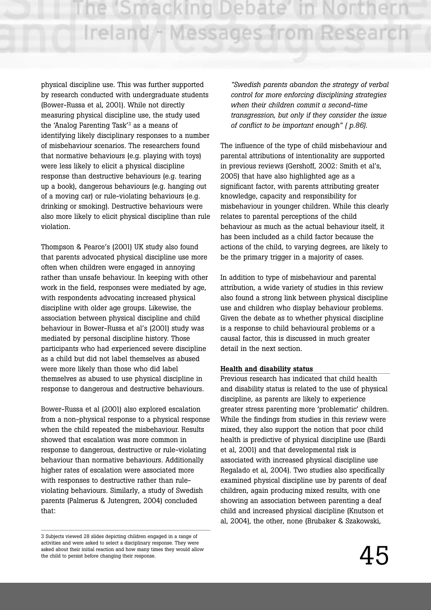physical discipline use. This was further supported by research conducted with undergraduate students (Bower-Russa et al, 2001). While not directly measuring physical discipline use, the study used the 'Analog Parenting Task'3 as a means of identifying likely disciplinary responses to a number of misbehaviour scenarios. The researchers found that normative behaviours (e.g. playing with toys) were less likely to elicit a physical discipline response than destructive behaviours (e.g. tearing up a book), dangerous behaviours (e.g. hanging out of a moving car) or rule-violating behaviours (e.g. drinking or smoking). Destructive behaviours were also more likely to elicit physical discipline than rule violation.

Thompson & Pearce's (2001) UK study also found that parents advocated physical discipline use more often when children were engaged in annoying rather than unsafe behaviour. In keeping with other work in the field, responses were mediated by age, with respondents advocating increased physical discipline with older age groups. Likewise, the association between physical discipline and child behaviour in Bower-Russa et al's (2001) study was mediated by personal discipline history. Those participants who had experienced severe discipline as a child but did not label themselves as abused were more likely than those who did label themselves as abused to use physical discipline in response to dangerous and destructive behaviours.

Bower-Russa et al (2001) also explored escalation from a non-physical response to a physical response when the child repeated the misbehaviour. Results showed that escalation was more common in response to dangerous, destructive or rule-violating behaviour than normative behaviours. Additionally higher rates of escalation were associated more with responses to destructive rather than ruleviolating behaviours. Similarly, a study of Swedish parents (Palmerus & Jutengren, 2004) concluded that:

*"Swedish parents abandon the strategy of verbal control for more enforcing disciplining strategies when their children commit a second-time transgression, but only if they consider the issue of conflict to be important enough" ( p.86).*

The influence of the type of child misbehaviour and parental attributions of intentionality are supported in previous reviews (Gershoff, 2002: Smith et al's, 2005) that have also highlighted age as a significant factor, with parents attributing greater knowledge, capacity and responsibility for misbehaviour in younger children. While this clearly relates to parental perceptions of the child behaviour as much as the actual behaviour itself, it has been included as a child factor because the actions of the child, to varying degrees, are likely to be the primary trigger in a majority of cases.

In addition to type of misbehaviour and parental attribution, a wide variety of studies in this review also found a strong link between physical discipline use and children who display behaviour problems. Given the debate as to whether physical discipline is a response to child behavioural problems or a causal factor, this is discussed in much greater detail in the next section.

#### **Health and disability status**

Previous research has indicated that child health and disability status is related to the use of physical discipline, as parents are likely to experience greater stress parenting more 'problematic' children. While the findings from studies in this review were mixed, they also support the notion that poor child health is predictive of physical discipline use (Bardi et al, 2001) and that developmental risk is associated with increased physical discipline use Regalado et al, 2004). Two studies also specifically examined physical discipline use by parents of deaf children, again producing mixed results, with one showing an association between parenting a deaf child and increased physical discipline (Knutson et al, 2004), the other, none (Brubaker & Szakowski,

<sup>3</sup> Subjects viewed 28 slides depicting children engaged in a range of activities and were asked to select a disciplinary response. They were asked about their initial reaction and how many times they would allow the child to persist before changing their response.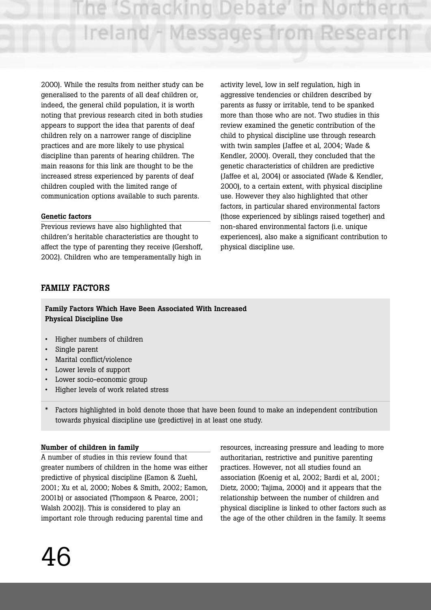e 'Smacking Debate Ireland - Messages from Research

2000). While the results from neither study can be generalised to the parents of all deaf children or, indeed, the general child population, it is worth noting that previous research cited in both studies appears to support the idea that parents of deaf children rely on a narrower range of discipline practices and are more likely to use physical discipline than parents of hearing children. The main reasons for this link are thought to be the increased stress experienced by parents of deaf children coupled with the limited range of communication options available to such parents.

#### **Genetic factors**

Previous reviews have also highlighted that children's heritable characteristics are thought to affect the type of parenting they receive (Gershoff, 2002). Children who are temperamentally high in

activity level, low in self regulation, high in aggressive tendencies or children described by parents as fussy or irritable, tend to be spanked more than those who are not. Two studies in this review examined the genetic contribution of the child to physical discipline use through research with twin samples (Jaffee et al, 2004; Wade & Kendler, 2000). Overall, they concluded that the genetic characteristics of children are predictive (Jaffee et al, 2004) or associated (Wade & Kendler, 2000), to a certain extent, with physical discipline use. However they also highlighted that other factors, in particular shared environmental factors (those experienced by siblings raised together) and non-shared environmental factors (i.e. unique experiences), also make a significant contribution to physical discipline use.

## **FAMILY FACTORS**

**Family Factors Which Have Been Associated With Increased Physical Discipline Use**

- Higher numbers of children
- Single parent
- Marital conflict/violence
- Lower levels of support
- Lower socio-economic group
- Higher levels of work related stress
- Factors highlighted in bold denote those that have been found to make an independent contribution towards physical discipline use (predictive) in at least one study.

#### **Number of children in family**

A number of studies in this review found that greater numbers of children in the home was either predictive of physical discipline (Eamon & Zuehl, 2001; Xu et al, 2000; Nobes & Smith, 2002; Eamon, 2001b) or associated (Thompson & Pearce, 2001; Walsh 2002)). This is considered to play an important role through reducing parental time and

resources, increasing pressure and leading to more authoritarian, restrictive and punitive parenting practices. However, not all studies found an association (Koenig et al, 2002; Bardi et al, 2001; Dietz, 2000; Tajima, 2000) and it appears that the relationship between the number of children and physical discipline is linked to other factors such as the age of the other children in the family. It seems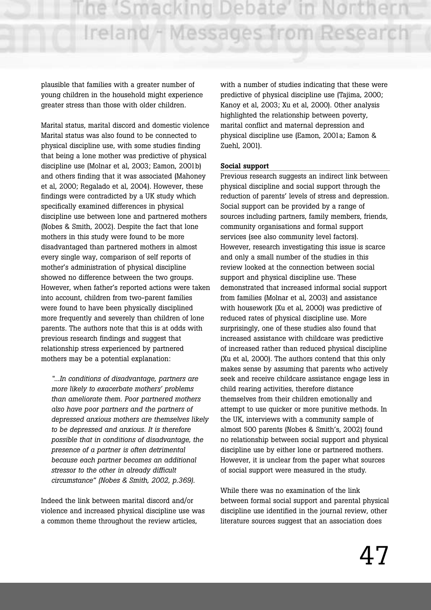plausible that families with a greater number of young children in the household might experience greater stress than those with older children.

Marital status, marital discord and domestic violence Marital status was also found to be connected to physical discipline use, with some studies finding that being a lone mother was predictive of physical discipline use (Molnar et al, 2003; Eamon, 2001b) and others finding that it was associated (Mahoney et al, 2000; Regalado et al, 2004). However, these findings were contradicted by a UK study which specifically examined differences in physical discipline use between lone and partnered mothers (Nobes & Smith, 2002). Despite the fact that lone mothers in this study were found to be more disadvantaged than partnered mothers in almost every single way, comparison of self reports of mother's administration of physical discipline showed no difference between the two groups. However, when father's reported actions were taken into account, children from two-parent families were found to have been physically disciplined more frequently and severely than children of lone parents. The authors note that this is at odds with previous research findings and suggest that relationship stress experienced by partnered mothers may be a potential explanation:

*"...In conditions of disadvantage, partners are more likely to exacerbate mothers' problems than ameliorate them. Poor partnered mothers also have poor partners and the partners of depressed anxious mothers are themselves likely to be depressed and anxious. It is therefore possible that in conditions of disadvantage, the presence of a partner is often detrimental because each partner becomes an additional stressor to the other in already difficult circumstance" (Nobes & Smith, 2002, p.369).*

Indeed the link between marital discord and/or violence and increased physical discipline use was a common theme throughout the review articles,

with a number of studies indicating that these were predictive of physical discipline use (Tajima, 2000; Kanoy et al, 2003; Xu et al, 2000). Other analysis highlighted the relationship between poverty, marital conflict and maternal depression and physical discipline use (Eamon, 2001a; Eamon & Zuehl, 2001).

#### **Social support**

Previous research suggests an indirect link between physical discipline and social support through the reduction of parents' levels of stress and depression. Social support can be provided by a range of sources including partners, family members, friends, community organisations and formal support services (see also community level factors). However, research investigating this issue is scarce and only a small number of the studies in this review looked at the connection between social support and physical discipline use. These demonstrated that increased informal social support from families (Molnar et al, 2003) and assistance with housework (Xu et al, 2000) was predictive of reduced rates of physical discipline use. More surprisingly, one of these studies also found that increased assistance with childcare was predictive of increased rather than reduced physical discipline (Xu et al, 2000). The authors contend that this only makes sense by assuming that parents who actively seek and receive childcare assistance engage less in child rearing activities, therefore distance themselves from their children emotionally and attempt to use quicker or more punitive methods. In the UK, interviews with a community sample of almost 500 parents (Nobes & Smith's, 2002) found no relationship between social support and physical discipline use by either lone or partnered mothers. However, it is unclear from the paper what sources of social support were measured in the study.

While there was no examination of the link between formal social support and parental physical discipline use identified in the journal review, other literature sources suggest that an association does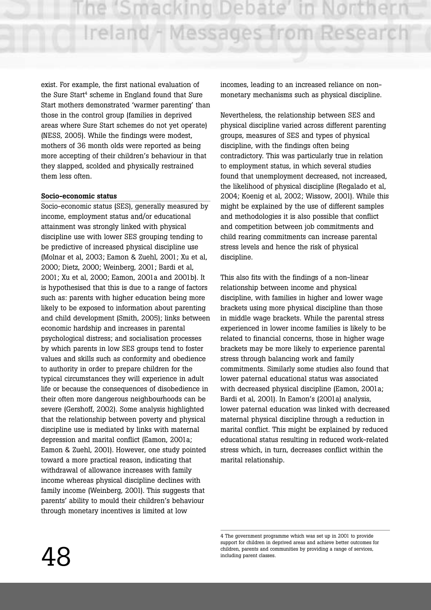exist. For example, the first national evaluation of the Sure Start<sup>4</sup> scheme in England found that Sure Start mothers demonstrated 'warmer parenting' than those in the control group (families in deprived areas where Sure Start schemes do not yet operate) (NESS, 2005). While the findings were modest, mothers of 36 month olds were reported as being more accepting of their children's behaviour in that they slapped, scolded and physically restrained them less often.

#### **Socio-economic status**

Socio-economic status (SES), generally measured by income, employment status and/or educational attainment was strongly linked with physical discipline use with lower SES grouping tending to be predictive of increased physical discipline use (Molnar et al, 2003; Eamon & Zuehl, 2001; Xu et al, 2000; Dietz, 2000; Weinberg, 2001; Bardi et al, 2001; Xu et al, 2000; Eamon, 2001a and 2001b). It is hypothesised that this is due to a range of factors such as: parents with higher education being more likely to be exposed to information about parenting and child development (Smith, 2005); links between economic hardship and increases in parental psychological distress; and socialisation processes by which parents in low SES groups tend to foster values and skills such as conformity and obedience to authority in order to prepare children for the typical circumstances they will experience in adult life or because the consequences of disobedience in their often more dangerous neighbourhoods can be severe (Gershoff, 2002). Some analysis highlighted that the relationship between poverty and physical discipline use is mediated by links with maternal depression and marital conflict (Eamon, 2001a; Eamon & Zuehl, 2001). However, one study pointed toward a more practical reason, indicating that withdrawal of allowance increases with family income whereas physical discipline declines with family income (Weinberg, 2001). This suggests that parents' ability to mould their children's behaviour through monetary incentives is limited at low

incomes, leading to an increased reliance on nonmonetary mechanisms such as physical discipline.

Nevertheless, the relationship between SES and physical discipline varied across different parenting groups, measures of SES and types of physical discipline, with the findings often being contradictory. This was particularly true in relation to employment status, in which several studies found that unemployment decreased, not increased, the likelihood of physical discipline (Regalado et al, 2004; Koenig et al, 2002; Wissow, 2001). While this might be explained by the use of different samples and methodologies it is also possible that conflict and competition between job commitments and child rearing commitments can increase parental stress levels and hence the risk of physical discipline.

This also fits with the findings of a non-linear relationship between income and physical discipline, with families in higher and lower wage brackets using more physical discipline than those in middle wage brackets. While the parental stress experienced in lower income families is likely to be related to financial concerns, those in higher wage brackets may be more likely to experience parental stress through balancing work and family commitments. Similarly some studies also found that lower paternal educational status was associated with decreased physical discipline (Eamon, 2001a; Bardi et al, 2001). In Eamon's (2001a) analysis, lower paternal education was linked with decreased maternal physical discipline through a reduction in marital conflict. This might be explained by reduced educational status resulting in reduced work-related stress which, in turn, decreases conflict within the marital relationship.

<sup>4</sup> The government programme which was set up in 2001 to provide support for children in deprived areas and achieve better outcomes for children, parents and communities by providing a range of services, including parent classes.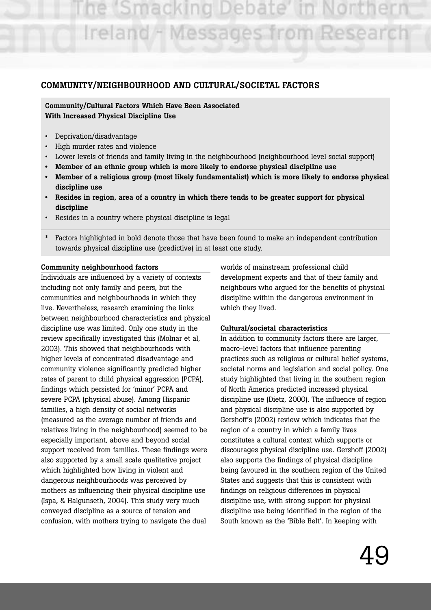e 'Smacking Debate Ireland - Messages from Research

## **COMMUNITY/NEIGHBOURHOOD AND CULTURAL/SOCIETAL FACTORS**

**Community/Cultural Factors Which Have Been Associated With Increased Physical Discipline Use**

- Deprivation/disadvantage
- High murder rates and violence
- Lower levels of friends and family living in the neighbourhood (neighbourhood level social support)
- **Member of an ethnic group which is more likely to endorse physical discipline use**
- **Member of a religious group (most likely fundamentalist) which is more likely to endorse physical discipline use**
- **Resides in region, area of a country in which there tends to be greater support for physical discipline**
- Resides in a country where physical discipline is legal
- Factors highlighted in bold denote those that have been found to make an independent contribution towards physical discipline use (predictive) in at least one study.

#### **Community neighbourhood factors**

Individuals are influenced by a variety of contexts including not only family and peers, but the communities and neighbourhoods in which they live. Nevertheless, research examining the links between neighbourhood characteristics and physical discipline use was limited. Only one study in the review specifically investigated this (Molnar et al, 2003). This showed that neighbourhoods with higher levels of concentrated disadvantage and community violence significantly predicted higher rates of parent to child physical aggression (PCPA), findings which persisted for 'minor' PCPA and severe PCPA (physical abuse). Among Hispanic families, a high density of social networks (measured as the average number of friends and relatives living in the neighbourhood) seemed to be especially important, above and beyond social support received from families. These findings were also supported by a small scale qualitative project which highlighted how living in violent and dangerous neighbourhoods was perceived by mothers as influencing their physical discipline use (Ispa, & Halgunseth, 2004). This study very much conveyed discipline as a source of tension and confusion, with mothers trying to navigate the dual

worlds of mainstream professional child development experts and that of their family and neighbours who argued for the benefits of physical discipline within the dangerous environment in which they lived.

#### **Cultural/societal characteristics**

In addition to community factors there are larger, macro-level factors that influence parenting practices such as religious or cultural belief systems, societal norms and legislation and social policy. One study highlighted that living in the southern region of North America predicted increased physical discipline use (Dietz, 2000). The influence of region and physical discipline use is also supported by Gershoff's (2002) review which indicates that the region of a country in which a family lives constitutes a cultural context which supports or discourages physical discipline use. Gershoff (2002) also supports the findings of physical discipline being favoured in the southern region of the United States and suggests that this is consistent with findings on religious differences in physical discipline use, with strong support for physical discipline use being identified in the region of the South known as the 'Bible Belt'. In keeping with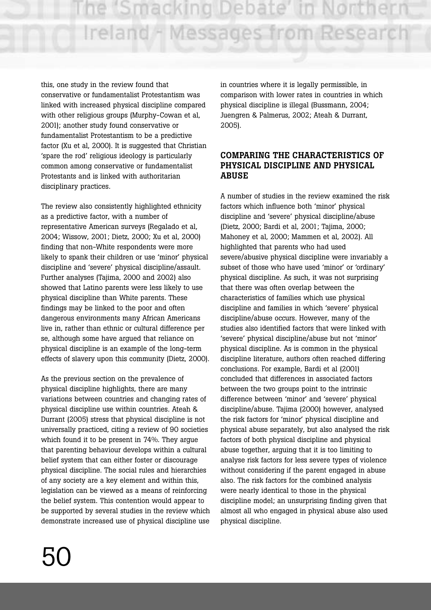this, one study in the review found that conservative or fundamentalist Protestantism was linked with increased physical discipline compared with other religious groups (Murphy-Cowan et al, 2001); another study found conservative or fundamentalist Protestantism to be a predictive factor (Xu et al, 2000). It is suggested that Christian 'spare the rod' religious ideology is particularly common among conservative or fundamentalist Protestants and is linked with authoritarian disciplinary practices.

The review also consistently highlighted ethnicity as a predictive factor, with a number of representative American surveys (Regalado et al, 2004; Wissow, 2001; Dietz, 2000; Xu et al, 2000) finding that non-White respondents were more likely to spank their children or use 'minor' physical discipline and 'severe' physical discipline/assault. Further analyses (Tajima, 2000 and 2002) also showed that Latino parents were less likely to use physical discipline than White parents. These findings may be linked to the poor and often dangerous environments many African Americans live in, rather than ethnic or cultural difference per se, although some have argued that reliance on physical discipline is an example of the long-term effects of slavery upon this community (Dietz, 2000).

As the previous section on the prevalence of physical discipline highlights, there are many variations between countries and changing rates of physical discipline use within countries. Ateah & Durrant (2005) stress that physical discipline is not universally practiced, citing a review of 90 societies which found it to be present in 74%. They argue that parenting behaviour develops within a cultural belief system that can either foster or discourage physical discipline. The social rules and hierarchies of any society are a key element and within this, legislation can be viewed as a means of reinforcing the belief system. This contention would appear to be supported by several studies in the review which demonstrate increased use of physical discipline use

in countries where it is legally permissible, in comparison with lower rates in countries in which physical discipline is illegal (Bussmann, 2004; Juengren & Palmerus, 2002; Ateah & Durrant, 2005).

## **COMPARING THE CHARACTERISTICS OF PHYSICAL DISCIPLINE AND PHYSICAL ABUSE**

A number of studies in the review examined the risk factors which influence both 'minor' physical discipline and 'severe' physical discipline/abuse (Dietz, 2000; Bardi et al, 2001; Tajima, 2000; Mahoney et al, 2000; Mammen et al, 2002). All highlighted that parents who had used severe/abusive physical discipline were invariably a subset of those who have used 'minor' or 'ordinary' physical discipline. As such, it was not surprising that there was often overlap between the characteristics of families which use physical discipline and families in which 'severe' physical discipline/abuse occurs. However, many of the studies also identified factors that were linked with 'severe' physical discipline/abuse but not 'minor' physical discipline. As is common in the physical discipline literature, authors often reached differing conclusions. For example, Bardi et al (2001) concluded that differences in associated factors between the two groups point to the intrinsic difference between 'minor' and 'severe' physical discipline/abuse. Tajima (2000) however, analysed the risk factors for 'minor' physical discipline and physical abuse separately, but also analysed the risk factors of both physical discipline and physical abuse together, arguing that it is too limiting to analyse risk factors for less severe types of violence without considering if the parent engaged in abuse also. The risk factors for the combined analysis were nearly identical to those in the physical discipline model; an unsurprising finding given that almost all who engaged in physical abuse also used physical discipline.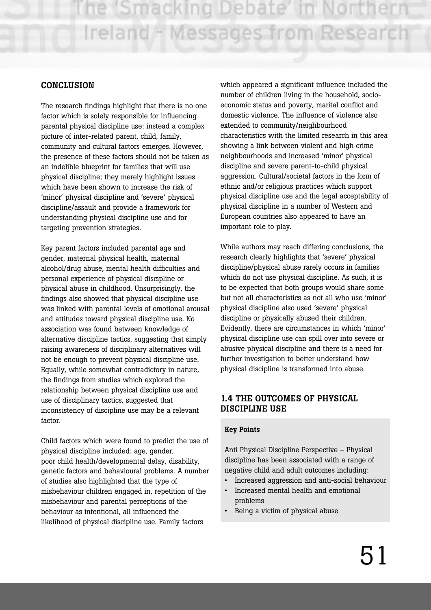#### **CONCLUSION**

The research findings highlight that there is no one factor which is solely responsible for influencing parental physical discipline use: instead a complex picture of inter-related parent, child, family, community and cultural factors emerges. However, the presence of these factors should not be taken as an indelible blueprint for families that will use physical discipline; they merely highlight issues which have been shown to increase the risk of 'minor' physical discipline and 'severe' physical discipline/assault and provide a framework for understanding physical discipline use and for targeting prevention strategies.

Key parent factors included parental age and gender, maternal physical health, maternal alcohol/drug abuse, mental health difficulties and personal experience of physical discipline or physical abuse in childhood. Unsurprisingly, the findings also showed that physical discipline use was linked with parental levels of emotional arousal and attitudes toward physical discipline use. No association was found between knowledge of alternative discipline tactics, suggesting that simply raising awareness of disciplinary alternatives will not be enough to prevent physical discipline use. Equally, while somewhat contradictory in nature, the findings from studies which explored the relationship between physical discipline use and use of disciplinary tactics, suggested that inconsistency of discipline use may be a relevant factor.

Child factors which were found to predict the use of physical discipline included: age, gender, poor child health/developmental delay, disability, genetic factors and behavioural problems. A number of studies also highlighted that the type of misbehaviour children engaged in, repetition of the misbehaviour and parental perceptions of the behaviour as intentional, all influenced the likelihood of physical discipline use. Family factors

which appeared a significant influence included the number of children living in the household, socioeconomic status and poverty, marital conflict and domestic violence. The influence of violence also extended to community/neighbourhood characteristics with the limited research in this area showing a link between violent and high crime neighbourhoods and increased 'minor' physical discipline and severe parent-to-child physical aggression. Cultural/societal factors in the form of ethnic and/or religious practices which support physical discipline use and the legal acceptability of physical discipline in a number of Western and European countries also appeared to have an important role to play.

While authors may reach differing conclusions, the research clearly highlights that 'severe' physical discipline/physical abuse rarely occurs in families which do not use physical discipline. As such, it is to be expected that both groups would share some but not all characteristics as not all who use 'minor' physical discipline also used 'severe' physical discipline or physically abused their children. Evidently, there are circumstances in which 'minor' physical discipline use can spill over into severe or abusive physical discipline and there is a need for further investigation to better understand how physical discipline is transformed into abuse.

## **1.4 THE OUTCOMES OF PHYSICAL DISCIPLINE USE**

#### **Key Points**

Anti Physical Discipline Perspective – Physical discipline has been associated with a range of negative child and adult outcomes including:

- Increased aggression and anti-social behaviour
- Increased mental health and emotional problems
- Being a victim of physical abuse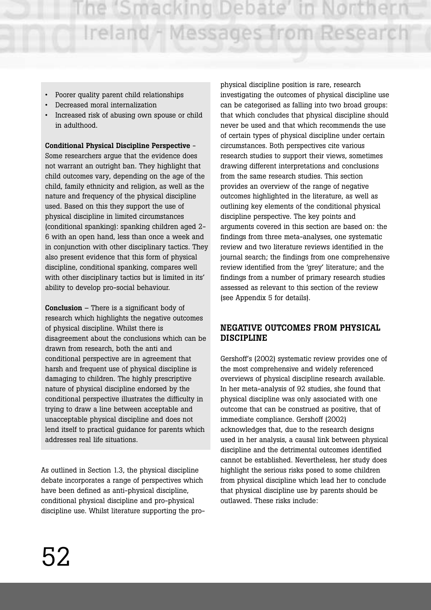- Poorer quality parent child relationships
- Decreased moral internalization
- Increased risk of abusing own spouse or child in adulthood.

**Conditional Physical Discipline Perspective** - Some researchers argue that the evidence does not warrant an outright ban. They highlight that child outcomes vary, depending on the age of the child, family ethnicity and religion, as well as the nature and frequency of the physical discipline used. Based on this they support the use of physical discipline in limited circumstances (conditional spanking): spanking children aged 2- 6 with an open hand, less than once a week and in conjunction with other disciplinary tactics. They also present evidence that this form of physical discipline, conditional spanking, compares well with other disciplinary tactics but is limited in its' ability to develop pro-social behaviour.

**Conclusion** – There is a significant body of research which highlights the negative outcomes of physical discipline. Whilst there is disagreement about the conclusions which can be drawn from research, both the anti and conditional perspective are in agreement that harsh and frequent use of physical discipline is damaging to children. The highly prescriptive nature of physical discipline endorsed by the conditional perspective illustrates the difficulty in trying to draw a line between acceptable and unacceptable physical discipline and does not lend itself to practical guidance for parents which addresses real life situations.

As outlined in Section 1.3, the physical discipline debate incorporates a range of perspectives which have been defined as anti-physical discipline, conditional physical discipline and pro-physical discipline use. Whilst literature supporting the prophysical discipline position is rare, research investigating the outcomes of physical discipline use can be categorised as falling into two broad groups: that which concludes that physical discipline should never be used and that which recommends the use of certain types of physical discipline under certain circumstances. Both perspectives cite various research studies to support their views, sometimes drawing different interpretations and conclusions from the same research studies. This section provides an overview of the range of negative outcomes highlighted in the literature, as well as outlining key elements of the conditional physical discipline perspective. The key points and arguments covered in this section are based on: the findings from three meta-analyses, one systematic review and two literature reviews identified in the journal search; the findings from one comprehensive review identified from the 'grey' literature; and the findings from a number of primary research studies assessed as relevant to this section of the review (see Appendix 5 for details).

## **NEGATIVE OUTCOMES FROM PHYSICAL DISCIPLINE**

Gershoff's (2002) systematic review provides one of the most comprehensive and widely referenced overviews of physical discipline research available. In her meta-analysis of 92 studies, she found that physical discipline was only associated with one outcome that can be construed as positive, that of immediate compliance. Gershoff (2002) acknowledges that, due to the research designs used in her analysis, a causal link between physical discipline and the detrimental outcomes identified cannot be established. Nevertheless, her study does highlight the serious risks posed to some children from physical discipline which lead her to conclude that physical discipline use by parents should be outlawed. These risks include: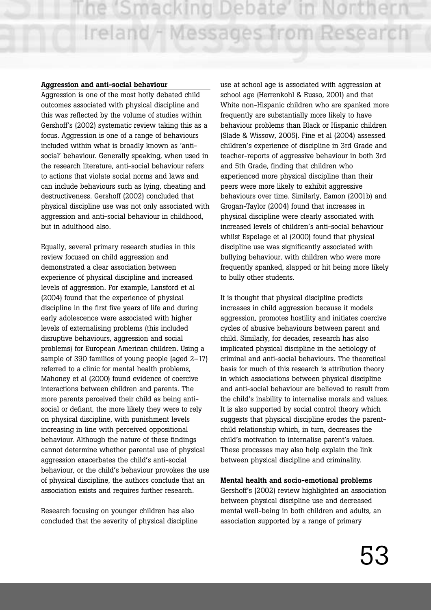#### **Aggression and anti-social behaviour**

Aggression is one of the most hotly debated child outcomes associated with physical discipline and this was reflected by the volume of studies within Gershoff's (2002) systematic review taking this as a focus. Aggression is one of a range of behaviours included within what is broadly known as 'antisocial' behaviour. Generally speaking, when used in the research literature, anti-social behaviour refers to actions that violate social norms and laws and can include behaviours such as lying, cheating and destructiveness. Gershoff (2002) concluded that physical discipline use was not only associated with aggression and anti-social behaviour in childhood, but in adulthood also.

Equally, several primary research studies in this review focused on child aggression and demonstrated a clear association between experience of physical discipline and increased levels of aggression. For example, Lansford et al (2004) found that the experience of physical discipline in the first five years of life and during early adolescence were associated with higher levels of externalising problems (this included disruptive behaviours, aggression and social problems) for European American children. Using a sample of 390 families of young people (aged 2–17) referred to a clinic for mental health problems, Mahoney et al (2000) found evidence of coercive interactions between children and parents. The more parents perceived their child as being antisocial or defiant, the more likely they were to rely on physical discipline, with punishment levels increasing in line with perceived oppositional behaviour. Although the nature of these findings cannot determine whether parental use of physical aggression exacerbates the child's anti-social behaviour, or the child's behaviour provokes the use of physical discipline, the authors conclude that an association exists and requires further research.

Research focusing on younger children has also concluded that the severity of physical discipline use at school age is associated with aggression at school age (Herrenkohl & Russo, 2001) and that White non-Hispanic children who are spanked more frequently are substantially more likely to have behaviour problems than Black or Hispanic children (Slade & Wissow, 2005). Fine et al (2004) assessed children's experience of discipline in 3rd Grade and teacher-reports of aggressive behaviour in both 3rd and 5th Grade, finding that children who experienced more physical discipline than their peers were more likely to exhibit aggressive behaviours over time. Similarly, Eamon (2001b) and Grogan-Taylor (2004) found that increases in physical discipline were clearly associated with increased levels of children's anti-social behaviour whilst Espelage et al (2000) found that physical discipline use was significantly associated with bullying behaviour, with children who were more frequently spanked, slapped or hit being more likely to bully other students.

It is thought that physical discipline predicts increases in child aggression because it models aggression, promotes hostility and initiates coercive cycles of abusive behaviours between parent and child. Similarly, for decades, research has also implicated physical discipline in the aetiology of criminal and anti-social behaviours. The theoretical basis for much of this research is attribution theory in which associations between physical discipline and anti-social behaviour are believed to result from the child's inability to internalise morals and values. It is also supported by social control theory which suggests that physical discipline erodes the parentchild relationship which, in turn, decreases the child's motivation to internalise parent's values. These processes may also help explain the link between physical discipline and criminality.

#### **Mental health and socio-emotional problems**

Gershoff's (2002) review highlighted an association between physical discipline use and decreased mental well-being in both children and adults, an association supported by a range of primary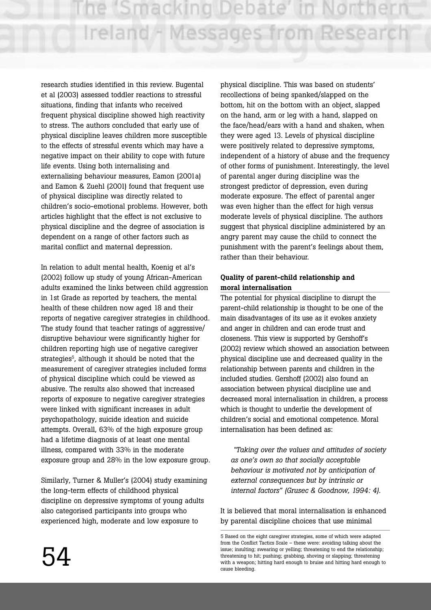research studies identified in this review. Bugental et al (2003) assessed toddler reactions to stressful situations, finding that infants who received frequent physical discipline showed high reactivity to stress. The authors concluded that early use of physical discipline leaves children more susceptible to the effects of stressful events which may have a negative impact on their ability to cope with future life events. Using both internalising and externalising behaviour measures, Eamon (2001a) and Eamon & Zuehl (2001) found that frequent use of physical discipline was directly related to children's socio-emotional problems. However, both articles highlight that the effect is not exclusive to physical discipline and the degree of association is dependent on a range of other factors such as marital conflict and maternal depression.

In relation to adult mental health, Koenig et al's (2002) follow up study of young African-American adults examined the links between child aggression in 1st Grade as reported by teachers, the mental health of these children now aged 18 and their reports of negative caregiver strategies in childhood. The study found that teacher ratings of aggressive/ disruptive behaviour were significantly higher for children reporting high use of negative caregiver strategies<sup>5</sup>, although it should be noted that the measurement of caregiver strategies included forms of physical discipline which could be viewed as abusive. The results also showed that increased reports of exposure to negative caregiver strategies were linked with significant increases in adult psychopathology, suicide ideation and suicide attempts. Overall, 63% of the high exposure group had a lifetime diagnosis of at least one mental illness, compared with 33% in the moderate exposure group and 28% in the low exposure group.

Similarly, Turner & Muller's (2004) study examining the long-term effects of childhood physical discipline on depressive symptoms of young adults also categorised participants into groups who experienced high, moderate and low exposure to

physical discipline. This was based on students' recollections of being spanked/slapped on the bottom, hit on the bottom with an object, slapped on the hand, arm or leg with a hand, slapped on the face/head/ears with a hand and shaken, when they were aged 13. Levels of physical discipline were positively related to depressive symptoms, independent of a history of abuse and the frequency of other forms of punishment. Interestingly, the level of parental anger during discipline was the strongest predictor of depression, even during moderate exposure. The effect of parental anger was even higher than the effect for high versus moderate levels of physical discipline. The authors suggest that physical discipline administered by an angry parent may cause the child to connect the punishment with the parent's feelings about them, rather than their behaviour.

## **Quality of parent-child relationship and moral internalisation**

The potential for physical discipline to disrupt the parent-child relationship is thought to be one of the main disadvantages of its use as it evokes anxiety and anger in children and can erode trust and closeness. This view is supported by Gershoff's (2002) review which showed an association between physical discipline use and decreased quality in the relationship between parents and children in the included studies. Gershoff (2002) also found an association between physical discipline use and decreased moral internalisation in children, a process which is thought to underlie the development of children's social and emotional competence. Moral internalisation has been defined as:

*"Taking over the values and attitudes of society as one's own so that socially acceptable behaviour is motivated not by anticipation of external consequences but by intrinsic or internal factors" (Grusec & Goodnow, 1994: 4).*

It is believed that moral internalisation is enhanced by parental discipline choices that use minimal

<sup>5</sup> Based on the eight caregiver strategies, some of which were adapted from the Conflict Tactics Scale – these were: avoiding talking about the issue; insulting; swearing or yelling; threatening to end the relationship; threatening to hit; pushing; grabbing, shoving or slapping; threatening with a weapon; hitting hard enough to bruise and hitting hard enough to cause bleeding.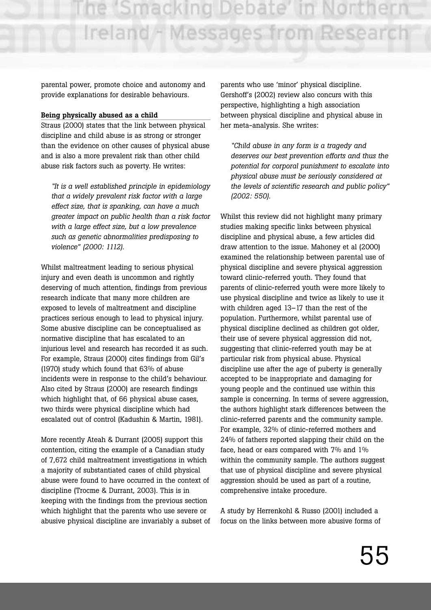parental power, promote choice and autonomy and provide explanations for desirable behaviours.

#### **Being physically abused as a child**

Straus (2000) states that the link between physical discipline and child abuse is as strong or stronger than the evidence on other causes of physical abuse and is also a more prevalent risk than other child abuse risk factors such as poverty. He writes:

*"It is a well established principle in epidemiology that a widely prevalent risk factor with a large effect size, that is spanking, can have a much greater impact on public health than a risk factor with a large effect size, but a low prevalence such as genetic abnormalities predisposing to violence" (2000: 1112).*

Whilst maltreatment leading to serious physical injury and even death is uncommon and rightly deserving of much attention, findings from previous research indicate that many more children are exposed to levels of maltreatment and discipline practices serious enough to lead to physical injury. Some abusive discipline can be conceptualised as normative discipline that has escalated to an injurious level and research has recorded it as such. For example, Straus (2000) cites findings from Gil's (1970) study which found that 63% of abuse incidents were in response to the child's behaviour. Also cited by Straus (2000) are research findings which highlight that, of 66 physical abuse cases, two thirds were physical discipline which had escalated out of control (Kadushin & Martin, 1981).

More recently Ateah & Durrant (2005) support this contention, citing the example of a Canadian study of 7,672 child maltreatment investigations in which a majority of substantiated cases of child physical abuse were found to have occurred in the context of discipline (Trocme & Durrant, 2003). This is in keeping with the findings from the previous section which highlight that the parents who use severe or abusive physical discipline are invariably a subset of parents who use 'minor' physical discipline. Gershoff's (2002) review also concurs with this perspective, highlighting a high association between physical discipline and physical abuse in her meta-analysis. She writes:

*"Child abuse in any form is a tragedy and deserves our best prevention efforts and thus the potential for corporal punishment to escalate into physical abuse must be seriously considered at the levels of scientific research and public policy" (2002: 550).*

Whilst this review did not highlight many primary studies making specific links between physical discipline and physical abuse, a few articles did draw attention to the issue. Mahoney et al (2000) examined the relationship between parental use of physical discipline and severe physical aggression toward clinic-referred youth. They found that parents of clinic-referred youth were more likely to use physical discipline and twice as likely to use it with children aged 13–17 than the rest of the population. Furthermore, whilst parental use of physical discipline declined as children got older, their use of severe physical aggression did not, suggesting that clinic-referred youth may be at particular risk from physical abuse. Physical discipline use after the age of puberty is generally accepted to be inappropriate and damaging for young people and the continued use within this sample is concerning. In terms of severe aggression, the authors highlight stark differences between the clinic-referred parents and the community sample. For example, 32% of clinic-referred mothers and 24% of fathers reported slapping their child on the face, head or ears compared with 7% and 1% within the community sample. The authors suggest that use of physical discipline and severe physical aggression should be used as part of a routine, comprehensive intake procedure.

A study by Herrenkohl & Russo (2001) included a focus on the links between more abusive forms of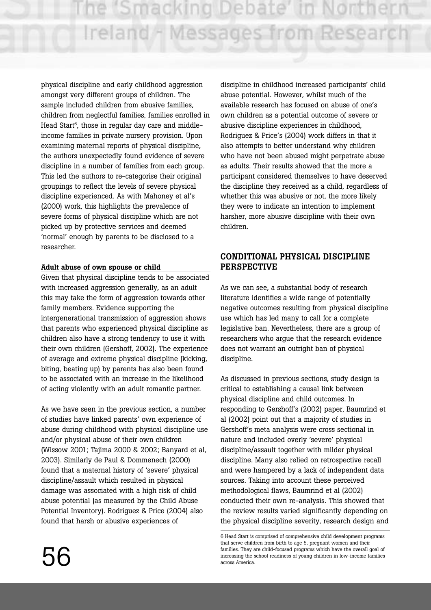physical discipline and early childhood aggression amongst very different groups of children. The sample included children from abusive families, children from neglectful families, families enrolled in Head Start<sup>6</sup>, those in regular day care and middleincome families in private nursery provision. Upon examining maternal reports of physical discipline, the authors unexpectedly found evidence of severe discipline in a number of families from each group. This led the authors to re-categorise their original groupings to reflect the levels of severe physical discipline experienced. As with Mahoney et al's (2000) work, this highlights the prevalence of severe forms of physical discipline which are not picked up by protective services and deemed 'normal' enough by parents to be disclosed to a researcher.

#### **Adult abuse of own spouse or child**

Given that physical discipline tends to be associated with increased aggression generally, as an adult this may take the form of aggression towards other family members. Evidence supporting the intergenerational transmission of aggression shows that parents who experienced physical discipline as children also have a strong tendency to use it with their own children (Gershoff, 2002). The experience of average and extreme physical discipline (kicking, biting, beating up) by parents has also been found to be associated with an increase in the likelihood of acting violently with an adult romantic partner.

As we have seen in the previous section, a number of studies have linked parents' own experience of abuse during childhood with physical discipline use and/or physical abuse of their own children (Wissow 2001; Tajima 2000 & 2002; Banyard et al, 2003). Similarly de Paul & Dommenech (2000) found that a maternal history of 'severe' physical discipline/assault which resulted in physical damage was associated with a high risk of child abuse potential (as measured by the Child Abuse Potential Inventory). Rodriguez & Price (2004) also found that harsh or abusive experiences of

discipline in childhood increased participants' child abuse potential. However, whilst much of the available research has focused on abuse of one's own children as a potential outcome of severe or abusive discipline experiences in childhood, Rodriguez & Price's (2004) work differs in that it also attempts to better understand why children who have not been abused might perpetrate abuse as adults. Their results showed that the more a participant considered themselves to have deserved the discipline they received as a child, regardless of whether this was abusive or not, the more likely they were to indicate an intention to implement harsher, more abusive discipline with their own children.

## **CONDITIONAL PHYSICAL DISCIPLINE PERSPECTIVE**

As we can see, a substantial body of research literature identifies a wide range of potentially negative outcomes resulting from physical discipline use which has led many to call for a complete legislative ban. Nevertheless, there are a group of researchers who argue that the research evidence does not warrant an outright ban of physical discipline.

As discussed in previous sections, study design is critical to establishing a causal link between physical discipline and child outcomes. In responding to Gershoff's (2002) paper, Baumrind et al (2002) point out that a majority of studies in Gershoff's meta analysis were cross sectional in nature and included overly 'severe' physical discipline/assault together with milder physical discipline. Many also relied on retrospective recall and were hampered by a lack of independent data sources. Taking into account these perceived methodological flaws, Baumrind et al (2002) conducted their own re-analysis. This showed that the review results varied significantly depending on the physical discipline severity, research design and

<sup>6</sup> Head Start is comprised of comprehensive child development programs that serve children from birth to age 5, pregnant women and their families. They are child-focused programs which have the overall goal of increasing the school readiness of young children in low-income families across America.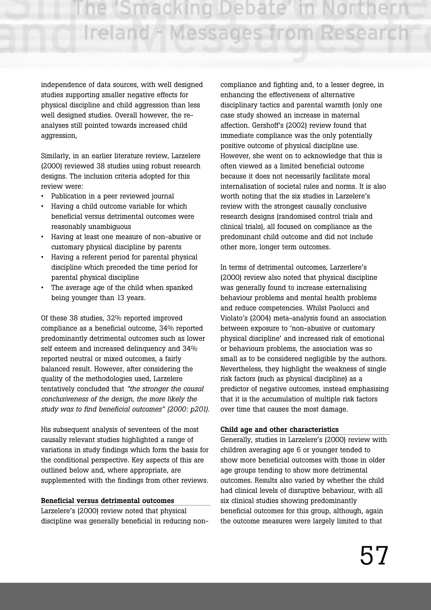independence of data sources, with well designed studies supporting smaller negative effects for physical discipline and child aggression than less well designed studies. Overall however, the reanalyses still pointed towards increased child aggression,

Similarly, in an earlier literature review, Larzelere (2000) reviewed 38 studies using robust research designs. The inclusion criteria adopted for this review were:

- Publication in a peer reviewed journal
- Having a child outcome variable for which beneficial versus detrimental outcomes were reasonably unambiguous
- Having at least one measure of non-abusive or customary physical discipline by parents
- Having a referent period for parental physical discipline which preceded the time period for parental physical discipline
- The average age of the child when spanked being younger than 13 years.

Of these 38 studies, 32% reported improved compliance as a beneficial outcome, 34% reported predominantly detrimental outcomes such as lower self esteem and increased delinquency and 34% reported neutral or mixed outcomes, a fairly balanced result. However, after considering the quality of the methodologies used, Larzelere tentatively concluded that *"the stronger the causal conclusiveness of the design, the more likely the study was to find beneficial outcomes" (2000: p201).*

His subsequent analysis of seventeen of the most causally relevant studies highlighted a range of variations in study findings which form the basis for the conditional perspective. Key aspects of this are outlined below and, where appropriate, are supplemented with the findings from other reviews.

#### **Beneficial versus detrimental outcomes**

Larzelere's (2000) review noted that physical discipline was generally beneficial in reducing non-

compliance and fighting and, to a lesser degree, in enhancing the effectiveness of alternative disciplinary tactics and parental warmth (only one case study showed an increase in maternal affection. Gershoff's (2002) review found that immediate compliance was the only potentially positive outcome of physical discipline use. However, she went on to acknowledge that this is often viewed as a limited beneficial outcome because it does not necessarily facilitate moral internalisation of societal rules and norms. It is also worth noting that the six studies in Larzelere's review with the strongest causally conclusive research designs (randomised control trials and clinical trials), all focused on compliance as the predominant child outcome and did not include other more, longer term outcomes.

In terms of detrimental outcomes, Larzerlere's (2000) review also noted that physical discipline was generally found to increase externalising behaviour problems and mental health problems and reduce competencies. Whilst Paolucci and Violato's (2004) meta-analysis found an association between exposure to 'non-abusive or customary physical discipline' and increased risk of emotional or behaviours problems, the association was so small as to be considered negligible by the authors. Nevertheless, they highlight the weakness of single risk factors (such as physical discipline) as a predictor of negative outcomes, instead emphasising that it is the accumulation of multiple risk factors over time that causes the most damage.

#### **Child age and other characteristics**

Generally, studies in Larzelere's (2000) review with children averaging age 6 or younger tended to show more beneficial outcomes with those in older age groups tending to show more detrimental outcomes. Results also varied by whether the child had clinical levels of disruptive behaviour, with all six clinical studies showing predominantly beneficial outcomes for this group, although, again the outcome measures were largely limited to that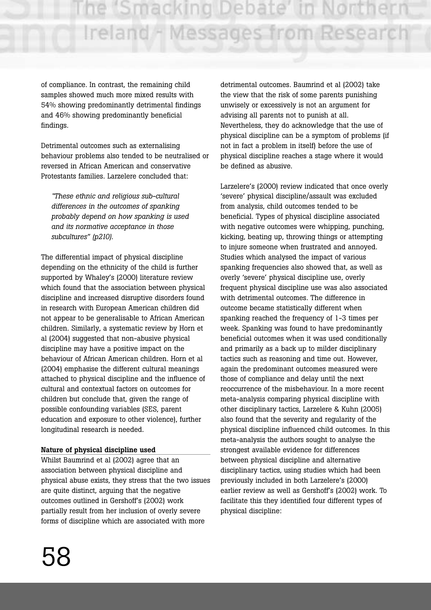of compliance. In contrast, the remaining child samples showed much more mixed results with 54% showing predominantly detrimental findings and 46% showing predominantly beneficial findings.

Detrimental outcomes such as externalising behaviour problems also tended to be neutralised or reversed in African American and conservative Protestants families. Larzelere concluded that:

*"These ethnic and religious sub-cultural differences in the outcomes of spanking probably depend on how spanking is used and its normative acceptance in those subcultures" (p210).* 

The differential impact of physical discipline depending on the ethnicity of the child is further supported by Whaley's (2000) literature review which found that the association between physical discipline and increased disruptive disorders found in research with European American children did not appear to be generalisable to African American children. Similarly, a systematic review by Horn et al (2004) suggested that non-abusive physical discipline may have a positive impact on the behaviour of African American children. Horn et al (2004) emphasise the different cultural meanings attached to physical discipline and the influence of cultural and contextual factors on outcomes for children but conclude that, given the range of possible confounding variables (SES, parent education and exposure to other violence), further longitudinal research is needed.

#### **Nature of physical discipline used**

Whilst Baumrind et al (2002) agree that an association between physical discipline and physical abuse exists, they stress that the two issues are quite distinct, arguing that the negative outcomes outlined in Gershoff's (2002) work partially result from her inclusion of overly severe forms of discipline which are associated with more

detrimental outcomes. Baumrind et al (2002) take the view that the risk of some parents punishing unwisely or excessively is not an argument for advising all parents not to punish at all. Nevertheless, they do acknowledge that the use of physical discipline can be a symptom of problems (if not in fact a problem in itself) before the use of physical discipline reaches a stage where it would be defined as abusive.

Larzelere's (2000) review indicated that once overly 'severe' physical discipline/assault was excluded from analysis, child outcomes tended to be beneficial. Types of physical discipline associated with negative outcomes were whipping, punching, kicking, beating up, throwing things or attempting to injure someone when frustrated and annoyed. Studies which analysed the impact of various spanking frequencies also showed that, as well as overly 'severe' physical discipline use, overly frequent physical discipline use was also associated with detrimental outcomes. The difference in outcome became statistically different when spanking reached the frequency of 1-3 times per week. Spanking was found to have predominantly beneficial outcomes when it was used conditionally and primarily as a back up to milder disciplinary tactics such as reasoning and time out. However, again the predominant outcomes measured were those of compliance and delay until the next reoccurrence of the misbehaviour. In a more recent meta-analysis comparing physical discipline with other disciplinary tactics, Larzelere & Kuhn (2005) also found that the severity and regularity of the physical discipline influenced child outcomes. In this meta-analysis the authors sought to analyse the strongest available evidence for differences between physical discipline and alternative disciplinary tactics, using studies which had been previously included in both Larzelere's (2000) earlier review as well as Gershoff's (2002) work. To facilitate this they identified four different types of physical discipline: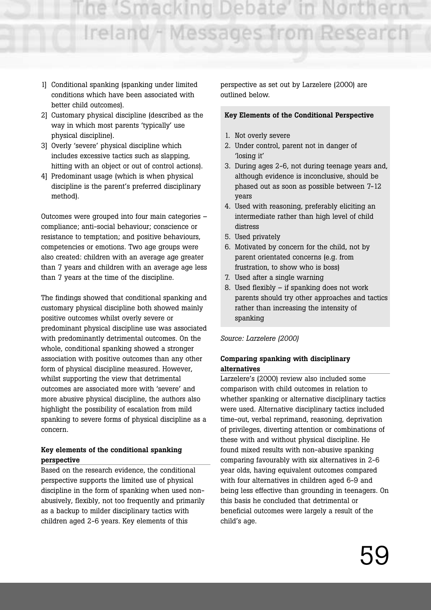e 'Smacking Debate' Ireland - Messages from Research

- 1] Conditional spanking (spanking under limited conditions which have been associated with better child outcomes).
- 2] Customary physical discipline (described as the way in which most parents 'typically' use physical discipline).
- 3] Overly 'severe' physical discipline which includes excessive tactics such as slapping, hitting with an object or out of control actions).
- 4] Predominant usage (which is when physical discipline is the parent's preferred disciplinary method).

Outcomes were grouped into four main categories – compliance; anti-social behaviour; conscience or resistance to temptation; and positive behaviours, competencies or emotions. Two age groups were also created: children with an average age greater than 7 years and children with an average age less than 7 years at the time of the discipline.

The findings showed that conditional spanking and customary physical discipline both showed mainly positive outcomes whilst overly severe or predominant physical discipline use was associated with predominantly detrimental outcomes. On the whole, conditional spanking showed a stronger association with positive outcomes than any other form of physical discipline measured. However, whilst supporting the view that detrimental outcomes are associated more with 'severe' and more abusive physical discipline, the authors also highlight the possibility of escalation from mild spanking to severe forms of physical discipline as a concern.

#### **Key elements of the conditional spanking perspective**

Based on the research evidence, the conditional perspective supports the limited use of physical discipline in the form of spanking when used nonabusively, flexibly, not too frequently and primarily as a backup to milder disciplinary tactics with children aged 2-6 years. Key elements of this

perspective as set out by Larzelere (2000) are outlined below.

#### **Key Elements of the Conditional Perspective**

- 1. Not overly severe
- 2. Under control, parent not in danger of 'losing it'
- 3. During ages 2-6, not during teenage years and, although evidence is inconclusive, should be phased out as soon as possible between 7-12 years
- 4. Used with reasoning, preferably eliciting an intermediate rather than high level of child distress
- 5. Used privately
- 6. Motivated by concern for the child, not by parent orientated concerns (e.g. from frustration, to show who is boss)
- 7. Used after a single warning
- 8. Used flexibly if spanking does not work parents should try other approaches and tactics rather than increasing the intensity of spanking

#### *Source: Larzelere (2000)*

#### **Comparing spanking with disciplinary alternatives**

Larzelere's (2000) review also included some comparison with child outcomes in relation to whether spanking or alternative disciplinary tactics were used. Alternative disciplinary tactics included time-out, verbal reprimand, reasoning, deprivation of privileges, diverting attention or combinations of these with and without physical discipline. He found mixed results with non-abusive spanking comparing favourably with six alternatives in 2-6 year olds, having equivalent outcomes compared with four alternatives in children aged 6-9 and being less effective than grounding in teenagers. On this basis he concluded that detrimental or beneficial outcomes were largely a result of the child's age.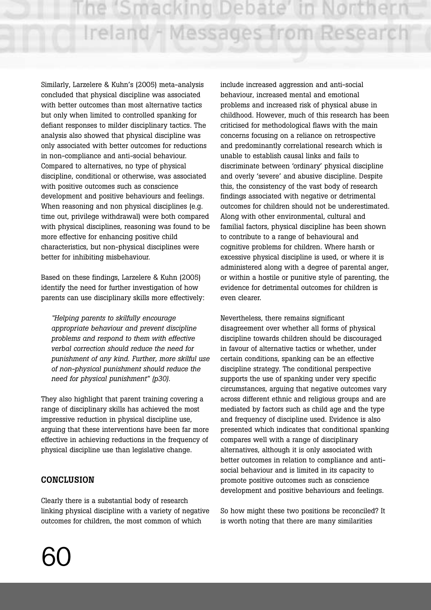Similarly, Larzelere & Kuhn's (2005) meta-analysis concluded that physical discipline was associated with better outcomes than most alternative tactics but only when limited to controlled spanking for defiant responses to milder disciplinary tactics. The analysis also showed that physical discipline was only associated with better outcomes for reductions in non-compliance and anti-social behaviour. Compared to alternatives, no type of physical discipline, conditional or otherwise, was associated with positive outcomes such as conscience development and positive behaviours and feelings. When reasoning and non physical disciplines (e.g. time out, privilege withdrawal) were both compared with physical disciplines, reasoning was found to be more effective for enhancing positive child characteristics, but non-physical disciplines were better for inhibiting misbehaviour.

Based on these findings, Larzelere & Kuhn (2005) identify the need for further investigation of how parents can use disciplinary skills more effectively:

*"Helping parents to skilfully encourage appropriate behaviour and prevent discipline problems and respond to them with effective verbal correction should reduce the need for punishment of any kind. Further, more skilful use of non-physical punishment should reduce the need for physical punishment" (p30).*

They also highlight that parent training covering a range of disciplinary skills has achieved the most impressive reduction in physical discipline use, arguing that these interventions have been far more effective in achieving reductions in the frequency of physical discipline use than legislative change.

## **CONCLUSION**

Clearly there is a substantial body of research linking physical discipline with a variety of negative outcomes for children, the most common of which

include increased aggression and anti-social behaviour, increased mental and emotional problems and increased risk of physical abuse in childhood. However, much of this research has been criticised for methodological flaws with the main concerns focusing on a reliance on retrospective and predominantly correlational research which is unable to establish causal links and fails to discriminate between 'ordinary' physical discipline and overly 'severe' and abusive discipline. Despite this, the consistency of the vast body of research findings associated with negative or detrimental outcomes for children should not be underestimated. Along with other environmental, cultural and familial factors, physical discipline has been shown to contribute to a range of behavioural and cognitive problems for children. Where harsh or excessive physical discipline is used, or where it is administered along with a degree of parental anger, or within a hostile or punitive style of parenting, the evidence for detrimental outcomes for children is even clearer.

Nevertheless, there remains significant disagreement over whether all forms of physical discipline towards children should be discouraged in favour of alternative tactics or whether, under certain conditions, spanking can be an effective discipline strategy. The conditional perspective supports the use of spanking under very specific circumstances, arguing that negative outcomes vary across different ethnic and religious groups and are mediated by factors such as child age and the type and frequency of discipline used. Evidence is also presented which indicates that conditional spanking compares well with a range of disciplinary alternatives, although it is only associated with better outcomes in relation to compliance and antisocial behaviour and is limited in its capacity to promote positive outcomes such as conscience development and positive behaviours and feelings.

So how might these two positions be reconciled? It is worth noting that there are many similarities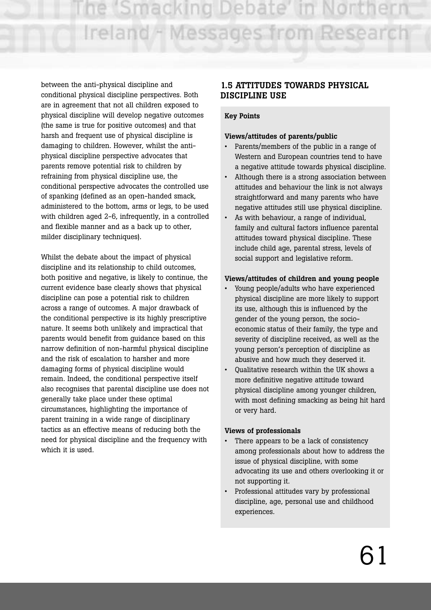between the anti-physical discipline and conditional physical discipline perspectives. Both are in agreement that not all children exposed to physical discipline will develop negative outcomes (the same is true for positive outcomes) and that harsh and frequent use of physical discipline is damaging to children. However, whilst the antiphysical discipline perspective advocates that parents remove potential risk to children by refraining from physical discipline use, the conditional perspective advocates the controlled use of spanking (defined as an open-handed smack, administered to the bottom, arms or legs, to be used with children aged 2-6, infrequently, in a controlled and flexible manner and as a back up to other, milder disciplinary techniques).

Whilst the debate about the impact of physical discipline and its relationship to child outcomes, both positive and negative, is likely to continue, the current evidence base clearly shows that physical discipline can pose a potential risk to children across a range of outcomes. A major drawback of the conditional perspective is its highly prescriptive nature. It seems both unlikely and impractical that parents would benefit from guidance based on this narrow definition of non-harmful physical discipline and the risk of escalation to harsher and more damaging forms of physical discipline would remain. Indeed, the conditional perspective itself also recognises that parental discipline use does not generally take place under these optimal circumstances, highlighting the importance of parent training in a wide range of disciplinary tactics as an effective means of reducing both the need for physical discipline and the frequency with which it is used.

## **1.5 ATTITUDES TOWARDS PHYSICAL DISCIPLINE USE**

## **Key Points**

## **Views/attitudes of parents/public**

- Parents/members of the public in a range of Western and European countries tend to have a negative attitude towards physical discipline.
- Although there is a strong association between attitudes and behaviour the link is not always straightforward and many parents who have negative attitudes still use physical discipline.
- As with behaviour, a range of individual, family and cultural factors influence parental attitudes toward physical discipline. These include child age, parental stress, levels of social support and legislative reform.

## **Views/attitudes of children and young people**

- Young people/adults who have experienced physical discipline are more likely to support its use, although this is influenced by the gender of the young person, the socioeconomic status of their family, the type and severity of discipline received, as well as the young person's perception of discipline as abusive and how much they deserved it.
- Qualitative research within the UK shows a more definitive negative attitude toward physical discipline among younger children, with most defining smacking as being hit hard or very hard.

#### **Views of professionals**

- There appears to be a lack of consistency among professionals about how to address the issue of physical discipline, with some advocating its use and others overlooking it or not supporting it.
- Professional attitudes vary by professional discipline, age, personal use and childhood experiences.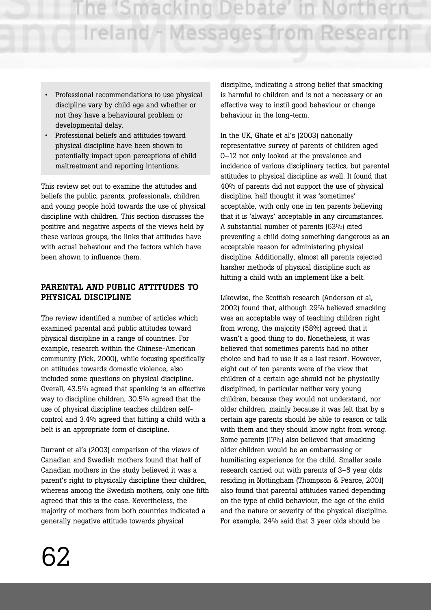- Professional recommendations to use physical discipline vary by child age and whether or not they have a behavioural problem or developmental delay.
- Professional beliefs and attitudes toward physical discipline have been shown to potentially impact upon perceptions of child maltreatment and reporting intentions.

This review set out to examine the attitudes and beliefs the public, parents, professionals, children and young people hold towards the use of physical discipline with children. This section discusses the positive and negative aspects of the views held by these various groups, the links that attitudes have with actual behaviour and the factors which have been shown to influence them.

## **PARENTAL AND PUBLIC ATTITUDES TO PHYSICAL DISCIPLINE**

The review identified a number of articles which examined parental and public attitudes toward physical discipline in a range of countries. For example, research within the Chinese-American community (Yick, 2000), while focusing specifically on attitudes towards domestic violence, also included some questions on physical discipline. Overall, 43.5% agreed that spanking is an effective way to discipline children, 30.5% agreed that the use of physical discipline teaches children selfcontrol and 3.4% agreed that hitting a child with a belt is an appropriate form of discipline.

Durrant et al's (2003) comparison of the views of Canadian and Swedish mothers found that half of Canadian mothers in the study believed it was a parent's right to physically discipline their children, whereas among the Swedish mothers, only one fifth agreed that this is the case. Nevertheless, the majority of mothers from both countries indicated a generally negative attitude towards physical

discipline, indicating a strong belief that smacking is harmful to children and is not a necessary or an effective way to instil good behaviour or change behaviour in the long-term.

In the UK, Ghate et al's (2003) nationally representative survey of parents of children aged 0–12 not only looked at the prevalence and incidence of various disciplinary tactics, but parental attitudes to physical discipline as well. It found that 40% of parents did not support the use of physical discipline, half thought it was 'sometimes' acceptable, with only one in ten parents believing that it is 'always' acceptable in any circumstances. A substantial number of parents (63%) cited preventing a child doing something dangerous as an acceptable reason for administering physical discipline. Additionally, almost all parents rejected harsher methods of physical discipline such as hitting a child with an implement like a belt.

Likewise, the Scottish research (Anderson et al, 2002) found that, although 29% believed smacking was an acceptable way of teaching children right from wrong, the majority (58%) agreed that it wasn't a good thing to do. Nonetheless, it was believed that sometimes parents had no other choice and had to use it as a last resort. However, eight out of ten parents were of the view that children of a certain age should not be physically disciplined, in particular neither very young children, because they would not understand, nor older children, mainly because it was felt that by a certain age parents should be able to reason or talk with them and they should know right from wrong. Some parents (17%) also believed that smacking older children would be an embarrassing or humiliating experience for the child. Smaller scale research carried out with parents of 3–5 year olds residing in Nottingham (Thompson & Pearce, 2001) also found that parental attitudes varied depending on the type of child behaviour, the age of the child and the nature or severity of the physical discipline. For example, 24% said that 3 year olds should be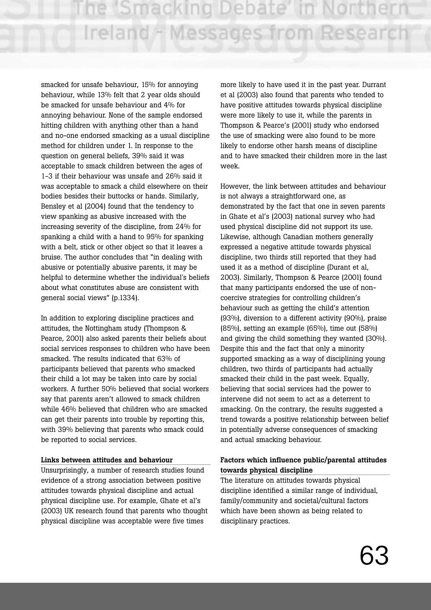smacked for unsafe behaviour, 15% for annoying behaviour, while 13% felt that 2 year olds should be smacked for unsafe behaviour and 4% for annoying behaviour. None of the sample endorsed hitting children with anything other than a hand and no-one endorsed smacking as a usual discipline method for children under 1. In response to the question on general beliefs, 39% said it was acceptable to smack children between the ages of 1-3 if their behaviour was unsafe and 26% said it was acceptable to smack a child elsewhere on their bodies besides their buttocks or hands. Similarly, Bensley et al (2004) found that the tendency to view spanking as abusive increased with the increasing severity of the discipline, from 24% for spanking a child with a hand to 95% for spanking with a belt, stick or other object so that it leaves a bruise. The author concludes that "in dealing with abusive or potentially abusive parents, it may be helpful to determine whether the individual's beliefs about what constitutes abuse are consistent with general social views" (p.1334).

In addition to exploring discipline practices and attitudes, the Nottingham study (Thompson & Pearce, 2001) also asked parents their beliefs about social services responses to children who have been smacked. The results indicated that 63% of participants believed that parents who smacked their child a lot may be taken into care by social workers. A further 50% believed that social workers say that parents aren't allowed to smack children while 46% believed that children who are smacked can get their parents into trouble by reporting this, with 39% believing that parents who smack could be reported to social services.

#### **Links between attitudes and behaviour**

Unsurprisingly, a number of research studies found evidence of a strong association between positive attitudes towards physical discipline and actual physical discipline use. For example, Ghate et al's (2003) UK research found that parents who thought physical discipline was acceptable were five times

more likely to have used it in the past year. Durrant et al (2003) also found that parents who tended to have positive attitudes towards physical discipline were more likely to use it, while the parents in Thompson & Pearce's (2001) study who endorsed the use of smacking were also found to be more likely to endorse other harsh means of discipline and to have smacked their children more in the last week.

However, the link between attitudes and behaviour is not always a straightforward one, as demonstrated by the fact that one in seven parents in Ghate et al's (2003) national survey who had used physical discipline did not support its use. Likewise, although Canadian mothers generally expressed a negative attitude towards physical discipline, two thirds still reported that they had used it as a method of discipline (Durant et al, 2003). Similarly, Thompson & Pearce (2001) found that many participants endorsed the use of noncoercive strategies for controlling children's behaviour such as getting the child's attention (93%), diversion to a different activity (90%), praise (85%), setting an example (65%), time out (58%) and giving the child something they wanted (30%). Despite this and the fact that only a minority supported smacking as a way of disciplining young children, two thirds of participants had actually smacked their child in the past week. Equally, believing that social services had the power to intervene did not seem to act as a deterrent to smacking. On the contrary, the results suggested a trend towards a positive relationship between belief in potentially adverse consequences of smacking and actual smacking behaviour.

#### **Factors which influence public/parental attitudes towards physical discipline**

The literature on attitudes towards physical discipline identified a similar range of individual, family/community and societal/cultural factors which have been shown as being related to disciplinary practices.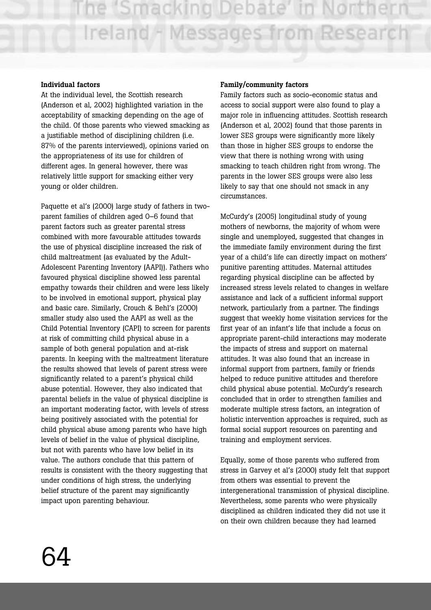#### **Individual factors**

At the individual level, the Scottish research (Anderson et al, 2002) highlighted variation in the acceptability of smacking depending on the age of the child. Of those parents who viewed smacking as a justifiable method of disciplining children (i.e. 87% of the parents interviewed), opinions varied on the appropriateness of its use for children of different ages. In general however, there was relatively little support for smacking either very young or older children.

Paquette et al's (2000) large study of fathers in twoparent families of children aged 0–6 found that parent factors such as greater parental stress combined with more favourable attitudes towards the use of physical discipline increased the risk of child maltreatment (as evaluated by the Adult-Adolescent Parenting Inventory (AAPI)). Fathers who favoured physical discipline showed less parental empathy towards their children and were less likely to be involved in emotional support, physical play and basic care. Similarly, Crouch & Behl's (2000) smaller study also used the AAPI as well as the Child Potential Inventory (CAPI) to screen for parents at risk of committing child physical abuse in a sample of both general population and at-risk parents. In keeping with the maltreatment literature the results showed that levels of parent stress were significantly related to a parent's physical child abuse potential. However, they also indicated that parental beliefs in the value of physical discipline is an important moderating factor, with levels of stress being positively associated with the potential for child physical abuse among parents who have high levels of belief in the value of physical discipline, but not with parents who have low belief in its value. The authors conclude that this pattern of results is consistent with the theory suggesting that under conditions of high stress, the underlying belief structure of the parent may significantly impact upon parenting behaviour.

#### **Family/community factors**

Family factors such as socio-economic status and access to social support were also found to play a major role in influencing attitudes. Scottish research (Anderson et al, 2002) found that those parents in lower SES groups were significantly more likely than those in higher SES groups to endorse the view that there is nothing wrong with using smacking to teach children right from wrong. The parents in the lower SES groups were also less likely to say that one should not smack in any circumstances.

McCurdy's (2005) longitudinal study of young mothers of newborns, the majority of whom were single and unemployed, suggested that changes in the immediate family environment during the first year of a child's life can directly impact on mothers' punitive parenting attitudes. Maternal attitudes regarding physical discipline can be affected by increased stress levels related to changes in welfare assistance and lack of a sufficient informal support network, particularly from a partner. The findings suggest that weekly home visitation services for the first year of an infant's life that include a focus on appropriate parent-child interactions may moderate the impacts of stress and support on maternal attitudes. It was also found that an increase in informal support from partners, family or friends helped to reduce punitive attitudes and therefore child physical abuse potential. McCurdy's research concluded that in order to strengthen families and moderate multiple stress factors, an integration of holistic intervention approaches is required, such as formal social support resources on parenting and training and employment services.

Equally, some of those parents who suffered from stress in Garvey et al's (2000) study felt that support from others was essential to prevent the intergenerational transmission of physical discipline. Nevertheless, some parents who were physically disciplined as children indicated they did not use it on their own children because they had learned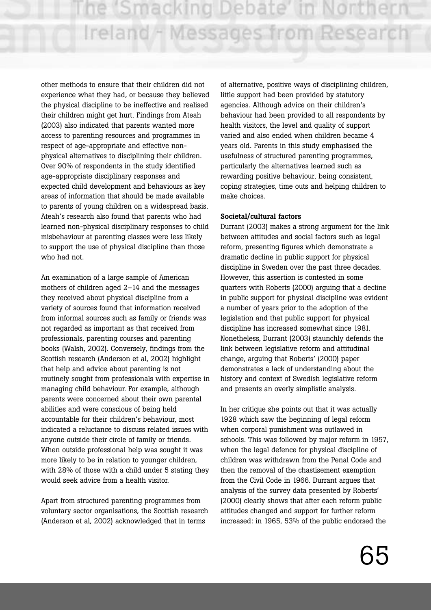other methods to ensure that their children did not experience what they had, or because they believed the physical discipline to be ineffective and realised their children might get hurt. Findings from Ateah (2003) also indicated that parents wanted more access to parenting resources and programmes in respect of age-appropriate and effective nonphysical alternatives to disciplining their children. Over 90% of respondents in the study identified age-appropriate disciplinary responses and expected child development and behaviours as key areas of information that should be made available to parents of young children on a widespread basis. Ateah's research also found that parents who had learned non-physical disciplinary responses to child misbehaviour at parenting classes were less likely to support the use of physical discipline than those who had not.

An examination of a large sample of American mothers of children aged 2–14 and the messages they received about physical discipline from a variety of sources found that information received from informal sources such as family or friends was not regarded as important as that received from professionals, parenting courses and parenting books (Walsh, 2002). Conversely, findings from the Scottish research (Anderson et al, 2002) highlight that help and advice about parenting is not routinely sought from professionals with expertise in managing child behaviour. For example, although parents were concerned about their own parental abilities and were conscious of being held accountable for their children's behaviour, most indicated a reluctance to discuss related issues with anyone outside their circle of family or friends. When outside professional help was sought it was more likely to be in relation to younger children, with 28% of those with a child under 5 stating they would seek advice from a health visitor.

Apart from structured parenting programmes from voluntary sector organisations, the Scottish research (Anderson et al, 2002) acknowledged that in terms

of alternative, positive ways of disciplining children, little support had been provided by statutory agencies. Although advice on their children's behaviour had been provided to all respondents by health visitors, the level and quality of support varied and also ended when children became 4 years old. Parents in this study emphasised the usefulness of structured parenting programmes, particularly the alternatives learned such as rewarding positive behaviour, being consistent, coping strategies, time outs and helping children to make choices.

#### **Societal/cultural factors**

Durrant (2003) makes a strong argument for the link between attitudes and social factors such as legal reform, presenting figures which demonstrate a dramatic decline in public support for physical discipline in Sweden over the past three decades. However, this assertion is contested in some quarters with Roberts (2000) arguing that a decline in public support for physical discipline was evident a number of years prior to the adoption of the legislation and that public support for physical discipline has increased somewhat since 1981. Nonetheless, Durrant (2003) staunchly defends the link between legislative reform and attitudinal change, arguing that Roberts' (2000) paper demonstrates a lack of understanding about the history and context of Swedish legislative reform and presents an overly simplistic analysis.

In her critique she points out that it was actually 1928 which saw the beginning of legal reform when corporal punishment was outlawed in schools. This was followed by major reform in 1957, when the legal defence for physical discipline of children was withdrawn from the Penal Code and then the removal of the chastisement exemption from the Civil Code in 1966. Durrant argues that analysis of the survey data presented by Roberts' (2000) clearly shows that after each reform public attitudes changed and support for further reform increased: in 1965, 53% of the public endorsed the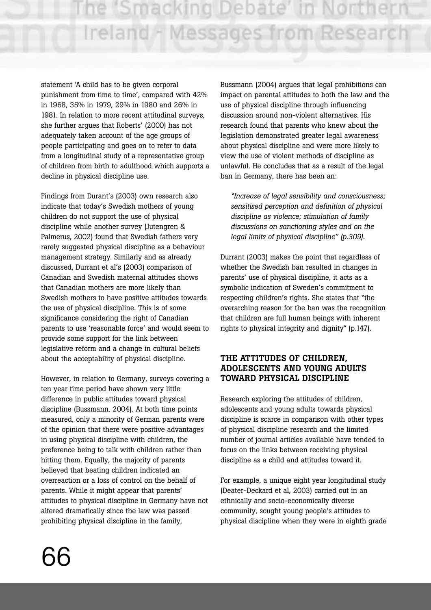statement 'A child has to be given corporal punishment from time to time', compared with 42% in 1968, 35% in 1979, 29% in 1980 and 26% in 1981. In relation to more recent attitudinal surveys, she further argues that Roberts' (2000) has not adequately taken account of the age groups of people participating and goes on to refer to data from a longitudinal study of a representative group of children from birth to adulthood which supports a decline in physical discipline use.

Findings from Durant's (2003) own research also indicate that today's Swedish mothers of young children do not support the use of physical discipline while another survey (Jutengren & Palmerus, 2002) found that Swedish fathers very rarely suggested physical discipline as a behaviour management strategy. Similarly and as already discussed, Durrant et al's (2003) comparison of Canadian and Swedish maternal attitudes shows that Canadian mothers are more likely than Swedish mothers to have positive attitudes towards the use of physical discipline. This is of some significance considering the right of Canadian parents to use 'reasonable force' and would seem to provide some support for the link between legislative reform and a change in cultural beliefs about the acceptability of physical discipline.

However, in relation to Germany, surveys covering a ten year time period have shown very little difference in public attitudes toward physical discipline (Bussmann, 2004). At both time points measured, only a minority of German parents were of the opinion that there were positive advantages in using physical discipline with children, the preference being to talk with children rather than hitting them. Equally, the majority of parents believed that beating children indicated an overreaction or a loss of control on the behalf of parents. While it might appear that parents' attitudes to physical discipline in Germany have not altered dramatically since the law was passed prohibiting physical discipline in the family,

Bussmann (2004) argues that legal prohibitions can impact on parental attitudes to both the law and the use of physical discipline through influencing discussion around non-violent alternatives. His research found that parents who knew about the legislation demonstrated greater legal awareness about physical discipline and were more likely to view the use of violent methods of discipline as unlawful. He concludes that as a result of the legal ban in Germany, there has been an:

*"Increase of legal sensibility and consciousness; sensitised perception and definition of physical discipline as violence; stimulation of family discussions on sanctioning styles and on the legal limits of physical discipline" (p.309).*

Durrant (2003) makes the point that regardless of whether the Swedish ban resulted in changes in parents' use of physical discipline, it acts as a symbolic indication of Sweden's commitment to respecting children's rights. She states that "the overarching reason for the ban was the recognition that children are full human beings with inherent rights to physical integrity and dignity" (p.147).

## **THE ATTITUDES OF CHILDREN, ADOLESCENTS AND YOUNG ADULTS TOWARD PHYSICAL DISCIPLINE**

Research exploring the attitudes of children, adolescents and young adults towards physical discipline is scarce in comparison with other types of physical discipline research and the limited number of journal articles available have tended to focus on the links between receiving physical discipline as a child and attitudes toward it.

For example, a unique eight year longitudinal study (Deater-Deckard et al, 2003) carried out in an ethnically and socio-economically diverse community, sought young people's attitudes to physical discipline when they were in eighth grade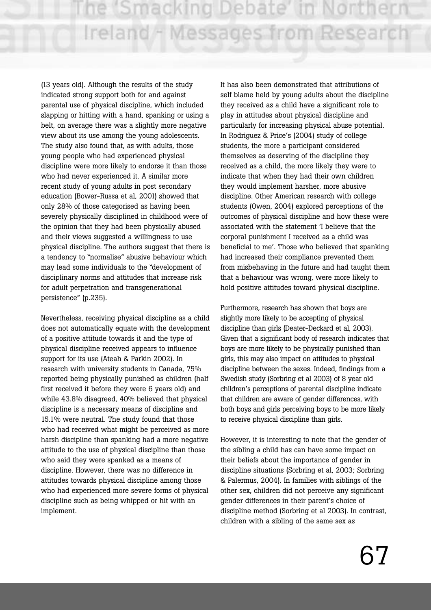(13 years old). Although the results of the study indicated strong support both for and against parental use of physical discipline, which included slapping or hitting with a hand, spanking or using a belt, on average there was a slightly more negative view about its use among the young adolescents. The study also found that, as with adults, those young people who had experienced physical discipline were more likely to endorse it than those who had never experienced it. A similar more recent study of young adults in post secondary education (Bower-Russa et al, 2001) showed that only 28% of those categorised as having been severely physically disciplined in childhood were of the opinion that they had been physically abused and their views suggested a willingness to use physical discipline. The authors suggest that there is a tendency to "normalise" abusive behaviour which may lead some individuals to the "development of disciplinary norms and attitudes that increase risk for adult perpetration and transgenerational persistence" (p.235).

Nevertheless, receiving physical discipline as a child does not automatically equate with the development of a positive attitude towards it and the type of physical discipline received appears to influence support for its use (Ateah & Parkin 2002). In research with university students in Canada, 75% reported being physically punished as children (half first received it before they were 6 years old) and while 43.8% disagreed, 40% believed that physical discipline is a necessary means of discipline and 15.1% were neutral. The study found that those who had received what might be perceived as more harsh discipline than spanking had a more negative attitude to the use of physical discipline than those who said they were spanked as a means of discipline. However, there was no difference in attitudes towards physical discipline among those who had experienced more severe forms of physical discipline such as being whipped or hit with an implement.

It has also been demonstrated that attributions of self blame held by young adults about the discipline they received as a child have a significant role to play in attitudes about physical discipline and particularly for increasing physical abuse potential. In Rodriguez & Price's (2004) study of college students, the more a participant considered themselves as deserving of the discipline they received as a child, the more likely they were to indicate that when they had their own children they would implement harsher, more abusive discipline. Other American research with college students (Owen, 2004) explored perceptions of the outcomes of physical discipline and how these were associated with the statement 'I believe that the corporal punishment I received as a child was beneficial to me'. Those who believed that spanking had increased their compliance prevented them from misbehaving in the future and had taught them that a behaviour was wrong, were more likely to hold positive attitudes toward physical discipline.

Furthermore, research has shown that boys are slightly more likely to be accepting of physical discipline than girls (Deater-Deckard et al, 2003). Given that a significant body of research indicates that boys are more likely to be physically punished than girls, this may also impact on attitudes to physical discipline between the sexes. Indeed, findings from a Swedish study (Sorbring et al 2003) of 8 year old children's perceptions of parental discipline indicate that children are aware of gender differences, with both boys and girls perceiving boys to be more likely to receive physical discipline than girls.

However, it is interesting to note that the gender of the sibling a child has can have some impact on their beliefs about the importance of gender in discipline situations (Sorbring et al, 2003; Sorbring & Palermus, 2004). In families with siblings of the other sex, children did not perceive any significant gender differences in their parent's choice of discipline method (Sorbring et al 2003). In contrast, children with a sibling of the same sex as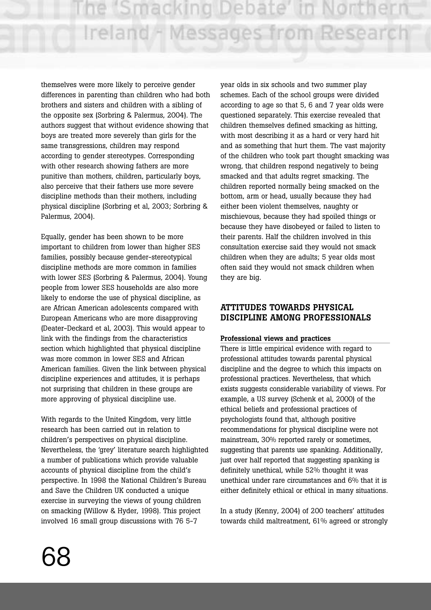themselves were more likely to perceive gender differences in parenting than children who had both brothers and sisters and children with a sibling of the opposite sex (Sorbring & Palermus, 2004). The authors suggest that without evidence showing that boys are treated more severely than girls for the same transgressions, children may respond according to gender stereotypes. Corresponding with other research showing fathers are more punitive than mothers, children, particularly boys, also perceive that their fathers use more severe discipline methods than their mothers, including physical discipline (Sorbring et al, 2003; Sorbring & Palermus, 2004).

Equally, gender has been shown to be more important to children from lower than higher SES families, possibly because gender-stereotypical discipline methods are more common in families with lower SES (Sorbring & Palermus, 2004). Young people from lower SES households are also more likely to endorse the use of physical discipline, as are African American adolescents compared with European Americans who are more disapproving (Deater-Deckard et al, 2003). This would appear to link with the findings from the characteristics section which highlighted that physical discipline was more common in lower SES and African American families. Given the link between physical discipline experiences and attitudes, it is perhaps not surprising that children in these groups are more approving of physical discipline use.

With regards to the United Kingdom, very little research has been carried out in relation to children's perspectives on physical discipline. Nevertheless, the 'grey' literature search highlighted a number of publications which provide valuable accounts of physical discipline from the child's perspective. In 1998 the National Children's Bureau and Save the Children UK conducted a unique exercise in surveying the views of young children on smacking (Willow & Hyder, 1998). This project involved 16 small group discussions with 76 5-7

year olds in six schools and two summer play schemes. Each of the school groups were divided according to age so that 5, 6 and 7 year olds were questioned separately. This exercise revealed that children themselves defined smacking as hitting, with most describing it as a hard or very hard hit and as something that hurt them. The vast majority of the children who took part thought smacking was wrong, that children respond negatively to being smacked and that adults regret smacking. The children reported normally being smacked on the bottom, arm or head, usually because they had either been violent themselves, naughty or mischievous, because they had spoiled things or because they have disobeyed or failed to listen to their parents. Half the children involved in this consultation exercise said they would not smack children when they are adults; 5 year olds most often said they would not smack children when they are big.

## **ATTITUDES TOWARDS PHYSICAL DISCIPLINE AMONG PROFESSIONALS**

#### **Professional views and practices**

There is little empirical evidence with regard to professional attitudes towards parental physical discipline and the degree to which this impacts on professional practices. Nevertheless, that which exists suggests considerable variability of views. For example, a US survey (Schenk et al, 2000) of the ethical beliefs and professional practices of psychologists found that, although positive recommendations for physical discipline were not mainstream, 30% reported rarely or sometimes, suggesting that parents use spanking. Additionally, just over half reported that suggesting spanking is definitely unethical, while 52% thought it was unethical under rare circumstances and 6% that it is either definitely ethical or ethical in many situations.

In a study (Kenny, 2004) of 200 teachers' attitudes towards child maltreatment, 61% agreed or strongly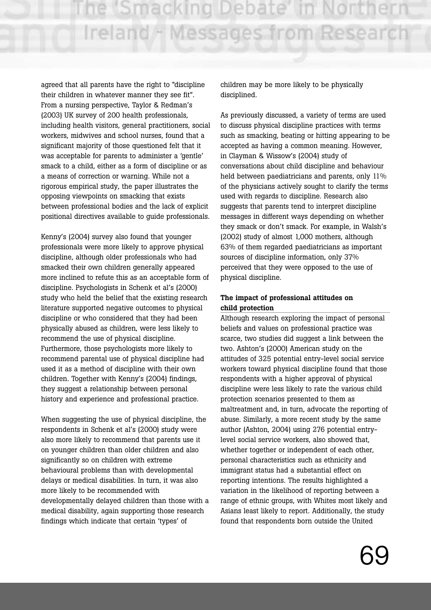agreed that all parents have the right to "discipline their children in whatever manner they see fit". From a nursing perspective, Taylor & Redman's (2003) UK survey of 200 health professionals, including health visitors, general practitioners, social workers, midwives and school nurses, found that a significant majority of those questioned felt that it was acceptable for parents to administer a 'gentle' smack to a child, either as a form of discipline or as a means of correction or warning. While not a rigorous empirical study, the paper illustrates the opposing viewpoints on smacking that exists between professional bodies and the lack of explicit positional directives available to guide professionals.

Kenny's (2004) survey also found that younger professionals were more likely to approve physical discipline, although older professionals who had smacked their own children generally appeared more inclined to refute this as an acceptable form of discipline. Psychologists in Schenk et al's (2000) study who held the belief that the existing research literature supported negative outcomes to physical discipline or who considered that they had been physically abused as children, were less likely to recommend the use of physical discipline. Furthermore, those psychologists more likely to recommend parental use of physical discipline had used it as a method of discipline with their own children. Together with Kenny's (2004) findings, they suggest a relationship between personal history and experience and professional practice.

When suggesting the use of physical discipline, the respondents in Schenk et al's (2000) study were also more likely to recommend that parents use it on younger children than older children and also significantly so on children with extreme behavioural problems than with developmental delays or medical disabilities. In turn, it was also more likely to be recommended with developmentally delayed children than those with a medical disability, again supporting those research findings which indicate that certain 'types' of

children may be more likely to be physically disciplined.

As previously discussed, a variety of terms are used to discuss physical discipline practices with terms such as smacking, beating or hitting appearing to be accepted as having a common meaning. However, in Clayman & Wissow's (2004) study of conversations about child discipline and behaviour held between paediatricians and parents, only 11% of the physicians actively sought to clarify the terms used with regards to discipline. Research also suggests that parents tend to interpret discipline messages in different ways depending on whether they smack or don't smack. For example, in Walsh's (2002) study of almost 1,000 mothers, although 63% of them regarded paediatricians as important sources of discipline information, only 37% perceived that they were opposed to the use of physical discipline.

## **The impact of professional attitudes on child protection**

Although research exploring the impact of personal beliefs and values on professional practice was scarce, two studies did suggest a link between the two. Ashton's (2000) American study on the attitudes of 325 potential entry-level social service workers toward physical discipline found that those respondents with a higher approval of physical discipline were less likely to rate the various child protection scenarios presented to them as maltreatment and, in turn, advocate the reporting of abuse. Similarly, a more recent study by the same author (Ashton, 2004) using 276 potential entrylevel social service workers, also showed that, whether together or independent of each other, personal characteristics such as ethnicity and immigrant status had a substantial effect on reporting intentions. The results highlighted a variation in the likelihood of reporting between a range of ethnic groups, with Whites most likely and Asians least likely to report. Additionally, the study found that respondents born outside the United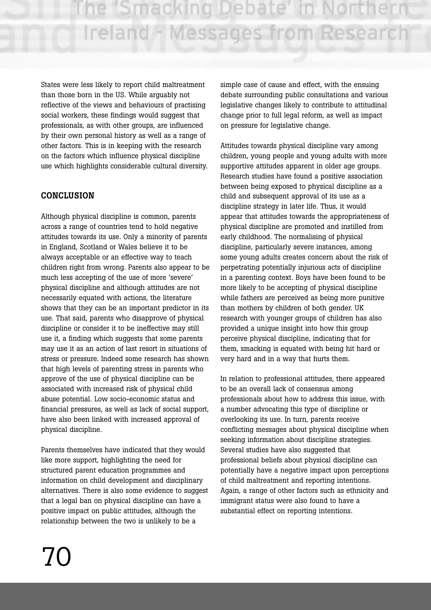States were less likely to report child maltreatment than those born in the US. While arguably not reflective of the views and behaviours of practising social workers, these findings would suggest that professionals, as with other groups, are influenced by their own personal history as well as a range of other factors. This is in keeping with the research on the factors which influence physical discipline use which highlights considerable cultural diversity.

## **CONCLUSION**

Although physical discipline is common, parents across a range of countries tend to hold negative attitudes towards its use. Only a minority of parents in England, Scotland or Wales believe it to be always acceptable or an effective way to teach children right from wrong. Parents also appear to be much less accepting of the use of more 'severe' physical discipline and although attitudes are not necessarily equated with actions, the literature shows that they can be an important predictor in its use. That said, parents who disapprove of physical discipline or consider it to be ineffective may still use it, a finding which suggests that some parents may use it as an action of last resort in situations of stress or pressure. Indeed some research has shown that high levels of parenting stress in parents who approve of the use of physical discipline can be associated with increased risk of physical child abuse potential. Low socio-economic status and financial pressures, as well as lack of social support, have also been linked with increased approval of physical discipline.

Parents themselves have indicated that they would like more support, highlighting the need for structured parent education programmes and information on child development and disciplinary alternatives. There is also some evidence to suggest that a legal ban on physical discipline can have a positive impact on public attitudes, although the relationship between the two is unlikely to be a

simple case of cause and effect, with the ensuing debate surrounding public consultations and various legislative changes likely to contribute to attitudinal change prior to full legal reform, as well as impact on pressure for legislative change.

Attitudes towards physical discipline vary among children, young people and young adults with more supportive attitudes apparent in older age groups. Research studies have found a positive association between being exposed to physical discipline as a child and subsequent approval of its use as a discipline strategy in later life. Thus, it would appear that attitudes towards the appropriateness of physical discipline are promoted and instilled from early childhood. The normalising of physical discipline, particularly severe instances, among some young adults creates concern about the risk of perpetrating potentially injurious acts of discipline in a parenting context. Boys have been found to be more likely to be accepting of physical discipline while fathers are perceived as being more punitive than mothers by children of both gender. UK research with younger groups of children has also provided a unique insight into how this group perceive physical discipline, indicating that for them, smacking is equated with being hit hard or very hard and in a way that hurts them.

In relation to professional attitudes, there appeared to be an overall lack of consensus among professionals about how to address this issue, with a number advocating this type of discipline or overlooking its use. In turn, parents receive conflicting messages about physical discipline when seeking information about discipline strategies. Several studies have also suggested that professional beliefs about physical discipline can potentially have a negative impact upon perceptions of child maltreatment and reporting intentions. Again, a range of other factors such as ethnicity and immigrant status were also found to have a substantial effect on reporting intentions.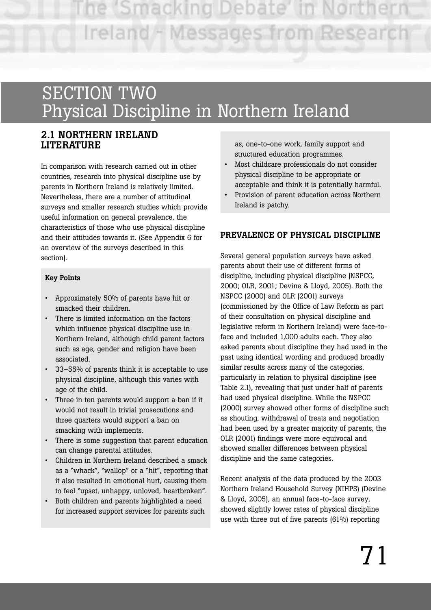## SECTION TWO Physical Discipline in Northern Ireland

## **2.1 NORTHERN IRELAND LITERATURE**

In comparison with research carried out in other countries, research into physical discipline use by parents in Northern Ireland is relatively limited. Nevertheless, there are a number of attitudinal surveys and smaller research studies which provide useful information on general prevalence, the characteristics of those who use physical discipline and their attitudes towards it. (See Appendix 6 for an overview of the surveys described in this section).

#### **Key Points**

- Approximately 50% of parents have hit or smacked their children.
- There is limited information on the factors which influence physical discipline use in Northern Ireland, although child parent factors such as age, gender and religion have been associated.
- 33–55% of parents think it is acceptable to use physical discipline, although this varies with age of the child.
- Three in ten parents would support a ban if it would not result in trivial prosecutions and three quarters would support a ban on smacking with implements.
- There is some suggestion that parent education can change parental attitudes.
- Children in Northern Ireland described a smack as a "whack", "wallop" or a "hit", reporting that it also resulted in emotional hurt, causing them to feel "upset, unhappy, unloved, heartbroken".
- Both children and parents highlighted a need for increased support services for parents such

as, one-to-one work, family support and structured education programmes.

- Most childcare professionals do not consider physical discipline to be appropriate or acceptable and think it is potentially harmful.
- Provision of parent education across Northern Ireland is patchy.

## **PREVALENCE OF PHYSICAL DISCIPLINE**

Several general population surveys have asked parents about their use of different forms of discipline, including physical discipline (NSPCC, 2000; OLR, 2001; Devine & Lloyd, 2005). Both the NSPCC (2000) and OLR (2001) surveys (commissioned by the Office of Law Reform as part of their consultation on physical discipline and legislative reform in Northern Ireland) were face-toface and included 1,000 adults each. They also asked parents about discipline they had used in the past using identical wording and produced broadly similar results across many of the categories, particularly in relation to physical discipline (see Table 2.1), revealing that just under half of parents had used physical discipline. While the NSPCC (2000) survey showed other forms of discipline such as shouting, withdrawal of treats and negotiation had been used by a greater majority of parents, the OLR (2001) findings were more equivocal and showed smaller differences between physical discipline and the same categories.

Recent analysis of the data produced by the 2003 Northern Ireland Household Survey (NIHPS) (Devine & Lloyd, 2005), an annual face-to-face survey, showed slightly lower rates of physical discipline use with three out of five parents (61%) reporting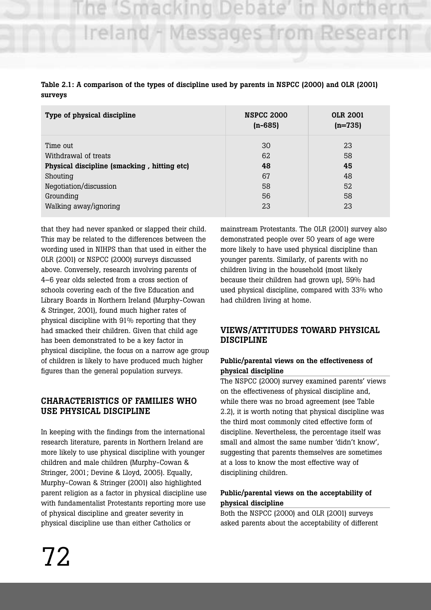# ie 'Smacking Debate' Ireland - Messages from Research

| Table 2.1: A comparison of the types of discipline used by parents in NSPCC (2000) and OLR (2001) |  |  |
|---------------------------------------------------------------------------------------------------|--|--|
| surveys                                                                                           |  |  |

| Type of physical discipline                 | <b>NSPCC 2000</b><br>$(n-685)$ | <b>OLR 2001</b><br>$(n=735)$ |
|---------------------------------------------|--------------------------------|------------------------------|
| Time out                                    | 30                             | 23                           |
| Withdrawal of treats                        | 62                             | 58                           |
| Physical discipline (smacking, hitting etc) | 48                             | 45                           |
| Shouting                                    | 67                             | 48                           |
| Negotiation/discussion                      | 58                             | 52                           |
| Grounding                                   | 56                             | 58                           |
| Walking away/ignoring                       | 23                             | 23                           |

that they had never spanked or slapped their child. This may be related to the differences between the wording used in NIHPS than that used in either the OLR (2001) or NSPCC (2000) surveys discussed above. Conversely, research involving parents of 4–6 year olds selected from a cross section of schools covering each of the five Education and Library Boards in Northern Ireland (Murphy-Cowan & Stringer, 2001), found much higher rates of physical discipline with 91% reporting that they had smacked their children. Given that child age has been demonstrated to be a key factor in physical discipline, the focus on a narrow age group of children is likely to have produced much higher figures than the general population surveys.

### **CHARACTERISTICS OF FAMILIES WHO USE PHYSICAL DISCIPLINE**

In keeping with the findings from the international research literature, parents in Northern Ireland are more likely to use physical discipline with younger children and male children (Murphy-Cowan & Stringer, 2001; Devine & Lloyd, 2005). Equally, Murphy-Cowan & Stringer (2001) also highlighted parent religion as a factor in physical discipline use with fundamentalist Protestants reporting more use of physical discipline and greater severity in physical discipline use than either Catholics or

mainstream Protestants. The OLR (2001) survey also demonstrated people over 50 years of age were more likely to have used physical discipline than younger parents. Similarly, of parents with no children living in the household (most likely because their children had grown up), 59% had used physical discipline, compared with 33% who had children living at home.

### **VIEWS/ATTITUDES TOWARD PHYSICAL DISCIPLINE**

#### **Public/parental views on the effectiveness of physical discipline**

The NSPCC (2000) survey examined parents' views on the effectiveness of physical discipline and, while there was no broad agreement (see Table 2.2), it is worth noting that physical discipline was the third most commonly cited effective form of discipline. Nevertheless, the percentage itself was small and almost the same number 'didn't know', suggesting that parents themselves are sometimes at a loss to know the most effective way of disciplining children.

#### **Public/parental views on the acceptability of physical discipline**

Both the NSPCC (2000) and OLR (2001) surveys asked parents about the acceptability of different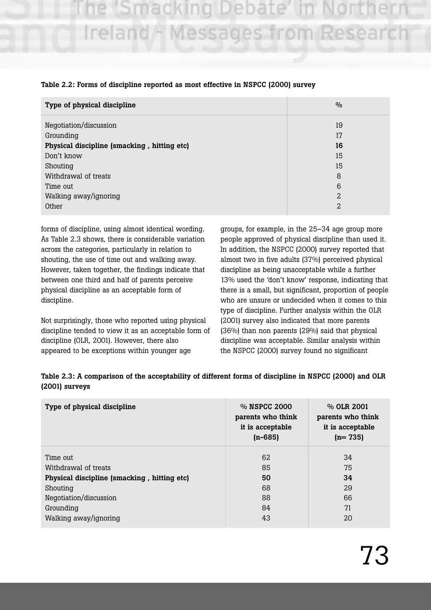# "Smacking Debate Ireland - Messages from Research

| Type of physical discipline                 | $\frac{0}{0}$ |
|---------------------------------------------|---------------|
| Negotiation/discussion                      | 19            |
| Grounding                                   | 17            |
| Physical discipline (smacking, hitting etc) | 16            |
| Don't know                                  | 15            |
| Shouting                                    | 15            |
| Withdrawal of treats                        | 8             |
| Time out                                    | 6             |
| Walking away/ignoring                       | 2             |
| Other                                       | 2             |

#### **Table 2.2: Forms of discipline reported as most effective in NSPCC (2000) survey**

forms of discipline, using almost identical wording. As Table 2.3 shows, there is considerable variation across the categories, particularly in relation to shouting, the use of time out and walking away. However, taken together, the findings indicate that between one third and half of parents perceive physical discipline as an acceptable form of discipline.

Not surprisingly, those who reported using physical discipline tended to view it as an acceptable form of discipline (OLR, 2001). However, there also appeared to be exceptions within younger age

groups, for example, in the 25–34 age group more people approved of physical discipline than used it. In addition, the NSPCC (2000) survey reported that almost two in five adults (37%) perceived physical discipline as being unacceptable while a further 13% used the 'don't know' response, indicating that there is a small, but significant, proportion of people who are unsure or undecided when it comes to this type of discipline. Further analysis within the OLR (2001) survey also indicated that more parents (36%) than non parents (29%) said that physical discipline was acceptable. Similar analysis within the NSPCC (2000) survey found no significant

| Table 2.3: A comparison of the acceptability of different forms of discipline in NSPCC (2000) and OLR |  |  |
|-------------------------------------------------------------------------------------------------------|--|--|
| $(2001)$ surveys                                                                                      |  |  |

| Type of physical discipline                 | % NSPCC 2000<br>parents who think<br>it is acceptable<br>$(n - 685)$ | % OLR 2001<br>parents who think<br>it is acceptable<br>$(n=735)$ |
|---------------------------------------------|----------------------------------------------------------------------|------------------------------------------------------------------|
| Time out                                    | 62                                                                   | 34                                                               |
| Withdrawal of treats                        | 85                                                                   | 75                                                               |
| Physical discipline (smacking, hitting etc) | 50                                                                   | 34                                                               |
| Shouting                                    | 68                                                                   | 29                                                               |
| Negotiation/discussion                      | 88                                                                   | 66                                                               |
| Grounding                                   | 84                                                                   | 71                                                               |
| Walking away/ignoring                       | 43                                                                   | 20                                                               |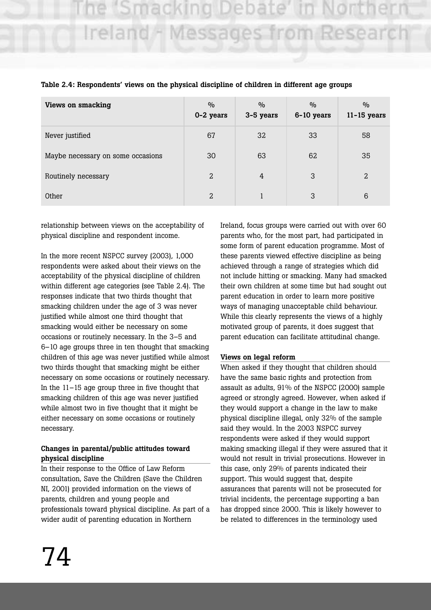# e 'Smacking Debate Ireland - Messages from Research

| <b>Views on smacking</b>          | $\frac{0}{0}$<br>0-2 years | $\frac{0}{0}$<br>3-5 years | $\frac{0}{0}$<br>6-10 years | $\frac{0}{0}$<br>$11 - 15$ years |
|-----------------------------------|----------------------------|----------------------------|-----------------------------|----------------------------------|
| Never justified                   | 67                         | 32                         | 33                          | 58                               |
| Maybe necessary on some occasions | 30                         | 63                         | 62                          | 35                               |
| Routinely necessary               | 2                          | 4                          | 3                           | $\overline{2}$                   |
| Other                             | 2                          |                            | 3                           | 6                                |

#### **Table 2.4: Respondents' views on the physical discipline of children in different age groups**

relationship between views on the acceptability of physical discipline and respondent income.

In the more recent NSPCC survey (2003), 1,000 respondents were asked about their views on the acceptability of the physical discipline of children within different age categories (see Table 2.4). The responses indicate that two thirds thought that smacking children under the age of 3 was never justified while almost one third thought that smacking would either be necessary on some occasions or routinely necessary. In the 3–5 and 6–10 age groups three in ten thought that smacking children of this age was never justified while almost two thirds thought that smacking might be either necessary on some occasions or routinely necessary. In the 11–15 age group three in five thought that smacking children of this age was never justified while almost two in five thought that it might be either necessary on some occasions or routinely necessary.

#### **Changes in parental/public attitudes toward physical discipline**

In their response to the Office of Law Reform consultation, Save the Children (Save the Children NI, 2001) provided information on the views of parents, children and young people and professionals toward physical discipline. As part of a wider audit of parenting education in Northern

Ireland, focus groups were carried out with over 60 parents who, for the most part, had participated in some form of parent education programme. Most of these parents viewed effective discipline as being achieved through a range of strategies which did not include hitting or smacking. Many had smacked their own children at some time but had sought out parent education in order to learn more positive ways of managing unacceptable child behaviour. While this clearly represents the views of a highly motivated group of parents, it does suggest that parent education can facilitate attitudinal change.

#### **Views on legal reform**

When asked if they thought that children should have the same basic rights and protection from assault as adults, 91% of the NSPCC (2000) sample agreed or strongly agreed. However, when asked if they would support a change in the law to make physical discipline illegal, only 32% of the sample said they would. In the 2003 NSPCC survey respondents were asked if they would support making smacking illegal if they were assured that it would not result in trivial prosecutions. However in this case, only 29% of parents indicated their support. This would suggest that, despite assurances that parents will not be prosecuted for trivial incidents, the percentage supporting a ban has dropped since 2000. This is likely however to be related to differences in the terminology used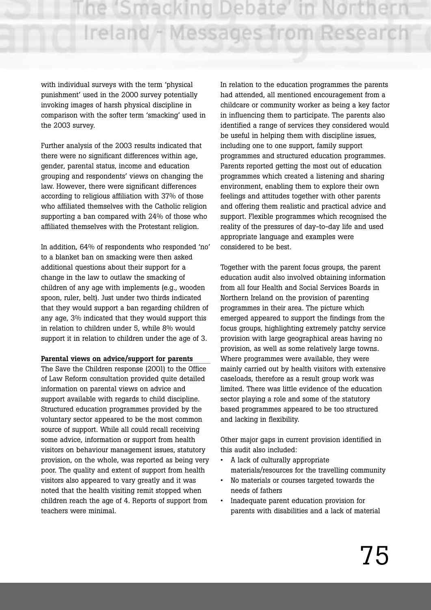he 'Smacking Debate' in Northern Ireland - Messages from Research

with individual surveys with the term 'physical punishment' used in the 2000 survey potentially invoking images of harsh physical discipline in comparison with the softer term 'smacking' used in the 2003 survey.

Further analysis of the 2003 results indicated that there were no significant differences within age, gender, parental status, income and education grouping and respondents' views on changing the law. However, there were significant differences according to religious affiliation with 37% of those who affiliated themselves with the Catholic religion supporting a ban compared with 24% of those who affiliated themselves with the Protestant religion.

In addition, 64% of respondents who responded 'no' to a blanket ban on smacking were then asked additional questions about their support for a change in the law to outlaw the smacking of children of any age with implements (e.g., wooden spoon, ruler, belt). Just under two thirds indicated that they would support a ban regarding children of any age, 3% indicated that they would support this in relation to children under 5, while 8% would support it in relation to children under the age of 3.

#### **Parental views on advice/support for parents**

The Save the Children response (2001) to the Office of Law Reform consultation provided quite detailed information on parental views on advice and support available with regards to child discipline. Structured education programmes provided by the voluntary sector appeared to be the most common source of support. While all could recall receiving some advice, information or support from health visitors on behaviour management issues, statutory provision, on the whole, was reported as being very poor. The quality and extent of support from health visitors also appeared to vary greatly and it was noted that the health visiting remit stopped when children reach the age of 4. Reports of support from teachers were minimal.

In relation to the education programmes the parents had attended, all mentioned encouragement from a childcare or community worker as being a key factor in influencing them to participate. The parents also identified a range of services they considered would be useful in helping them with discipline issues, including one to one support, family support programmes and structured education programmes. Parents reported getting the most out of education programmes which created a listening and sharing environment, enabling them to explore their own feelings and attitudes together with other parents and offering them realistic and practical advice and support. Flexible programmes which recognised the reality of the pressures of day-to-day life and used appropriate language and examples were considered to be best.

Together with the parent focus groups, the parent education audit also involved obtaining information from all four Health and Social Services Boards in Northern Ireland on the provision of parenting programmes in their area. The picture which emerged appeared to support the findings from the focus groups, highlighting extremely patchy service provision with large geographical areas having no provision, as well as some relatively large towns. Where programmes were available, they were mainly carried out by health visitors with extensive caseloads, therefore as a result group work was limited. There was little evidence of the education sector playing a role and some of the statutory based programmes appeared to be too structured and lacking in flexibility.

Other major gaps in current provision identified in this audit also included:

- A lack of culturally appropriate materials/resources for the travelling community
- No materials or courses targeted towards the needs of fathers
- Inadequate parent education provision for parents with disabilities and a lack of material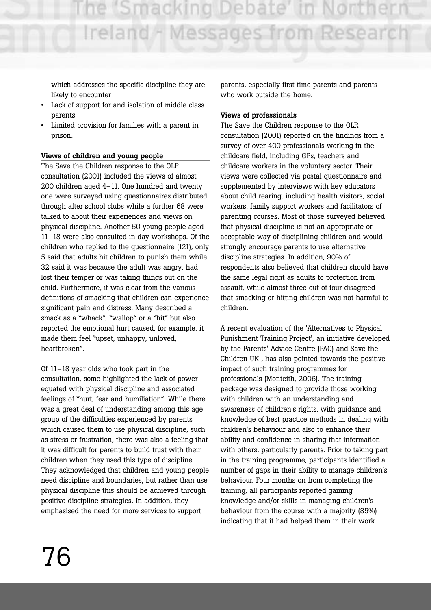he 'Smacking Debate' in North Ireland - Messages from Research

which addresses the specific discipline they are likely to encounter

- Lack of support for and isolation of middle class parents
- Limited provision for families with a parent in prison.

#### **Views of children and young people**

The Save the Children response to the OLR consultation (2001) included the views of almost 200 children aged 4–11. One hundred and twenty one were surveyed using questionnaires distributed through after school clubs while a further 68 were talked to about their experiences and views on physical discipline. Another 50 young people aged 11–18 were also consulted in day workshops. Of the children who replied to the questionnaire (121), only 5 said that adults hit children to punish them while 32 said it was because the adult was angry, had lost their temper or was taking things out on the child. Furthermore, it was clear from the various definitions of smacking that children can experience significant pain and distress. Many described a smack as a "whack", "wallop" or a "hit" but also reported the emotional hurt caused, for example, it made them feel "upset, unhappy, unloved, heartbroken".

Of 11–18 year olds who took part in the consultation, some highlighted the lack of power equated with physical discipline and associated feelings of "hurt, fear and humiliation". While there was a great deal of understanding among this age group of the difficulties experienced by parents which caused them to use physical discipline, such as stress or frustration, there was also a feeling that it was difficult for parents to build trust with their children when they used this type of discipline. They acknowledged that children and young people need discipline and boundaries, but rather than use physical discipline this should be achieved through positive discipline strategies. In addition, they emphasised the need for more services to support

parents, especially first time parents and parents who work outside the home.

#### **Views of professionals**

The Save the Children response to the OLR consultation (2001) reported on the findings from a survey of over 400 professionals working in the childcare field, including GPs, teachers and childcare workers in the voluntary sector. Their views were collected via postal questionnaire and supplemented by interviews with key educators about child rearing, including health visitors, social workers, family support workers and facilitators of parenting courses. Most of those surveyed believed that physical discipline is not an appropriate or acceptable way of disciplining children and would strongly encourage parents to use alternative discipline strategies. In addition, 90% of respondents also believed that children should have the same legal right as adults to protection from assault, while almost three out of four disagreed that smacking or hitting children was not harmful to children.

A recent evaluation of the 'Alternatives to Physical Punishment Training Project', an initiative developed by the Parents' Advice Centre (PAC) and Save the Children UK , has also pointed towards the positive impact of such training programmes for professionals (Monteith, 2006). The training package was designed to provide those working with children with an understanding and awareness of children's rights, with guidance and knowledge of best practice methods in dealing with children's behaviour and also to enhance their ability and confidence in sharing that information with others, particularly parents. Prior to taking part in the training programme, participants identified a number of gaps in their ability to manage children's behaviour. Four months on from completing the training, all participants reported gaining knowledge and/or skills in managing children's behaviour from the course with a majority (85%) indicating that it had helped them in their work